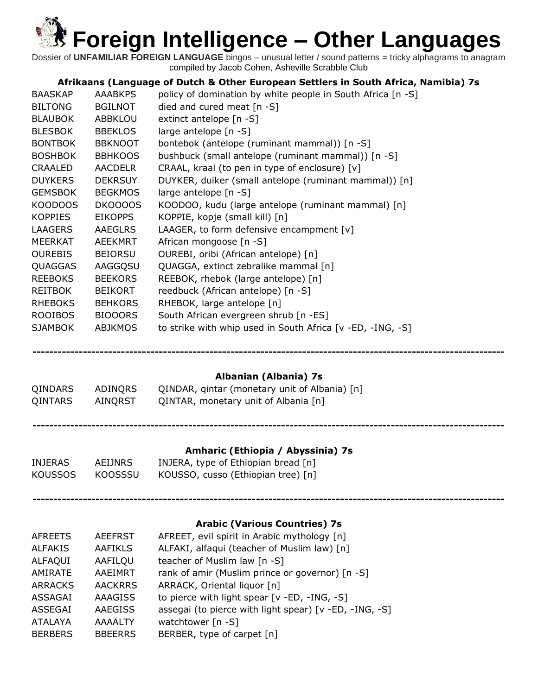Dossier of **UNFAMILIAR FOREIGN LANGUAGE** bingos – unusual letter / sound patterns = tricky alphagrams to anagram compiled by Jacob Cohen, Asheville Scrabble Club

### **Afrikaans (Language of Dutch & Other European Settlers in South Africa, Namibia) 7s**

| <b>BAASKAP</b> | <b>AAABKPS</b> | policy of domination by white people in South Africa [n -S] |
|----------------|----------------|-------------------------------------------------------------|
| <b>BILTONG</b> | <b>BGILNOT</b> | died and cured meat $[n - S]$                               |
| <b>BLAUBOK</b> | <b>ABBKLOU</b> | extinct antelope [n -S]                                     |
| <b>BLESBOK</b> | <b>BBEKLOS</b> | large antelope [n -S]                                       |
| <b>BONTBOK</b> | <b>BBKNOOT</b> | bontebok (antelope (ruminant mammal)) [n -S]                |
| <b>BOSHBOK</b> | <b>BBHKOOS</b> | bushbuck (small antelope (ruminant mammal)) [n -S]          |
| <b>CRAALED</b> | <b>AACDELR</b> | CRAAL, kraal (to pen in type of enclosure) [v]              |
| <b>DUYKERS</b> | <b>DEKRSUY</b> | DUYKER, duiker (small antelope (ruminant mammal)) [n]       |
| <b>GEMSBOK</b> | <b>BEGKMOS</b> | large antelope [n -S]                                       |
| KOODOOS        | DKOOOOS        | KOODOO, kudu (large antelope (ruminant mammal) [n]          |
| <b>KOPPIES</b> | <b>EIKOPPS</b> | KOPPIE, kopje (small kill) [n]                              |
| <b>LAAGERS</b> | AAEGLRS        | LAAGER, to form defensive encampment [v]                    |
| <b>MEERKAT</b> | AEEKMRT        | African mongoose [n -S]                                     |
| <b>OUREBIS</b> | <b>BEIORSU</b> | OUREBI, oribi (African antelope) [n]                        |
| QUAGGAS        | AAGGQSU        | QUAGGA, extinct zebralike mammal [n]                        |
| <b>REEBOKS</b> | <b>BEEKORS</b> | REEBOK, rhebok (large antelope) [n]                         |
| <b>REITBOK</b> | <b>BEIKORT</b> | reedbuck (African antelope) [n -S]                          |
| <b>RHEBOKS</b> | <b>BEHKORS</b> | RHEBOK, large antelope [n]                                  |
| <b>ROOIBOS</b> | <b>BIOOORS</b> | South African evergreen shrub [n -ES]                       |
| <b>SJAMBOK</b> | <b>ABJKMOS</b> | to strike with whip used in South Africa [v -ED, -ING, -S]  |

**----------------------------------------------------------------------------------------------------------------**

### **Albanian (Albania) 7s**

| QINDARS | ADINORS | QINDAR, gintar (monetary unit of Albania) [n] |
|---------|---------|-----------------------------------------------|
| QINTARS | AINORST | QINTAR, monetary unit of Albania [n]          |
|         |         |                                               |

**----------------------------------------------------------------------------------------------------------------**

### **Amharic (Ethiopia / Abyssinia) 7s**

| INJERAS | AEIJNRS | INJERA, type of Ethiopian bread [n] |
|---------|---------|-------------------------------------|
| KOUSSOS | KOOSSSU | KOUSSO, cusso (Ethiopian tree) [n]  |

### **----------------------------------------------------------------------------------------------------------------**

### **Arabic (Various Countries) 7s**

| <b>AFREETS</b> | <b>AEEFRST</b> | AFREET, evil spirit in Arabic mythology [n]            |
|----------------|----------------|--------------------------------------------------------|
| <b>ALFAKIS</b> | <b>AAFIKLS</b> | ALFAKI, alfaqui (teacher of Muslim law) [n]            |
| <b>ALFAQUI</b> | AAFILQU        | teacher of Muslim law [n -S]                           |
| <b>AMIRATE</b> | AAEIMRT        | rank of amir (Muslim prince or governor) [n -S]        |
| <b>ARRACKS</b> | <b>AACKRRS</b> | ARRACK, Oriental liquor [n]                            |
| ASSAGAI        | <b>AAAGISS</b> | to pierce with light spear [v -ED, -ING, -S]           |
| ASSEGAI        | <b>AAEGISS</b> | assegai (to pierce with light spear) [v -ED, -ING, -S] |
| <b>ATALAYA</b> | <b>AAAALTY</b> | watchtower [n -S]                                      |
| <b>BERBERS</b> | <b>BBEERRS</b> | BERBER, type of carpet [n]                             |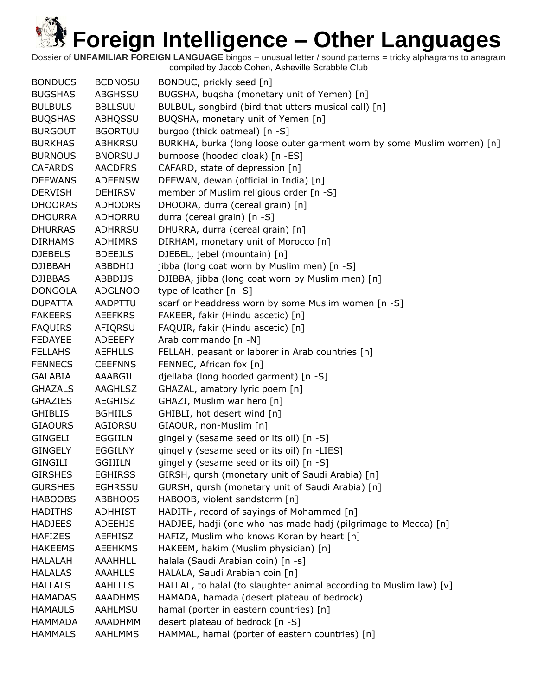| <b>BONDUCS</b> | <b>BCDNOSU</b> | BONDUC, prickly seed [n]                                               |
|----------------|----------------|------------------------------------------------------------------------|
| <b>BUGSHAS</b> | <b>ABGHSSU</b> | BUGSHA, buqsha (monetary unit of Yemen) [n]                            |
| <b>BULBULS</b> | <b>BBLLSUU</b> | BULBUL, songbird (bird that utters musical call) [n]                   |
| <b>BUQSHAS</b> | ABHQSSU        | BUQSHA, monetary unit of Yemen [n]                                     |
| <b>BURGOUT</b> | <b>BGORTUU</b> | burgoo (thick oatmeal) [n -S]                                          |
| <b>BURKHAS</b> | <b>ABHKRSU</b> | BURKHA, burka (long loose outer garment worn by some Muslim women) [n] |
| <b>BURNOUS</b> | <b>BNORSUU</b> | burnoose (hooded cloak) [n -ES]                                        |
| <b>CAFARDS</b> | <b>AACDFRS</b> | CAFARD, state of depression [n]                                        |
| <b>DEEWANS</b> | <b>ADEENSW</b> | DEEWAN, dewan (official in India) [n]                                  |
| <b>DERVISH</b> | <b>DEHIRSV</b> | member of Muslim religious order [n -S]                                |
| <b>DHOORAS</b> | <b>ADHOORS</b> | DHOORA, durra (cereal grain) [n]                                       |
| <b>DHOURRA</b> | ADHORRU        | durra (cereal grain) [n -S]                                            |
| <b>DHURRAS</b> | ADHRRSU        | DHURRA, durra (cereal grain) [n]                                       |
| <b>DIRHAMS</b> | <b>ADHIMRS</b> | DIRHAM, monetary unit of Morocco [n]                                   |
| <b>DJEBELS</b> | <b>BDEEJLS</b> | DJEBEL, jebel (mountain) [n]                                           |
| <b>DJIBBAH</b> | ABBDHIJ        | jibba (long coat worn by Muslim men) [n -S]                            |
| <b>DJIBBAS</b> | <b>ABBDIJS</b> | DJIBBA, jibba (long coat worn by Muslim men) [n]                       |
| <b>DONGOLA</b> | <b>ADGLNOO</b> | type of leather [n -S]                                                 |
| <b>DUPATTA</b> | AADPTTU        | scarf or headdress worn by some Muslim women [n -S]                    |
| <b>FAKEERS</b> | <b>AEEFKRS</b> | FAKEER, fakir (Hindu ascetic) [n]                                      |
| <b>FAQUIRS</b> | AFIQRSU        | FAQUIR, fakir (Hindu ascetic) [n]                                      |
| <b>FEDAYEE</b> | ADEEEFY        | Arab commando [n -N]                                                   |
| <b>FELLAHS</b> | <b>AEFHLLS</b> | FELLAH, peasant or laborer in Arab countries [n]                       |
| <b>FENNECS</b> | <b>CEEFNNS</b> | FENNEC, African fox [n]                                                |
| <b>GALABIA</b> | AAABGIL        | djellaba (long hooded garment) [n -S]                                  |
| <b>GHAZALS</b> | <b>AAGHLSZ</b> | GHAZAL, amatory lyric poem [n]                                         |
| <b>GHAZIES</b> | <b>AEGHISZ</b> | GHAZI, Muslim war hero [n]                                             |
| <b>GHIBLIS</b> | <b>BGHIILS</b> | GHIBLI, hot desert wind [n]                                            |
| <b>GIAOURS</b> | AGIORSU        | GIAOUR, non-Muslim [n]                                                 |
| <b>GINGELI</b> | EGGIILN        | gingelly (sesame seed or its oil) [n -S]                               |
| <b>GINGELY</b> | <b>EGGILNY</b> | gingelly (sesame seed or its oil) [n -LIES]                            |
| <b>GINGILI</b> | <b>GGIIILN</b> | gingelly (sesame seed or its oil) [n -S]                               |
| <b>GIRSHES</b> | <b>EGHIRSS</b> | GIRSH, qursh (monetary unit of Saudi Arabia) [n]                       |
| <b>GURSHES</b> | <b>EGHRSSU</b> | GURSH, qursh (monetary unit of Saudi Arabia) [n]                       |
| <b>HABOOBS</b> | <b>ABBHOOS</b> | HABOOB, violent sandstorm [n]                                          |
| <b>HADITHS</b> | <b>ADHHIST</b> | HADITH, record of sayings of Mohammed [n]                              |
| <b>HADJEES</b> | <b>ADEEHJS</b> | HADJEE, hadji (one who has made hadj (pilgrimage to Mecca) [n]         |
| <b>HAFIZES</b> | <b>AEFHISZ</b> | HAFIZ, Muslim who knows Koran by heart [n]                             |
| <b>HAKEEMS</b> | <b>AEEHKMS</b> | HAKEEM, hakim (Muslim physician) [n]                                   |
| <b>HALALAH</b> | <b>AAAHHLL</b> | halala (Saudi Arabian coin) [n -s]                                     |
| <b>HALALAS</b> | <b>AAAHLLS</b> | HALALA, Saudi Arabian coin [n]                                         |
| <b>HALLALS</b> | <b>AAHLLLS</b> | HALLAL, to halal (to slaughter animal according to Muslim law) [v]     |
| <b>HAMADAS</b> | AAADHMS        | HAMADA, hamada (desert plateau of bedrock)                             |
| <b>HAMAULS</b> | AAHLMSU        | hamal (porter in eastern countries) [n]                                |
| <b>HAMMADA</b> | AAADHMM        | desert plateau of bedrock [n -S]                                       |
| <b>HAMMALS</b> | <b>AAHLMMS</b> | HAMMAL, hamal (porter of eastern countries) [n]                        |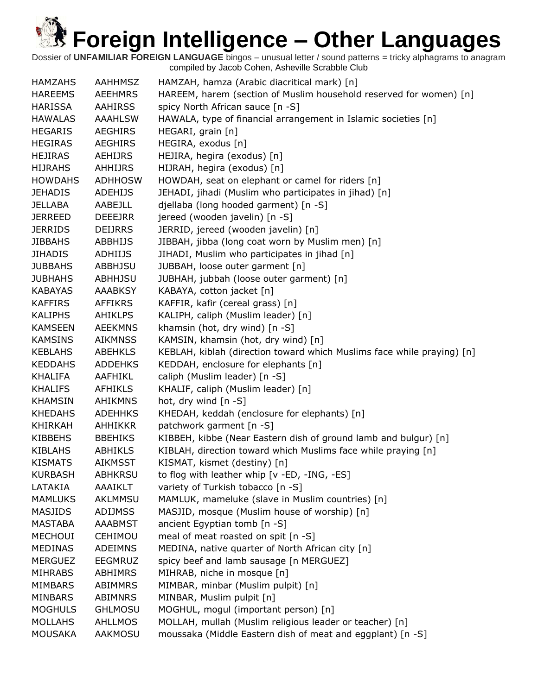| <b>HAMZAHS</b> | <b>AAHHMSZ</b> | HAMZAH, hamza (Arabic diacritical mark) [n]                            |
|----------------|----------------|------------------------------------------------------------------------|
| <b>HAREEMS</b> | <b>AEEHMRS</b> | HAREEM, harem (section of Muslim household reserved for women) [n]     |
| <b>HARISSA</b> | <b>AAHIRSS</b> | spicy North African sauce [n -S]                                       |
| <b>HAWALAS</b> | <b>AAAHLSW</b> | HAWALA, type of financial arrangement in Islamic societies [n]         |
| <b>HEGARIS</b> | <b>AEGHIRS</b> | HEGARI, grain [n]                                                      |
| <b>HEGIRAS</b> | <b>AEGHIRS</b> | HEGIRA, exodus [n]                                                     |
| <b>HEJIRAS</b> | AEHIJRS        | HEJIRA, hegira (exodus) [n]                                            |
| <b>HIJRAHS</b> | <b>AHHIJRS</b> | HIJRAH, hegira (exodus) [n]                                            |
| <b>HOWDAHS</b> | <b>ADHHOSW</b> | HOWDAH, seat on elephant or camel for riders [n]                       |
| <b>JEHADIS</b> | <b>ADEHIJS</b> | JEHADI, jihadi (Muslim who participates in jihad) [n]                  |
| <b>JELLABA</b> | AABEJLL        | djellaba (long hooded garment) [n -S]                                  |
| <b>JERREED</b> | <b>DEEEJRR</b> | jereed (wooden javelin) [n -S]                                         |
| <b>JERRIDS</b> | <b>DEIJRRS</b> | JERRID, jereed (wooden javelin) [n]                                    |
| <b>JIBBAHS</b> | ABBHIJS        | JIBBAH, jibba (long coat worn by Muslim men) [n]                       |
| <b>JIHADIS</b> | <b>ADHIIJS</b> | JIHADI, Muslim who participates in jihad [n]                           |
| <b>JUBBAHS</b> | <b>ABBHJSU</b> | JUBBAH, loose outer garment [n]                                        |
| <b>JUBHAHS</b> | <b>ABHHJSU</b> | JUBHAH, jubbah (loose outer garment) [n]                               |
| <b>KABAYAS</b> | <b>AAABKSY</b> | KABAYA, cotton jacket [n]                                              |
| <b>KAFFIRS</b> | <b>AFFIKRS</b> | KAFFIR, kafir (cereal grass) [n]                                       |
| <b>KALIPHS</b> | <b>AHIKLPS</b> | KALIPH, caliph (Muslim leader) [n]                                     |
| <b>KAMSEEN</b> | <b>AEEKMNS</b> | khamsin (hot, dry wind) [n -S]                                         |
| <b>KAMSINS</b> | <b>AIKMNSS</b> | KAMSIN, khamsin (hot, dry wind) [n]                                    |
| <b>KEBLAHS</b> | <b>ABEHKLS</b> | KEBLAH, kiblah (direction toward which Muslims face while praying) [n] |
| <b>KEDDAHS</b> | <b>ADDEHKS</b> | KEDDAH, enclosure for elephants [n]                                    |
| <b>KHALIFA</b> | AAFHIKL        | caliph (Muslim leader) [n -S]                                          |
| <b>KHALIFS</b> | <b>AFHIKLS</b> | KHALIF, caliph (Muslim leader) [n]                                     |
| <b>KHAMSIN</b> | <b>AHIKMNS</b> | hot, dry wind [n -S]                                                   |
| <b>KHEDAHS</b> | <b>ADEHHKS</b> | KHEDAH, keddah (enclosure for elephants) [n]                           |
| <b>KHIRKAH</b> | <b>AHHIKKR</b> | patchwork garment [n -S]                                               |
| <b>KIBBEHS</b> | <b>BBEHIKS</b> | KIBBEH, kibbe (Near Eastern dish of ground lamb and bulgur) [n]        |
| <b>KIBLAHS</b> | ABHIKLS        | KIBLAH, direction toward which Muslims face while praying [n]          |
| <b>KISMATS</b> | <b>AIKMSST</b> | KISMAT, kismet (destiny) [n]                                           |
| <b>KURBASH</b> | <b>ABHKRSU</b> | to flog with leather whip [v -ED, -ING, -ES]                           |
| LATAKIA        | AAAIKLT        | variety of Turkish tobacco [n -S]                                      |
| <b>MAMLUKS</b> | AKLMMSU        | MAMLUK, mameluke (slave in Muslim countries) [n]                       |
| MASJIDS        | ADIJMSS        | MASJID, mosque (Muslim house of worship) [n]                           |
| <b>MASTABA</b> | <b>AAABMST</b> | ancient Egyptian tomb [n -S]                                           |
| <b>MECHOUI</b> | CEHIMOU        | meal of meat roasted on spit [n -S]                                    |
| <b>MEDINAS</b> | <b>ADEIMNS</b> | MEDINA, native quarter of North African city [n]                       |
| <b>MERGUEZ</b> | <b>EEGMRUZ</b> | spicy beef and lamb sausage [n MERGUEZ]                                |
| <b>MIHRABS</b> | ABHIMRS        | MIHRAB, niche in mosque [n]                                            |
| <b>MIMBARS</b> | <b>ABIMMRS</b> | MIMBAR, minbar (Muslim pulpit) [n]                                     |
| <b>MINBARS</b> | ABIMNRS        | MINBAR, Muslim pulpit [n]                                              |
| <b>MOGHULS</b> | <b>GHLMOSU</b> | MOGHUL, mogul (important person) [n]                                   |
| <b>MOLLAHS</b> | <b>AHLLMOS</b> | MOLLAH, mullah (Muslim religious leader or teacher) [n]                |
| <b>MOUSAKA</b> | AAKMOSU        | moussaka (Middle Eastern dish of meat and eggplant) [n -S]             |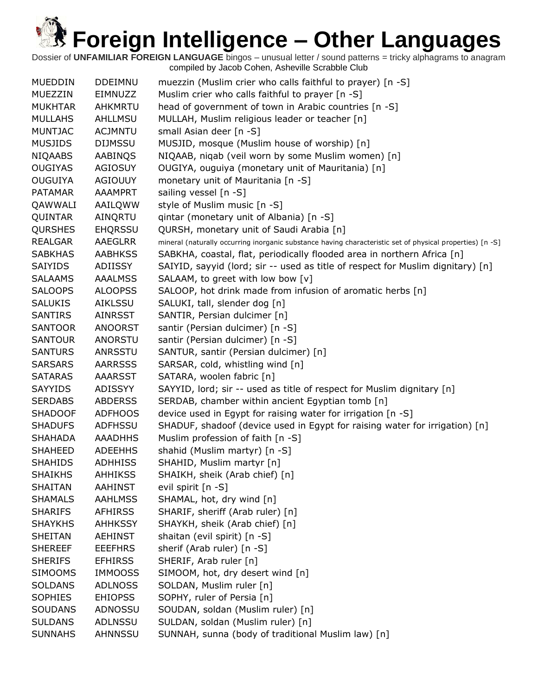| <b>MUEDDIN</b> | <b>DDEIMNU</b> | muezzin (Muslim crier who calls faithful to prayer) [n -S]                                                |
|----------------|----------------|-----------------------------------------------------------------------------------------------------------|
| MUEZZIN        | <b>EIMNUZZ</b> | Muslim crier who calls faithful to prayer [n -S]                                                          |
| <b>MUKHTAR</b> | <b>AHKMRTU</b> | head of government of town in Arabic countries [n -S]                                                     |
| <b>MULLAHS</b> | AHLLMSU        | MULLAH, Muslim religious leader or teacher [n]                                                            |
| <b>MUNTJAC</b> | <b>ACJMNTU</b> | small Asian deer [n -S]                                                                                   |
| <b>MUSJIDS</b> | <b>DIJMSSU</b> | MUSJID, mosque (Muslim house of worship) [n]                                                              |
| <b>NIQAABS</b> | AABINQS        | NIQAAB, niqab (veil worn by some Muslim women) [n]                                                        |
| <b>OUGIYAS</b> | <b>AGIOSUY</b> | OUGIYA, ouguiya (monetary unit of Mauritania) [n]                                                         |
| <b>OUGUIYA</b> | <b>AGIOUUY</b> | monetary unit of Mauritania [n -S]                                                                        |
| <b>PATAMAR</b> | <b>AAAMPRT</b> | sailing vessel [n -S]                                                                                     |
| QAWWALI        | AAILQWW        | style of Muslim music [n -S]                                                                              |
| QUINTAR        | AINQRTU        | qintar (monetary unit of Albania) [n -S]                                                                  |
| <b>QURSHES</b> | <b>EHQRSSU</b> | QURSH, monetary unit of Saudi Arabia [n]                                                                  |
| <b>REALGAR</b> | AAEGLRR        | mineral (naturally occurring inorganic substance having characteristic set of physical properties) [n -S] |
| <b>SABKHAS</b> | <b>AABHKSS</b> | SABKHA, coastal, flat, periodically flooded area in northern Africa [n]                                   |
| <b>SAIYIDS</b> | ADIISSY        | SAIYID, sayyid (lord; sir -- used as title of respect for Muslim dignitary) [n]                           |
| <b>SALAAMS</b> | <b>AAALMSS</b> | SALAAM, to greet with low bow [v]                                                                         |
| <b>SALOOPS</b> | <b>ALOOPSS</b> | SALOOP, hot drink made from infusion of aromatic herbs [n]                                                |
| <b>SALUKIS</b> | AIKLSSU        | SALUKI, tall, slender dog [n]                                                                             |
| <b>SANTIRS</b> | AINRSST        | SANTIR, Persian dulcimer [n]                                                                              |
| <b>SANTOOR</b> | <b>ANOORST</b> | santir (Persian dulcimer) [n -S]                                                                          |
| <b>SANTOUR</b> | ANORSTU        | santir (Persian dulcimer) [n -S]                                                                          |
| <b>SANTURS</b> | <b>ANRSSTU</b> | SANTUR, santir (Persian dulcimer) [n]                                                                     |
| <b>SARSARS</b> | <b>AARRSSS</b> | SARSAR, cold, whistling wind [n]                                                                          |
| <b>SATARAS</b> | AAARSST        | SATARA, woolen fabric [n]                                                                                 |
| <b>SAYYIDS</b> | ADISSYY        | SAYYID, lord; sir -- used as title of respect for Muslim dignitary [n]                                    |
| <b>SERDABS</b> | <b>ABDERSS</b> | SERDAB, chamber within ancient Egyptian tomb [n]                                                          |
| <b>SHADOOF</b> | <b>ADFHOOS</b> | device used in Egypt for raising water for irrigation [n -S]                                              |
| <b>SHADUFS</b> | <b>ADFHSSU</b> | SHADUF, shadoof (device used in Egypt for raising water for irrigation) [n]                               |
| <b>SHAHADA</b> | <b>AAADHHS</b> | Muslim profession of faith [n -S]                                                                         |
| <b>SHAHEED</b> | <b>ADEEHHS</b> | shahid (Muslim martyr) [n -S]                                                                             |
| SHAHIDS        | ADHHISS        | SHAHID, Muslim martyr [n]                                                                                 |
| <b>SHAIKHS</b> | AHHIKSS        | SHAIKH, sheik (Arab chief) [n]                                                                            |
| <b>SHAITAN</b> | <b>AAHINST</b> | evil spirit [n -S]                                                                                        |
| <b>SHAMALS</b> | <b>AAHLMSS</b> | SHAMAL, hot, dry wind [n]                                                                                 |
| <b>SHARIFS</b> | AFHIRSS        | SHARIF, sheriff (Arab ruler) [n]                                                                          |
| <b>SHAYKHS</b> | <b>AHHKSSY</b> | SHAYKH, sheik (Arab chief) [n]                                                                            |
| <b>SHEITAN</b> | AEHINST        | shaitan (evil spirit) [n -S]                                                                              |
| <b>SHEREEF</b> | <b>EEEFHRS</b> | sherif (Arab ruler) [n -S]                                                                                |
| <b>SHERIFS</b> | <b>EFHIRSS</b> | SHERIF, Arab ruler [n]                                                                                    |
| <b>SIMOOMS</b> | <b>IMMOOSS</b> | SIMOOM, hot, dry desert wind [n]                                                                          |
| <b>SOLDANS</b> | <b>ADLNOSS</b> | SOLDAN, Muslim ruler [n]                                                                                  |
| <b>SOPHIES</b> | <b>EHIOPSS</b> | SOPHY, ruler of Persia [n]                                                                                |
| <b>SOUDANS</b> | ADNOSSU        | SOUDAN, soldan (Muslim ruler) [n]                                                                         |
| <b>SULDANS</b> | ADLNSSU        | SULDAN, soldan (Muslim ruler) [n]                                                                         |
| <b>SUNNAHS</b> | <b>AHNNSSU</b> | SUNNAH, sunna (body of traditional Muslim law) [n]                                                        |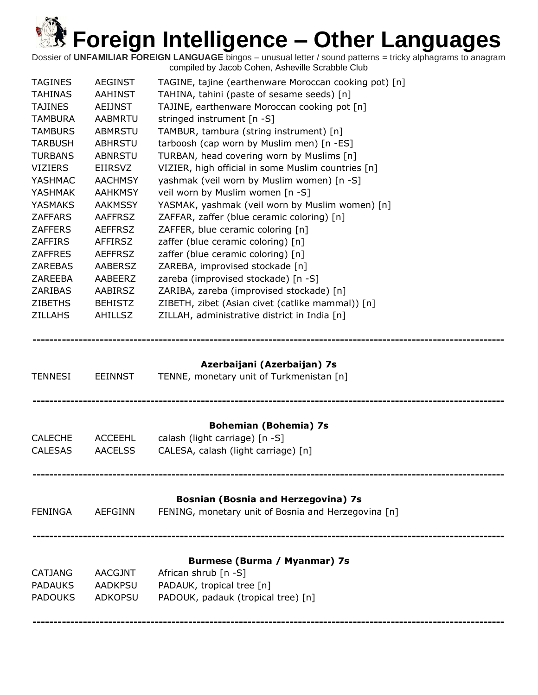Dossier of **UNFAMILIAR FOREIGN LANGUAGE** bingos – unusual letter / sound patterns = tricky alphagrams to anagram compiled by Jacob Cohen, Asheville Scrabble Club

| <b>TAGINES</b><br><b>TAHINAS</b><br><b>TAJINES</b><br><b>TAMBURA</b><br><b>TAMBURS</b><br><b>TARBUSH</b><br><b>TURBANS</b><br><b>VIZIERS</b><br><b>YASHMAC</b><br><b>YASHMAK</b><br><b>YASMAKS</b><br><b>ZAFFARS</b><br><b>ZAFFERS</b><br><b>ZAFFIRS</b><br><b>ZAFFRES</b><br><b>ZAREBAS</b><br>ZAREEBA | <b>AEGINST</b><br><b>AAHINST</b><br>AEIJNST<br><b>AABMRTU</b><br><b>ABMRSTU</b><br><b>ABHRSTU</b><br><b>ABNRSTU</b><br><b>EIIRSVZ</b><br><b>AACHMSY</b><br><b>AAHKMSY</b><br><b>AAKMSSY</b><br><b>AAFFRSZ</b><br><b>AEFFRSZ</b><br><b>AFFIRSZ</b><br><b>AEFFRSZ</b><br><b>AABERSZ</b><br>AABEERZ | TAGINE, tajine (earthenware Moroccan cooking pot) [n]<br>TAHINA, tahini (paste of sesame seeds) [n]<br>TAJINE, earthenware Moroccan cooking pot [n]<br>stringed instrument [n -S]<br>TAMBUR, tambura (string instrument) [n]<br>tarboosh (cap worn by Muslim men) [n -ES]<br>TURBAN, head covering worn by Muslims [n]<br>VIZIER, high official in some Muslim countries [n]<br>yashmak (veil worn by Muslim women) [n -S]<br>veil worn by Muslim women [n -S]<br>YASMAK, yashmak (veil worn by Muslim women) [n]<br>ZAFFAR, zaffer (blue ceramic coloring) [n]<br>ZAFFER, blue ceramic coloring [n]<br>zaffer (blue ceramic coloring) [n]<br>zaffer (blue ceramic coloring) [n]<br>ZAREBA, improvised stockade [n]<br>zareba (improvised stockade) [n -S] |
|---------------------------------------------------------------------------------------------------------------------------------------------------------------------------------------------------------------------------------------------------------------------------------------------------------|--------------------------------------------------------------------------------------------------------------------------------------------------------------------------------------------------------------------------------------------------------------------------------------------------|------------------------------------------------------------------------------------------------------------------------------------------------------------------------------------------------------------------------------------------------------------------------------------------------------------------------------------------------------------------------------------------------------------------------------------------------------------------------------------------------------------------------------------------------------------------------------------------------------------------------------------------------------------------------------------------------------------------------------------------------------------|
| ZARIBAS<br><b>ZIBETHS</b><br><b>ZILLAHS</b>                                                                                                                                                                                                                                                             | AABIRSZ<br><b>BEHISTZ</b><br><b>AHILLSZ</b>                                                                                                                                                                                                                                                      | ZARIBA, zareba (improvised stockade) [n]<br>ZIBETH, zibet (Asian civet (catlike mammal)) [n]<br>ZILLAH, administrative district in India [n]                                                                                                                                                                                                                                                                                                                                                                                                                                                                                                                                                                                                               |
| <b>TENNESI</b>                                                                                                                                                                                                                                                                                          | <b>EEINNST</b>                                                                                                                                                                                                                                                                                   | Azerbaijani (Azerbaijan) 7s<br>TENNE, monetary unit of Turkmenistan [n]                                                                                                                                                                                                                                                                                                                                                                                                                                                                                                                                                                                                                                                                                    |
| <b>CALECHE</b><br><b>CALESAS</b>                                                                                                                                                                                                                                                                        | <b>ACCEEHL</b><br><b>AACELSS</b>                                                                                                                                                                                                                                                                 | <b>Bohemian (Bohemia) 7s</b><br>calash (light carriage) [n -S]<br>CALESA, calash (light carriage) [n]                                                                                                                                                                                                                                                                                                                                                                                                                                                                                                                                                                                                                                                      |
| <b>FENINGA</b>                                                                                                                                                                                                                                                                                          | <b>AEFGINN</b>                                                                                                                                                                                                                                                                                   | <b>Bosnian (Bosnia and Herzegovina) 7s</b><br>FENING, monetary unit of Bosnia and Herzegovina [n]                                                                                                                                                                                                                                                                                                                                                                                                                                                                                                                                                                                                                                                          |
| <b>CATJANG</b><br><b>PADAUKS</b><br><b>PADOUKS</b>                                                                                                                                                                                                                                                      | <b>AACGJNT</b><br><b>AADKPSU</b><br><b>ADKOPSU</b>                                                                                                                                                                                                                                               | Burmese (Burma / Myanmar) 7s<br>African shrub [n -S]<br>PADAUK, tropical tree [n]<br>PADOUK, padauk (tropical tree) [n]                                                                                                                                                                                                                                                                                                                                                                                                                                                                                                                                                                                                                                    |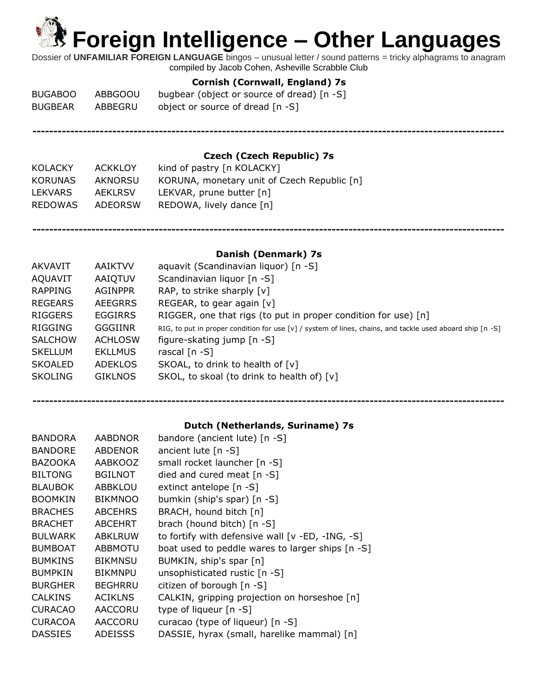Dossier of **UNFAMILIAR FOREIGN LANGUAGE** bingos – unusual letter / sound patterns = tricky alphagrams to anagram compiled by Jacob Cohen, Asheville Scrabble Club

### **Cornish (Cornwall, England) 7s**

| <b>BUGABOO</b> | ABBGOOU | bugbear (object or source of dread) [n -S] |
|----------------|---------|--------------------------------------------|
| <b>BUGBEAR</b> | ABBEGRU | object or source of dread [n -S]           |

**----------------------------------------------------------------------------------------------------------------**

### **Czech (Czech Republic) 7s**

| <b>ACKKLOY</b> | kind of pastry [n KOLACKY]                  |
|----------------|---------------------------------------------|
| AKNORSU        | KORUNA, monetary unit of Czech Republic [n] |
| AEKLRSV        | LEKVAR, prune butter $[n]$                  |
| ADEORSW        | REDOWA, lively dance [n]                    |
|                |                                             |

### **Danish (Denmark) 7s**

**----------------------------------------------------------------------------------------------------------------**

| AKVAVIT        | <b>AAIKTVV</b> | aquavit (Scandinavian liquor) [n -S]                                                                          |
|----------------|----------------|---------------------------------------------------------------------------------------------------------------|
| AQUAVIT        | AAIQTUV        | Scandinavian liquor [n -S]                                                                                    |
| RAPPING        | AGINPPR        | RAP, to strike sharply [v]                                                                                    |
| REGEARS        | AEEGRRS        | REGEAR, to gear again $[v]$                                                                                   |
| <b>RIGGERS</b> | <b>EGGIRRS</b> | RIGGER, one that rigs (to put in proper condition for use) $[n]$                                              |
| RIGGING        | <b>GGGIINR</b> | RIG, to put in proper condition for use $[v]$ / system of lines, chains, and tackle used aboard ship $[n -S]$ |
| <b>SALCHOW</b> | <b>ACHLOSW</b> | figure-skating jump $[n - S]$                                                                                 |
| <b>SKELLUM</b> | <b>EKLLMUS</b> | rascal $[n - S]$                                                                                              |
| <b>SKOALED</b> | <b>ADEKLOS</b> | SKOAL, to drink to health of [v]                                                                              |
| <b>SKOLING</b> | <b>GIKLNOS</b> | SKOL, to skoal (to drink to health of) [v]                                                                    |
|                |                |                                                                                                               |

## **---------------------------------------------------------------------------------------------------------------- Dutch (Netherlands, Suriname) 7s**

| <b>BANDORA</b> | <b>AABDNOR</b> | bandore (ancient lute) [n -S]                       |
|----------------|----------------|-----------------------------------------------------|
| <b>BANDORE</b> | <b>ABDENOR</b> | ancient lute $[n - S]$                              |
| <b>BAZOOKA</b> | AABKOOZ        | small rocket launcher [n -S]                        |
| <b>BILTONG</b> | <b>BGILNOT</b> | died and cured meat $[n - S]$                       |
| <b>BLAUBOK</b> | <b>ABBKLOU</b> | extinct antelope [n -S]                             |
| <b>BOOMKIN</b> | <b>BIKMNOO</b> | bumkin (ship's spar) [n -S]                         |
| <b>BRACHES</b> | <b>ABCEHRS</b> | BRACH, hound bitch [n]                              |
| <b>BRACHET</b> | <b>ABCEHRT</b> | brach (hound bitch) [n -S]                          |
| <b>BULWARK</b> | <b>ABKLRUW</b> | to fortify with defensive wall $[v - ED, -ING, -S]$ |
| <b>BUMBOAT</b> | <b>ABBMOTU</b> | boat used to peddle wares to larger ships [n -S]    |
| <b>BUMKINS</b> | <b>BIKMNSU</b> | BUMKIN, ship's spar [n]                             |
| <b>BUMPKIN</b> | <b>BIKMNPU</b> | unsophisticated rustic [n -S]                       |
| <b>BURGHER</b> | <b>BEGHRRU</b> | citizen of borough [n -S]                           |
| <b>CALKINS</b> | <b>ACIKLNS</b> | CALKIN, gripping projection on horseshoe [n]        |
| <b>CURACAO</b> | <b>AACCORU</b> | type of liqueur [n -S]                              |
| <b>CURACOA</b> | <b>AACCORU</b> | curacao (type of liqueur) [n -S]                    |
| <b>DASSIES</b> | <b>ADEISSS</b> | DASSIE, hyrax (small, harelike mammal) [n]          |
|                |                |                                                     |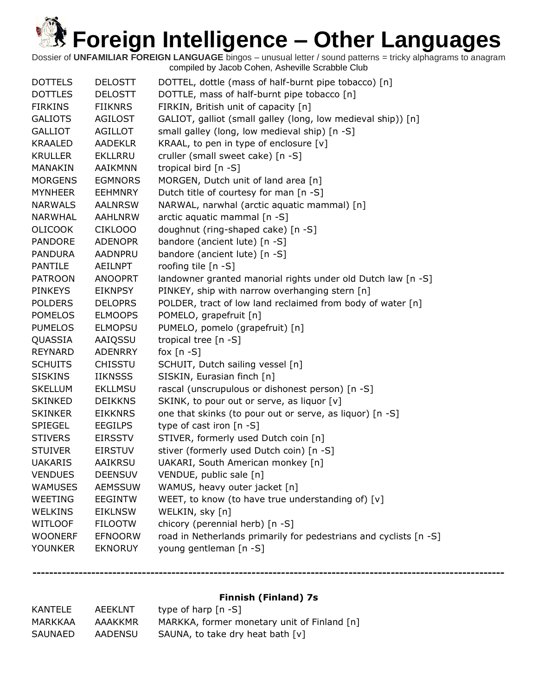Dossier of **UNFAMILIAR FOREIGN LANGUAGE** bingos – unusual letter / sound patterns = tricky alphagrams to anagram compiled by Jacob Cohen, Asheville Scrabble Club

| <b>DOTTELS</b> | <b>DELOSTT</b> | DOTTEL, dottle (mass of half-burnt pipe tobacco) [n]              |
|----------------|----------------|-------------------------------------------------------------------|
| <b>DOTTLES</b> | <b>DELOSTT</b> | DOTTLE, mass of half-burnt pipe tobacco [n]                       |
| <b>FIRKINS</b> | <b>FIIKNRS</b> | FIRKIN, British unit of capacity [n]                              |
| <b>GALIOTS</b> | <b>AGILOST</b> | GALIOT, galliot (small galley (long, low medieval ship)) [n]      |
| <b>GALLIOT</b> | <b>AGILLOT</b> | small galley (long, low medieval ship) [n -S]                     |
| <b>KRAALED</b> | <b>AADEKLR</b> | KRAAL, to pen in type of enclosure [v]                            |
| <b>KRULLER</b> | <b>EKLLRRU</b> | cruller (small sweet cake) [n -S]                                 |
| <b>MANAKIN</b> | <b>AAIKMNN</b> | tropical bird [n -S]                                              |
| <b>MORGENS</b> | <b>EGMNORS</b> | MORGEN, Dutch unit of land area [n]                               |
| <b>MYNHEER</b> | <b>EEHMNRY</b> | Dutch title of courtesy for man [n -S]                            |
| <b>NARWALS</b> | <b>AALNRSW</b> | NARWAL, narwhal (arctic aquatic mammal) [n]                       |
| NARWHAL        | <b>AAHLNRW</b> | arctic aquatic mammal [n -S]                                      |
| <b>OLICOOK</b> | CIKLOOO        | doughnut (ring-shaped cake) [n -S]                                |
| <b>PANDORE</b> | <b>ADENOPR</b> | bandore (ancient lute) [n -S]                                     |
| <b>PANDURA</b> | <b>AADNPRU</b> | bandore (ancient lute) [n -S]                                     |
| <b>PANTILE</b> | <b>AEILNPT</b> | roofing tile [n -S]                                               |
| <b>PATROON</b> | <b>ANOOPRT</b> | landowner granted manorial rights under old Dutch law [n -S]      |
| <b>PINKEYS</b> | <b>EIKNPSY</b> | PINKEY, ship with narrow overhanging stern [n]                    |
| <b>POLDERS</b> | <b>DELOPRS</b> | POLDER, tract of low land reclaimed from body of water [n]        |
| <b>POMELOS</b> | <b>ELMOOPS</b> | POMELO, grapefruit [n]                                            |
| <b>PUMELOS</b> | <b>ELMOPSU</b> | PUMELO, pomelo (grapefruit) [n]                                   |
| QUASSIA        | AAIQSSU        | tropical tree [n -S]                                              |
| REYNARD        | <b>ADENRRY</b> | fox $[n - S]$                                                     |
| <b>SCHUITS</b> | <b>CHISSTU</b> | SCHUIT, Dutch sailing vessel [n]                                  |
| <b>SISKINS</b> | <b>IIKNSSS</b> | SISKIN, Eurasian finch [n]                                        |
| <b>SKELLUM</b> | <b>EKLLMSU</b> | rascal (unscrupulous or dishonest person) [n -S]                  |
| <b>SKINKED</b> | <b>DEIKKNS</b> | SKINK, to pour out or serve, as liquor [v]                        |
| <b>SKINKER</b> | <b>EIKKNRS</b> | one that skinks (to pour out or serve, as liquor) [n -S]          |
| <b>SPIEGEL</b> | <b>EEGILPS</b> | type of cast iron [n -S]                                          |
| <b>STIVERS</b> | <b>EIRSSTV</b> | STIVER, formerly used Dutch coin [n]                              |
| <b>STUIVER</b> | <b>EIRSTUV</b> | stiver (formerly used Dutch coin) [n -S]                          |
| <b>UAKARIS</b> | <b>AAIKRSU</b> | UAKARI, South American monkey [n]                                 |
| <b>VENDUES</b> | <b>DEENSUV</b> | VENDUE, public sale [n]                                           |
| <b>WAMUSES</b> | <b>AEMSSUW</b> | WAMUS, heavy outer jacket [n]                                     |
| WEETING        | <b>EEGINTW</b> | WEET, to know (to have true understanding of) $[v]$               |
| WELKINS        | <b>EIKLNSW</b> | WELKIN, sky [n]                                                   |
| <b>WITLOOF</b> | <b>FILOOTW</b> | chicory (perennial herb) [n -S]                                   |
| <b>WOONERF</b> | <b>EFNOORW</b> | road in Netherlands primarily for pedestrians and cyclists [n -S] |
| <b>YOUNKER</b> | <b>EKNORUY</b> | young gentleman [n -S]                                            |

### **Finnish (Finland) 7s**

| KANTELE | AEEKLNT | type of harp $[n - S]$                      |
|---------|---------|---------------------------------------------|
| MARKKAA | AAAKKMR | MARKKA, former monetary unit of Finland [n] |
| SAUNAED | AADENSU | SAUNA, to take dry heat bath [v]            |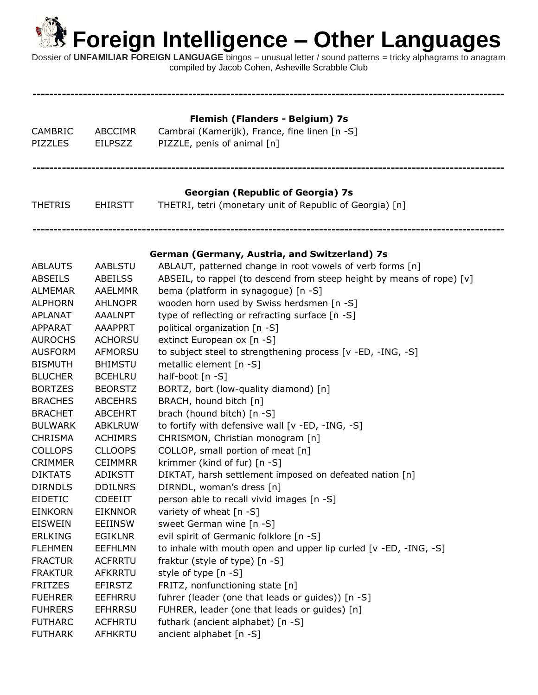**----------------------------------------------------------------------------------------------------------------**

| CAMBRIC<br><b>PIZZLES</b>        | <b>ABCCIMR</b><br><b>EILPSZZ</b> | Flemish (Flanders - Belgium) 7s<br>Cambrai (Kamerijk), France, fine linen [n -S]<br>PIZZLE, penis of animal [n] |
|----------------------------------|----------------------------------|-----------------------------------------------------------------------------------------------------------------|
| <b>THETRIS</b>                   | <b>EHIRSTT</b>                   | <b>Georgian (Republic of Georgia) 7s</b><br>THETRI, tetri (monetary unit of Republic of Georgia) [n]            |
| <b>ABLAUTS</b>                   | <b>AABLSTU</b>                   | German (Germany, Austria, and Switzerland) 7s<br>ABLAUT, patterned change in root vowels of verb forms [n]      |
| <b>ABSEILS</b>                   | ABEILSS                          | ABSEIL, to rappel (to descend from steep height by means of rope) [v]                                           |
| <b>ALMEMAR</b><br><b>ALPHORN</b> | <b>AAELMMR</b><br><b>AHLNOPR</b> | bema (platform in synagogue) [n -S]<br>wooden horn used by Swiss herdsmen [n -S]                                |
| APLANAT                          | <b>AAALNPT</b>                   | type of reflecting or refracting surface [n -S]                                                                 |
| <b>APPARAT</b>                   | <b>AAAPPRT</b>                   | political organization [n -S]                                                                                   |
| <b>AUROCHS</b>                   | <b>ACHORSU</b>                   | extinct European ox [n -S]                                                                                      |
| <b>AUSFORM</b>                   | <b>AFMORSU</b>                   | to subject steel to strengthening process [v -ED, -ING, -S]                                                     |
| <b>BISMUTH</b>                   | <b>BHIMSTU</b>                   | metallic element [n -S]                                                                                         |
| <b>BLUCHER</b>                   | <b>BCEHLRU</b>                   | half-boot [n -S]                                                                                                |
| <b>BORTZES</b>                   | <b>BEORSTZ</b>                   | BORTZ, bort (low-quality diamond) [n]                                                                           |
| <b>BRACHES</b>                   | <b>ABCEHRS</b>                   | BRACH, hound bitch [n]                                                                                          |
| <b>BRACHET</b>                   | <b>ABCEHRT</b>                   | brach (hound bitch) [n -S]                                                                                      |
| <b>BULWARK</b>                   | <b>ABKLRUW</b>                   | to fortify with defensive wall [v -ED, -ING, -S]                                                                |
| <b>CHRISMA</b>                   | <b>ACHIMRS</b>                   | CHRISMON, Christian monogram [n]                                                                                |
| <b>COLLOPS</b>                   | <b>CLLOOPS</b>                   | COLLOP, small portion of meat [n]                                                                               |
| <b>CRIMMER</b>                   | <b>CEIMMRR</b>                   | krimmer (kind of fur) [n -S]                                                                                    |
| <b>DIKTATS</b>                   | <b>ADIKSTT</b>                   | DIKTAT, harsh settlement imposed on defeated nation [n]                                                         |
| <b>DIRNDLS</b>                   | <b>DDILNRS</b>                   | DIRNDL, woman's dress [n]                                                                                       |
| <b>EIDETIC</b>                   | <b>CDEEIIT</b>                   | person able to recall vivid images [n -S]                                                                       |
| <b>EINKORN</b>                   | <b>EIKNNOR</b>                   | variety of wheat [n -S]                                                                                         |
| <b>EISWEIN</b>                   | EEIINSW                          | sweet German wine [n -S]                                                                                        |
| <b>ERLKING</b>                   | <b>EGIKLNR</b>                   | evil spirit of Germanic folklore [n -S]                                                                         |
| <b>FLEHMEN</b>                   | <b>EEFHLMN</b>                   | to inhale with mouth open and upper lip curled [v -ED, -ING, -S]                                                |
| <b>FRACTUR</b>                   | <b>ACFRRTU</b>                   | fraktur (style of type) [n -S]                                                                                  |
| <b>FRAKTUR</b>                   | AFKRRTU                          | style of type [n -S]                                                                                            |
| <b>FRITZES</b>                   | <b>EFIRSTZ</b>                   | FRITZ, nonfunctioning state [n]                                                                                 |
| <b>FUEHRER</b>                   | EEFHRRU                          | fuhrer (leader (one that leads or guides)) [n -S]                                                               |
| <b>FUHRERS</b>                   | <b>EFHRRSU</b>                   | FUHRER, leader (one that leads or guides) [n]                                                                   |
| <b>FUTHARC</b>                   | <b>ACFHRTU</b>                   | futhark (ancient alphabet) [n -S]                                                                               |
| <b>FUTHARK</b>                   | AFHKRTU                          | ancient alphabet [n -S]                                                                                         |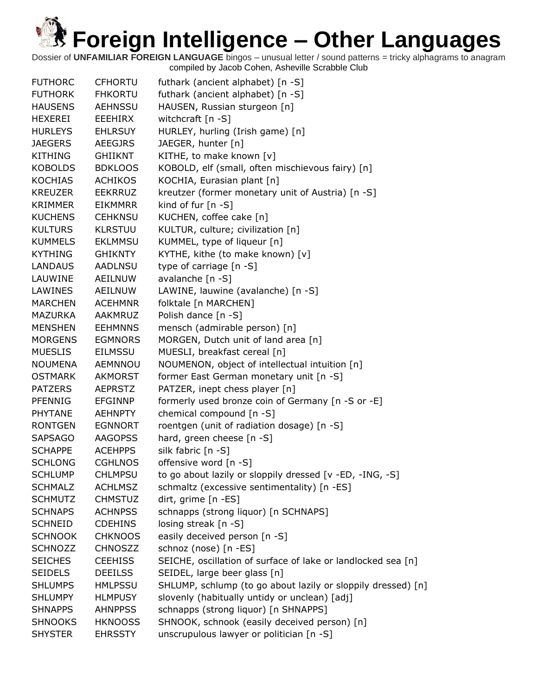| <b>FUTHORC</b> | <b>CFHORTU</b> | futhark (ancient alphabet) [n -S]                            |
|----------------|----------------|--------------------------------------------------------------|
| <b>FUTHORK</b> | <b>FHKORTU</b> | futhark (ancient alphabet) [n -S]                            |
| <b>HAUSENS</b> | <b>AEHNSSU</b> | HAUSEN, Russian sturgeon [n]                                 |
| HEXEREI        | EEEHIRX        | witchcraft [n -S]                                            |
| <b>HURLEYS</b> | <b>EHLRSUY</b> | HURLEY, hurling (Irish game) [n]                             |
| <b>JAEGERS</b> | <b>AEEGJRS</b> | JAEGER, hunter [n]                                           |
| <b>KITHING</b> | <b>GHIIKNT</b> | KITHE, to make known [v]                                     |
| <b>KOBOLDS</b> | <b>BDKLOOS</b> | KOBOLD, elf (small, often mischievous fairy) [n]             |
| <b>KOCHIAS</b> | <b>ACHIKOS</b> | KOCHIA, Eurasian plant [n]                                   |
| <b>KREUZER</b> | <b>EEKRRUZ</b> | kreutzer (former monetary unit of Austria) [n -S]            |
| KRIMMER        | <b>EIKMMRR</b> | kind of fur $[n -S]$                                         |
| <b>KUCHENS</b> | <b>CEHKNSU</b> | KUCHEN, coffee cake [n]                                      |
| <b>KULTURS</b> | <b>KLRSTUU</b> | KULTUR, culture; civilization [n]                            |
| <b>KUMMELS</b> | <b>EKLMMSU</b> | KUMMEL, type of liqueur [n]                                  |
| <b>KYTHING</b> | <b>GHIKNTY</b> | KYTHE, kithe (to make known) [v]                             |
| <b>LANDAUS</b> | <b>AADLNSU</b> | type of carriage [n -S]                                      |
| LAUWINE        | AEILNUW        | avalanche [n -S]                                             |
| <b>LAWINES</b> | AEILNUW        | LAWINE, lauwine (avalanche) [n -S]                           |
| <b>MARCHEN</b> | <b>ACEHMNR</b> | folktale [n MARCHEN]                                         |
| <b>MAZURKA</b> | <b>AAKMRUZ</b> | Polish dance [n -S]                                          |
| <b>MENSHEN</b> | <b>EEHMNNS</b> | mensch (admirable person) [n]                                |
| <b>MORGENS</b> | <b>EGMNORS</b> | MORGEN, Dutch unit of land area [n]                          |
| <b>MUESLIS</b> | <b>EILMSSU</b> | MUESLI, breakfast cereal [n]                                 |
| <b>NOUMENA</b> | AEMNNOU        | NOUMENON, object of intellectual intuition [n]               |
| <b>OSTMARK</b> | <b>AKMORST</b> | former East German monetary unit [n -S]                      |
| <b>PATZERS</b> | <b>AEPRSTZ</b> | PATZER, inept chess player [n]                               |
| <b>PFENNIG</b> | <b>EFGINNP</b> | formerly used bronze coin of Germany [n -S or -E]            |
| PHYTANE        | <b>AEHNPTY</b> | chemical compound [n -S]                                     |
| <b>RONTGEN</b> | <b>EGNNORT</b> | roentgen (unit of radiation dosage) [n -S]                   |
| <b>SAPSAGO</b> | <b>AAGOPSS</b> | hard, green cheese [n -S]                                    |
| <b>SCHAPPE</b> | <b>ACEHPPS</b> | silk fabric [n -S]                                           |
| <b>SCHLONG</b> | <b>CGHLNOS</b> | offensive word [n -S]                                        |
| <b>SCHLUMP</b> | <b>CHLMPSU</b> | to go about lazily or sloppily dressed [v -ED, -ING, -S]     |
| <b>SCHMALZ</b> | <b>ACHLMSZ</b> | schmaltz (excessive sentimentality) [n -ES]                  |
| <b>SCHMUTZ</b> | <b>CHMSTUZ</b> | dirt, grime [n -ES]                                          |
| <b>SCHNAPS</b> | <b>ACHNPSS</b> | schnapps (strong liquor) [n SCHNAPS]                         |
| <b>SCHNEID</b> | <b>CDEHINS</b> | losing streak [n -S]                                         |
| <b>SCHNOOK</b> | <b>CHKNOOS</b> | easily deceived person [n -S]                                |
| <b>SCHNOZZ</b> | <b>CHNOSZZ</b> | schnoz (nose) [n -ES]                                        |
| <b>SEICHES</b> | <b>CEEHISS</b> | SEICHE, oscillation of surface of lake or landlocked sea [n] |
| <b>SEIDELS</b> | <b>DEEILSS</b> | SEIDEL, large beer glass [n]                                 |
| <b>SHLUMPS</b> | <b>HMLPSSU</b> | SHLUMP, schlump (to go about lazily or sloppily dressed) [n] |
| <b>SHLUMPY</b> | <b>HLMPUSY</b> | slovenly (habitually untidy or unclean) [adj]                |
| <b>SHNAPPS</b> | <b>AHNPPSS</b> | schnapps (strong liquor) [n SHNAPPS]                         |
| <b>SHNOOKS</b> | <b>HKNOOSS</b> | SHNOOK, schnook (easily deceived person) [n]                 |
| <b>SHYSTER</b> | <b>EHRSSTY</b> | unscrupulous lawyer or politician [n -S]                     |
|                |                |                                                              |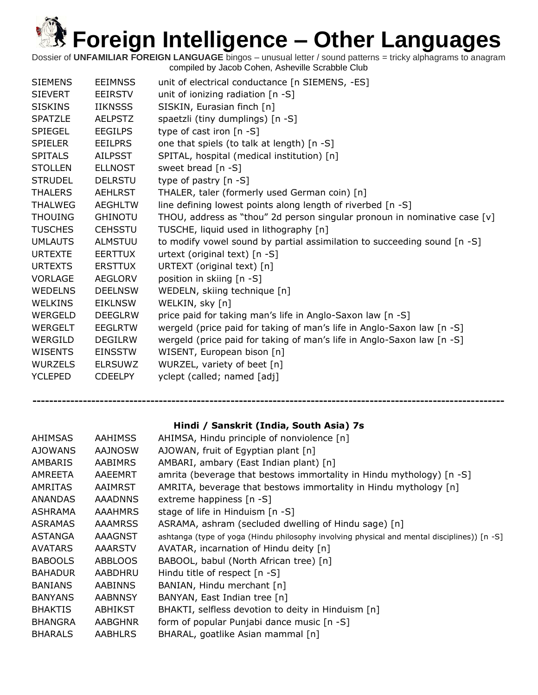Dossier of **UNFAMILIAR FOREIGN LANGUAGE** bingos – unusual letter / sound patterns = tricky alphagrams to anagram compiled by Jacob Cohen, Asheville Scrabble Club

| <b>SIEMENS</b> | <b>EEIMNSS</b> | unit of electrical conductance [n SIEMENS, -ES]                             |
|----------------|----------------|-----------------------------------------------------------------------------|
| <b>SIEVERT</b> | EEIRSTV        | unit of ionizing radiation $[n -S]$                                         |
| <b>SISKINS</b> | <b>IIKNSSS</b> | SISKIN, Eurasian finch [n]                                                  |
| <b>SPATZLE</b> | <b>AELPSTZ</b> | spaetzli (tiny dumplings) [n -S]                                            |
| <b>SPIEGEL</b> | <b>EEGILPS</b> | type of cast iron [n -S]                                                    |
| <b>SPIELER</b> | <b>EEILPRS</b> | one that spiels (to talk at length) [n -S]                                  |
| <b>SPITALS</b> | <b>AILPSST</b> | SPITAL, hospital (medical institution) [n]                                  |
| <b>STOLLEN</b> | <b>ELLNOST</b> | sweet bread [n -S]                                                          |
| <b>STRUDEL</b> | <b>DELRSTU</b> | type of pastry $[n - S]$                                                    |
| <b>THALERS</b> | <b>AEHLRST</b> | THALER, taler (formerly used German coin) [n]                               |
| <b>THALWEG</b> | <b>AEGHLTW</b> | line defining lowest points along length of riverbed [n -S]                 |
| <b>THOUING</b> | <b>GHINOTU</b> | THOU, address as "thou" 2d person singular pronoun in nominative case $[v]$ |
| <b>TUSCHES</b> | <b>CEHSSTU</b> | TUSCHE, liquid used in lithography [n]                                      |
| <b>UMLAUTS</b> | <b>ALMSTUU</b> | to modify vowel sound by partial assimilation to succeeding sound [n -S]    |
| <b>URTEXTE</b> | <b>EERTTUX</b> | urtext (original text) [n -S]                                               |
| <b>URTEXTS</b> | <b>ERSTTUX</b> | URTEXT (original text) [n]                                                  |
| <b>VORLAGE</b> | <b>AEGLORV</b> | position in skiing [n -S]                                                   |
| <b>WEDELNS</b> | <b>DEELNSW</b> | WEDELN, skiing technique [n]                                                |
| <b>WELKINS</b> | <b>EIKLNSW</b> | WELKIN, sky [n]                                                             |
| WERGELD        | <b>DEEGLRW</b> | price paid for taking man's life in Anglo-Saxon law [n -S]                  |
| <b>WERGELT</b> | <b>EEGLRTW</b> | wergeld (price paid for taking of man's life in Anglo-Saxon law [n -S]      |
| WERGILD        | <b>DEGILRW</b> | wergeld (price paid for taking of man's life in Anglo-Saxon law [n -S]      |
| <b>WISENTS</b> | <b>EINSSTW</b> | WISENT, European bison [n]                                                  |
| <b>WURZELS</b> | <b>ELRSUWZ</b> | WURZEL, variety of beet [n]                                                 |
| <b>YCLEPED</b> | <b>CDEELPY</b> | yclept (called; named [adj]                                                 |
|                |                |                                                                             |

### **Hindi / Sanskrit (India, South Asia) 7s**

| AHIMSAS        | <b>AAHIMSS</b> | AHIMSA, Hindu principle of nonviolence [n]                                                  |
|----------------|----------------|---------------------------------------------------------------------------------------------|
| <b>AJOWANS</b> | <b>AAJNOSW</b> | AJOWAN, fruit of Egyptian plant [n]                                                         |
| AMBARIS        | <b>AABIMRS</b> | AMBARI, ambary (East Indian plant) [n]                                                      |
| AMREETA        | AAEEMRT        | amrita (beverage that bestows immortality in Hindu mythology) [n -S]                        |
| AMRITAS        | AAIMRST        | AMRITA, beverage that bestows immortality in Hindu mythology [n]                            |
| ANANDAS        | <b>AAADNNS</b> | extreme happiness [n -S]                                                                    |
| <b>ASHRAMA</b> | <b>AAAHMRS</b> | stage of life in Hinduism [n -S]                                                            |
| <b>ASRAMAS</b> | <b>AAAMRSS</b> | ASRAMA, ashram (secluded dwelling of Hindu sage) [n]                                        |
| ASTANGA        | AAAGNST        | ashtanga (type of yoga (Hindu philosophy involving physical and mental disciplines)) [n -S] |
| <b>AVATARS</b> | <b>AAARSTV</b> | AVATAR, incarnation of Hindu deity [n]                                                      |
| <b>BABOOLS</b> | <b>ABBLOOS</b> | BABOOL, babul (North African tree) [n]                                                      |
| <b>BAHADUR</b> | AABDHRU        | Hindu title of respect [n -S]                                                               |
| <b>BANIANS</b> | <b>AABINNS</b> | BANIAN, Hindu merchant [n]                                                                  |
| <b>BANYANS</b> | <b>AABNNSY</b> | BANYAN, East Indian tree [n]                                                                |
| <b>BHAKTIS</b> | ABHIKST        | BHAKTI, selfless devotion to deity in Hinduism [n]                                          |
| <b>BHANGRA</b> | <b>AABGHNR</b> | form of popular Punjabi dance music [n -S]                                                  |
| <b>BHARALS</b> | <b>AABHLRS</b> | BHARAL, goatlike Asian mammal [n]                                                           |
|                |                |                                                                                             |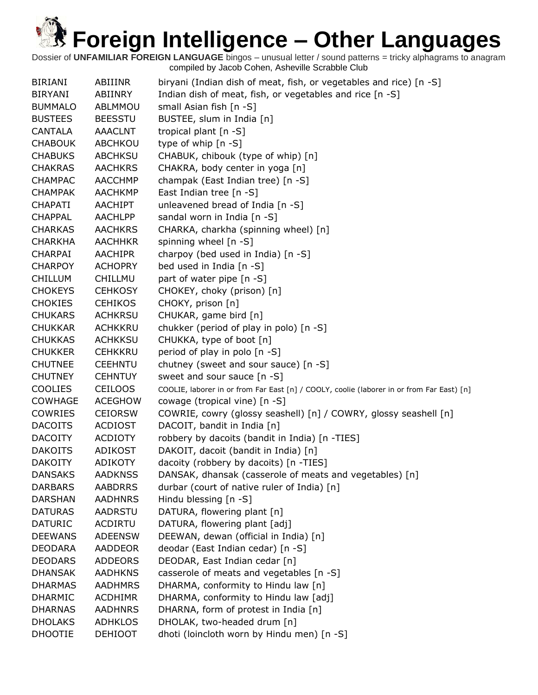| <b>BIRIANI</b> | ABIIINR        | biryani (Indian dish of meat, fish, or vegetables and rice) [n -S]                        |
|----------------|----------------|-------------------------------------------------------------------------------------------|
| <b>BIRYANI</b> | ABIINRY        | Indian dish of meat, fish, or vegetables and rice [n -S]                                  |
| <b>BUMMALO</b> | ABLMMOU        | small Asian fish [n -S]                                                                   |
| <b>BUSTEES</b> | <b>BEESSTU</b> | BUSTEE, slum in India [n]                                                                 |
| <b>CANTALA</b> | <b>AAACLNT</b> | tropical plant [n -S]                                                                     |
| <b>CHABOUK</b> | ABCHKOU        | type of whip [n -S]                                                                       |
| <b>CHABUKS</b> | <b>ABCHKSU</b> | CHABUK, chibouk (type of whip) [n]                                                        |
| <b>CHAKRAS</b> | <b>AACHKRS</b> | CHAKRA, body center in yoga [n]                                                           |
| <b>CHAMPAC</b> | <b>AACCHMP</b> | champak (East Indian tree) [n -S]                                                         |
| <b>CHAMPAK</b> | <b>AACHKMP</b> | East Indian tree [n -S]                                                                   |
| <b>CHAPATI</b> | AACHIPT        | unleavened bread of India [n -S]                                                          |
| <b>CHAPPAL</b> | <b>AACHLPP</b> | sandal worn in India [n -S]                                                               |
| <b>CHARKAS</b> | <b>AACHKRS</b> | CHARKA, charkha (spinning wheel) [n]                                                      |
| <b>CHARKHA</b> | <b>AACHHKR</b> | spinning wheel [n -S]                                                                     |
| <b>CHARPAI</b> | <b>AACHIPR</b> | charpoy (bed used in India) [n -S]                                                        |
| <b>CHARPOY</b> | <b>ACHOPRY</b> | bed used in India [n -S]                                                                  |
| <b>CHILLUM</b> | CHILLMU        | part of water pipe [n -S]                                                                 |
| <b>CHOKEYS</b> | <b>CEHKOSY</b> | CHOKEY, choky (prison) [n]                                                                |
| <b>CHOKIES</b> | <b>CEHIKOS</b> | CHOKY, prison [n]                                                                         |
| <b>CHUKARS</b> | <b>ACHKRSU</b> | CHUKAR, game bird [n]                                                                     |
| <b>CHUKKAR</b> | <b>ACHKKRU</b> | chukker (period of play in polo) [n -S]                                                   |
| <b>CHUKKAS</b> | <b>ACHKKSU</b> | CHUKKA, type of boot [n]                                                                  |
| <b>CHUKKER</b> | <b>CEHKKRU</b> | period of play in polo [n -S]                                                             |
| <b>CHUTNEE</b> | <b>CEEHNTU</b> | chutney (sweet and sour sauce) [n -S]                                                     |
| <b>CHUTNEY</b> | <b>CEHNTUY</b> | sweet and sour sauce [n -S]                                                               |
| <b>COOLIES</b> | <b>CEILOOS</b> | COOLIE, laborer in or from Far East [n] / COOLY, coolie (laborer in or from Far East) [n] |
| <b>COWHAGE</b> | <b>ACEGHOW</b> | cowage (tropical vine) [n -S]                                                             |
| <b>COWRIES</b> | <b>CEIORSW</b> | COWRIE, cowry (glossy seashell) [n] / COWRY, glossy seashell [n]                          |
| <b>DACOITS</b> | <b>ACDIOST</b> | DACOIT, bandit in India [n]                                                               |
| <b>DACOITY</b> | <b>ACDIOTY</b> | robbery by dacoits (bandit in India) [n -TIES]                                            |
| <b>DAKOITS</b> | <b>ADIKOST</b> | DAKOIT, dacoit (bandit in India) [n]                                                      |
| <b>DAKOITY</b> | <b>ADIKOTY</b> | dacoity (robbery by dacoits) [n -TIES]                                                    |
| <b>DANSAKS</b> | <b>AADKNSS</b> | DANSAK, dhansak (casserole of meats and vegetables) [n]                                   |
| <b>DARBARS</b> | <b>AABDRRS</b> | durbar (court of native ruler of India) [n]                                               |
| <b>DARSHAN</b> | <b>AADHNRS</b> | Hindu blessing [n -S]                                                                     |
| <b>DATURAS</b> | AADRSTU        | DATURA, flowering plant [n]                                                               |
| <b>DATURIC</b> | <b>ACDIRTU</b> | DATURA, flowering plant [adj]                                                             |
| <b>DEEWANS</b> | <b>ADEENSW</b> | DEEWAN, dewan (official in India) [n]                                                     |
| <b>DEODARA</b> | <b>AADDEOR</b> | deodar (East Indian cedar) [n -S]                                                         |
| <b>DEODARS</b> | <b>ADDEORS</b> | DEODAR, East Indian cedar [n]                                                             |
| <b>DHANSAK</b> | <b>AADHKNS</b> | casserole of meats and vegetables [n -S]                                                  |
| <b>DHARMAS</b> | <b>AADHMRS</b> | DHARMA, conformity to Hindu law [n]                                                       |
| <b>DHARMIC</b> | <b>ACDHIMR</b> | DHARMA, conformity to Hindu law [adj]                                                     |
| <b>DHARNAS</b> | <b>AADHNRS</b> | DHARNA, form of protest in India [n]                                                      |
| <b>DHOLAKS</b> | <b>ADHKLOS</b> | DHOLAK, two-headed drum [n]                                                               |
| <b>DHOOTIE</b> | <b>DEHIOOT</b> | dhoti (loincloth worn by Hindu men) [n -S]                                                |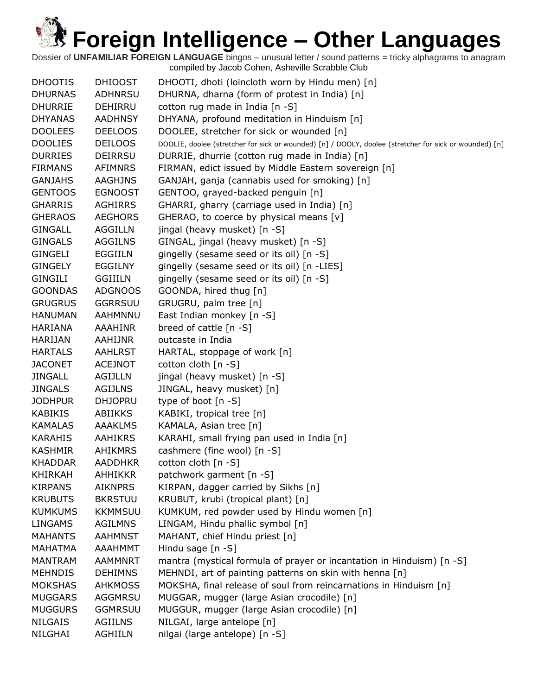| <b>DHOOTIS</b> | <b>DHIOOST</b> | DHOOTI, dhoti (loincloth worn by Hindu men) [n]                                                        |
|----------------|----------------|--------------------------------------------------------------------------------------------------------|
| <b>DHURNAS</b> | <b>ADHNRSU</b> | DHURNA, dharna (form of protest in India) [n]                                                          |
| <b>DHURRIE</b> | DEHIRRU        | cotton rug made in India [n -S]                                                                        |
| <b>DHYANAS</b> | <b>AADHNSY</b> | DHYANA, profound meditation in Hinduism [n]                                                            |
| <b>DOOLEES</b> | <b>DEELOOS</b> | DOOLEE, stretcher for sick or wounded [n]                                                              |
| <b>DOOLIES</b> | <b>DEILOOS</b> | DOOLIE, doolee (stretcher for sick or wounded) [n] / DOOLY, doolee (stretcher for sick or wounded) [n] |
| <b>DURRIES</b> | <b>DEIRRSU</b> | DURRIE, dhurrie (cotton rug made in India) [n]                                                         |
| <b>FIRMANS</b> | <b>AFIMNRS</b> | FIRMAN, edict issued by Middle Eastern sovereign [n]                                                   |
| <b>GANJAHS</b> | <b>AAGHJNS</b> | GANJAH, ganja (cannabis used for smoking) [n]                                                          |
| <b>GENTOOS</b> | <b>EGNOOST</b> | GENTOO, grayed-backed penguin [n]                                                                      |
| <b>GHARRIS</b> | <b>AGHIRRS</b> | GHARRI, gharry (carriage used in India) [n]                                                            |
| <b>GHERAOS</b> | <b>AEGHORS</b> | GHERAO, to coerce by physical means [v]                                                                |
| <b>GINGALL</b> | AGGILLN        | jingal (heavy musket) [n -S]                                                                           |
| <b>GINGALS</b> | AGGILNS        | GINGAL, jingal (heavy musket) [n -S]                                                                   |
| <b>GINGELI</b> | EGGIILN        | gingelly (sesame seed or its oil) [n -S]                                                               |
| <b>GINGELY</b> | <b>EGGILNY</b> | gingelly (sesame seed or its oil) [n -LIES]                                                            |
| <b>GINGILI</b> | <b>GGIIILN</b> | gingelly (sesame seed or its oil) [n -S]                                                               |
| <b>GOONDAS</b> | <b>ADGNOOS</b> | GOONDA, hired thug [n]                                                                                 |
| <b>GRUGRUS</b> | <b>GGRRSUU</b> | GRUGRU, palm tree [n]                                                                                  |
| <b>HANUMAN</b> | AAHMNNU        | East Indian monkey [n -S]                                                                              |
| HARIANA        | AAAHINR        | breed of cattle $[n -S]$                                                                               |
| <b>HARIJAN</b> | AAHIJNR        | outcaste in India                                                                                      |
| <b>HARTALS</b> | <b>AAHLRST</b> | HARTAL, stoppage of work [n]                                                                           |
| <b>JACONET</b> | <b>ACEJNOT</b> | cotton cloth [n -S]                                                                                    |
| <b>JINGALL</b> | <b>AGIJLLN</b> | jingal (heavy musket) [n -S]                                                                           |
| <b>JINGALS</b> | <b>AGIJLNS</b> | JINGAL, heavy musket) [n]                                                                              |
| <b>JODHPUR</b> | <b>DHJOPRU</b> | type of boot [n -S]                                                                                    |
| <b>KABIKIS</b> | <b>ABIIKKS</b> | KABIKI, tropical tree [n]                                                                              |
| <b>KAMALAS</b> | <b>AAAKLMS</b> | KAMALA, Asian tree [n]                                                                                 |
| <b>KARAHIS</b> | <b>AAHIKRS</b> | KARAHI, small frying pan used in India [n]                                                             |
| <b>KASHMIR</b> | <b>AHIKMRS</b> | cashmere (fine wool) [n -S]                                                                            |
| <b>KHADDAR</b> | <b>AADDHKR</b> | cotton cloth [n -S]                                                                                    |
| <b>KHIRKAH</b> | AHHIKKR        | patchwork garment [n -S]                                                                               |
| <b>KIRPANS</b> | <b>AIKNPRS</b> | KIRPAN, dagger carried by Sikhs [n]                                                                    |
| <b>KRUBUTS</b> | <b>BKRSTUU</b> | KRUBUT, krubi (tropical plant) [n]                                                                     |
| <b>KUMKUMS</b> | <b>KKMMSUU</b> | KUMKUM, red powder used by Hindu women [n]                                                             |
| <b>LINGAMS</b> | <b>AGILMNS</b> | LINGAM, Hindu phallic symbol [n]                                                                       |
| <b>MAHANTS</b> | <b>AAHMNST</b> | MAHANT, chief Hindu priest [n]                                                                         |
| <b>MAHATMA</b> | <b>AAAHMMT</b> | Hindu sage $[n -S]$                                                                                    |
| <b>MANTRAM</b> | <b>AAMMNRT</b> | mantra (mystical formula of prayer or incantation in Hinduism) [n -S]                                  |
| <b>MEHNDIS</b> | <b>DEHIMNS</b> | MEHNDI, art of painting patterns on skin with henna [n]                                                |
| <b>MOKSHAS</b> | <b>AHKMOSS</b> | MOKSHA, final release of soul from reincarnations in Hinduism [n]                                      |
| <b>MUGGARS</b> | AGGMRSU        | MUGGAR, mugger (large Asian crocodile) [n]                                                             |
| <b>MUGGURS</b> | <b>GGMRSUU</b> | MUGGUR, mugger (large Asian crocodile) [n]                                                             |
| <b>NILGAIS</b> | <b>AGIILNS</b> | NILGAI, large antelope [n]                                                                             |
| NILGHAI        | AGHIILN        | nilgai (large antelope) [n -S]                                                                         |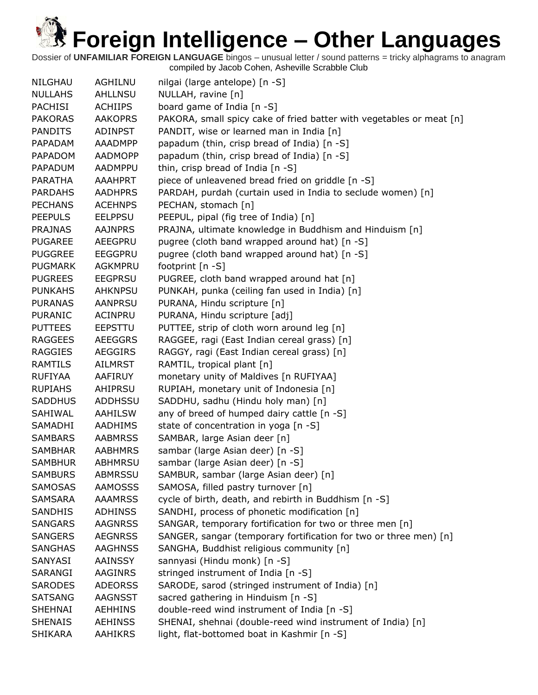| NILGHAU        | AGHILNU        | nilgai (large antelope) [n -S]                                       |
|----------------|----------------|----------------------------------------------------------------------|
| <b>NULLAHS</b> | <b>AHLLNSU</b> | NULLAH, ravine [n]                                                   |
| <b>PACHISI</b> | <b>ACHIIPS</b> | board game of India [n -S]                                           |
| <b>PAKORAS</b> | <b>AAKOPRS</b> | PAKORA, small spicy cake of fried batter with vegetables or meat [n] |
| <b>PANDITS</b> | <b>ADINPST</b> | PANDIT, wise or learned man in India [n]                             |
| PAPADAM        | AAADMPP        | papadum (thin, crisp bread of India) [n -S]                          |
| PAPADOM        | <b>AADMOPP</b> | papadum (thin, crisp bread of India) [n -S]                          |
| PAPADUM        | AADMPPU        | thin, crisp bread of India [n -S]                                    |
| <b>PARATHA</b> | <b>AAAHPRT</b> | piece of unleavened bread fried on griddle [n -S]                    |
| <b>PARDAHS</b> | <b>AADHPRS</b> | PARDAH, purdah (curtain used in India to seclude women) [n]          |
| <b>PECHANS</b> | <b>ACEHNPS</b> | PECHAN, stomach [n]                                                  |
| <b>PEEPULS</b> | <b>EELPPSU</b> | PEEPUL, pipal (fig tree of India) [n]                                |
| <b>PRAJNAS</b> | <b>AAJNPRS</b> | PRAJNA, ultimate knowledge in Buddhism and Hinduism [n]              |
| <b>PUGAREE</b> | AEEGPRU        | pugree (cloth band wrapped around hat) [n -S]                        |
| <b>PUGGREE</b> | <b>EEGGPRU</b> | pugree (cloth band wrapped around hat) [n -S]                        |
| <b>PUGMARK</b> | AGKMPRU        | footprint [n -S]                                                     |
| <b>PUGREES</b> | <b>EEGPRSU</b> | PUGREE, cloth band wrapped around hat [n]                            |
| <b>PUNKAHS</b> | <b>AHKNPSU</b> | PUNKAH, punka (ceiling fan used in India) [n]                        |
| <b>PURANAS</b> | <b>AANPRSU</b> | PURANA, Hindu scripture [n]                                          |
| <b>PURANIC</b> | ACINPRU        | PURANA, Hindu scripture [adj]                                        |
| <b>PUTTEES</b> | <b>EEPSTTU</b> | PUTTEE, strip of cloth worn around leg [n]                           |
| <b>RAGGEES</b> | <b>AEEGGRS</b> | RAGGEE, ragi (East Indian cereal grass) [n]                          |
| <b>RAGGIES</b> | <b>AEGGIRS</b> | RAGGY, ragi (East Indian cereal grass) [n]                           |
| <b>RAMTILS</b> | AILMRST        | RAMTIL, tropical plant [n]                                           |
| <b>RUFIYAA</b> | AAFIRUY        | monetary unity of Maldives [n RUFIYAA]                               |
| <b>RUPIAHS</b> | AHIPRSU        | RUPIAH, monetary unit of Indonesia [n]                               |
| <b>SADDHUS</b> | <b>ADDHSSU</b> | SADDHU, sadhu (Hindu holy man) [n]                                   |
| SAHIWAL        | AAHILSW        | any of breed of humped dairy cattle [n -S]                           |
| SAMADHI        | <b>AADHIMS</b> | state of concentration in yoga [n -S]                                |
| <b>SAMBARS</b> | <b>AABMRSS</b> | SAMBAR, large Asian deer [n]                                         |
| <b>SAMBHAR</b> | <b>AABHMRS</b> | sambar (large Asian deer) [n -S]                                     |
| <b>SAMBHUR</b> | <b>ABHMRSU</b> | sambar (large Asian deer) [n -S]                                     |
| <b>SAMBURS</b> | <b>ABMRSSU</b> | SAMBUR, sambar (large Asian deer) [n]                                |
| <b>SAMOSAS</b> | <b>AAMOSSS</b> | SAMOSA, filled pastry turnover [n]                                   |
| <b>SAMSARA</b> | <b>AAAMRSS</b> | cycle of birth, death, and rebirth in Buddhism [n -S]                |
| SANDHIS        | <b>ADHINSS</b> | SANDHI, process of phonetic modification [n]                         |
| <b>SANGARS</b> | <b>AAGNRSS</b> | SANGAR, temporary fortification for two or three men [n]             |
| <b>SANGERS</b> | <b>AEGNRSS</b> | SANGER, sangar (temporary fortification for two or three men) [n]    |
| <b>SANGHAS</b> | <b>AAGHNSS</b> | SANGHA, Buddhist religious community [n]                             |
| SANYASI        | <b>AAINSSY</b> | sannyasi (Hindu monk) [n -S]                                         |
| SARANGI        | AAGINRS        | stringed instrument of India [n -S]                                  |
| <b>SARODES</b> | <b>ADEORSS</b> | SARODE, sarod (stringed instrument of India) [n]                     |
| <b>SATSANG</b> | AAGNSST        | sacred gathering in Hinduism [n -S]                                  |
| SHEHNAI        | <b>AEHHINS</b> | double-reed wind instrument of India [n -S]                          |
| <b>SHENAIS</b> | <b>AEHINSS</b> | SHENAI, shehnai (double-reed wind instrument of India) [n]           |
| <b>SHIKARA</b> | <b>AAHIKRS</b> | light, flat-bottomed boat in Kashmir [n -S]                          |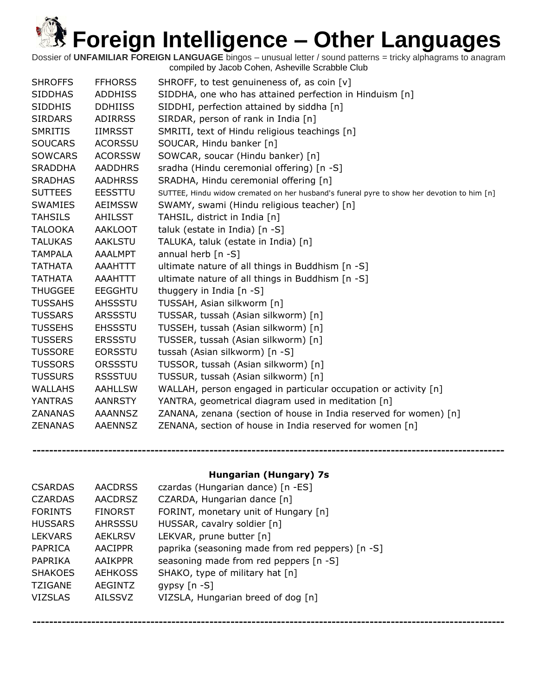Dossier of **UNFAMILIAR FOREIGN LANGUAGE** bingos – unusual letter / sound patterns = tricky alphagrams to anagram compiled by Jacob Cohen, Asheville Scrabble Club

| <b>SHROFFS</b> | <b>FFHORSS</b> | SHROFF, to test genuineness of, as coin [v]                                                |
|----------------|----------------|--------------------------------------------------------------------------------------------|
| <b>SIDDHAS</b> | <b>ADDHISS</b> | SIDDHA, one who has attained perfection in Hinduism [n]                                    |
| <b>SIDDHIS</b> | <b>DDHIISS</b> | SIDDHI, perfection attained by siddha [n]                                                  |
| <b>SIRDARS</b> | <b>ADIRRSS</b> | SIRDAR, person of rank in India [n]                                                        |
| <b>SMRITIS</b> | IIMRSST        | SMRITI, text of Hindu religious teachings [n]                                              |
| <b>SOUCARS</b> | <b>ACORSSU</b> | SOUCAR, Hindu banker [n]                                                                   |
| <b>SOWCARS</b> | <b>ACORSSW</b> | SOWCAR, soucar (Hindu banker) [n]                                                          |
| <b>SRADDHA</b> | <b>AADDHRS</b> | sradha (Hindu ceremonial offering) [n -S]                                                  |
| <b>SRADHAS</b> | <b>AADHRSS</b> | SRADHA, Hindu ceremonial offering [n]                                                      |
| <b>SUTTEES</b> | <b>EESSTTU</b> | SUTTEE, Hindu widow cremated on her husband's funeral pyre to show her devotion to him [n] |
| <b>SWAMIES</b> | <b>AEIMSSW</b> | SWAMY, swami (Hindu religious teacher) [n]                                                 |
| <b>TAHSILS</b> | AHILSST        | TAHSIL, district in India [n]                                                              |
| <b>TALOOKA</b> | AAKLOOT        | taluk (estate in India) [n -S]                                                             |
| <b>TALUKAS</b> | <b>AAKLSTU</b> | TALUKA, taluk (estate in India) [n]                                                        |
| <b>TAMPALA</b> | AAALMPT        | annual herb $[n - S]$                                                                      |
| <b>TATHATA</b> | AAAHTTT        | ultimate nature of all things in Buddhism [n -S]                                           |
| <b>TATHATA</b> | AAAHTTT        | ultimate nature of all things in Buddhism [n -S]                                           |
| <b>THUGGEE</b> | <b>EEGGHTU</b> | thuggery in India [n -S]                                                                   |
| <b>TUSSAHS</b> | <b>AHSSSTU</b> | TUSSAH, Asian silkworm [n]                                                                 |
| <b>TUSSARS</b> | <b>ARSSSTU</b> | TUSSAR, tussah (Asian silkworm) [n]                                                        |
| <b>TUSSEHS</b> | <b>EHSSSTU</b> | TUSSEH, tussah (Asian silkworm) [n]                                                        |
| <b>TUSSERS</b> | <b>ERSSSTU</b> | TUSSER, tussah (Asian silkworm) [n]                                                        |
| <b>TUSSORE</b> | <b>EORSSTU</b> | tussah (Asian silkworm) [n -S]                                                             |
| <b>TUSSORS</b> | ORSSSTU        | TUSSOR, tussah (Asian silkworm) [n]                                                        |
| <b>TUSSURS</b> | <b>RSSSTUU</b> | TUSSUR, tussah (Asian silkworm) [n]                                                        |
| <b>WALLAHS</b> | <b>AAHLLSW</b> | WALLAH, person engaged in particular occupation or activity [n]                            |
| <b>YANTRAS</b> | <b>AANRSTY</b> | YANTRA, geometrical diagram used in meditation [n]                                         |
| <b>ZANANAS</b> | <b>AAANNSZ</b> | ZANANA, zenana (section of house in India reserved for women) [n]                          |
| <b>ZENANAS</b> | <b>AAENNSZ</b> | ZENANA, section of house in India reserved for women [n]                                   |
|                |                |                                                                                            |

### **Hungarian (Hungary) 7s**

**----------------------------------------------------------------------------------------------------------------**

| <b>CSARDAS</b> | <b>AACDRSS</b> | czardas (Hungarian dance) [n -ES]                |
|----------------|----------------|--------------------------------------------------|
| <b>CZARDAS</b> | <b>AACDRSZ</b> | CZARDA, Hungarian dance [n]                      |
| <b>FORINTS</b> | <b>FINORST</b> | FORINT, monetary unit of Hungary [n]             |
| <b>HUSSARS</b> | <b>AHRSSSU</b> | HUSSAR, cavalry soldier [n]                      |
| <b>LEKVARS</b> | <b>AEKLRSV</b> | LEKVAR, prune butter [n]                         |
| PAPRICA        | <b>AACIPPR</b> | paprika (seasoning made from red peppers) [n -S] |
| PAPRIKA        | <b>AAIKPPR</b> | seasoning made from red peppers [n -S]           |
| <b>SHAKOES</b> | <b>AEHKOSS</b> | SHAKO, type of military hat [n]                  |
| <b>TZIGANE</b> | <b>AEGINTZ</b> | gypsy $[n - S]$                                  |
| <b>VIZSLAS</b> | <b>AILSSVZ</b> | VIZSLA, Hungarian breed of dog [n]               |
|                |                |                                                  |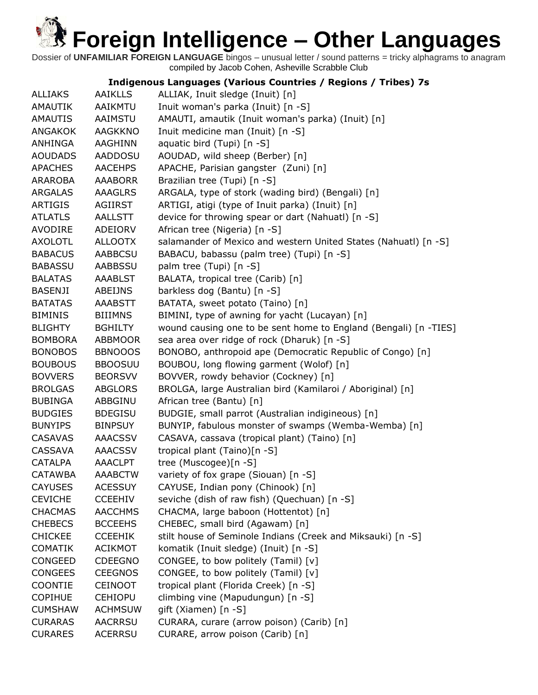Dossier of **UNFAMILIAR FOREIGN LANGUAGE** bingos – unusual letter / sound patterns = tricky alphagrams to anagram compiled by Jacob Cohen, Asheville Scrabble Club

### **Indigenous Languages (Various Countries / Regions / Tribes) 7s**

| <b>ALLIAKS</b> | <b>AAIKLLS</b> | ALLIAK, Inuit sledge (Inuit) [n]                                 |
|----------------|----------------|------------------------------------------------------------------|
| <b>AMAUTIK</b> | AAIKMTU        | Inuit woman's parka (Inuit) [n -S]                               |
| <b>AMAUTIS</b> | AAIMSTU        | AMAUTI, amautik (Inuit woman's parka) (Inuit) [n]                |
| <b>ANGAKOK</b> | <b>AAGKKNO</b> | Inuit medicine man (Inuit) [n -S]                                |
| ANHINGA        | AAGHINN        | aquatic bird (Tupi) [n -S]                                       |
| <b>AOUDADS</b> | AADDOSU        | AOUDAD, wild sheep (Berber) [n]                                  |
| <b>APACHES</b> | <b>AACEHPS</b> | APACHE, Parisian gangster (Zuni) [n]                             |
| <b>ARAROBA</b> | <b>AAABORR</b> | Brazilian tree (Tupi) [n -S]                                     |
| <b>ARGALAS</b> | <b>AAAGLRS</b> | ARGALA, type of stork (wading bird) (Bengali) [n]                |
| <b>ARTIGIS</b> | AGIIRST        | ARTIGI, atigi (type of Inuit parka) (Inuit) [n]                  |
| <b>ATLATLS</b> | AALLSTT        | device for throwing spear or dart (Nahuatl) [n -S]               |
| AVODIRE        | ADEIORV        | African tree (Nigeria) [n -S]                                    |
| <b>AXOLOTL</b> | <b>ALLOOTX</b> | salamander of Mexico and western United States (Nahuatl) [n -S]  |
| <b>BABACUS</b> | <b>AABBCSU</b> | BABACU, babassu (palm tree) (Tupi) [n -S]                        |
| <b>BABASSU</b> | AABBSSU        | palm tree (Tupi) [n -S]                                          |
| <b>BALATAS</b> | <b>AAABLST</b> | BALATA, tropical tree (Carib) [n]                                |
| <b>BASENJI</b> | ABEIJNS        | barkless dog (Bantu) [n -S]                                      |
| <b>BATATAS</b> | <b>AAABSTT</b> | BATATA, sweet potato (Taino) [n]                                 |
| <b>BIMINIS</b> | <b>BIIIMNS</b> | BIMINI, type of awning for yacht (Lucayan) [n]                   |
| <b>BLIGHTY</b> | <b>BGHILTY</b> | wound causing one to be sent home to England (Bengali) [n -TIES] |
| <b>BOMBORA</b> | <b>ABBMOOR</b> | sea area over ridge of rock (Dharuk) [n -S]                      |
| <b>BONOBOS</b> | <b>BBNOOOS</b> | BONOBO, anthropoid ape (Democratic Republic of Congo) [n]        |
| <b>BOUBOUS</b> | <b>BBOOSUU</b> | BOUBOU, long flowing garment (Wolof) [n]                         |
| <b>BOVVERS</b> | <b>BEORSVV</b> | BOVVER, rowdy behavior (Cockney) [n]                             |
| <b>BROLGAS</b> | <b>ABGLORS</b> | BROLGA, large Australian bird (Kamilaroi / Aboriginal) [n]       |
| <b>BUBINGA</b> | ABBGINU        | African tree (Bantu) [n]                                         |
| <b>BUDGIES</b> | <b>BDEGISU</b> | BUDGIE, small parrot (Australian indigineous) [n]                |
| <b>BUNYIPS</b> | <b>BINPSUY</b> | BUNYIP, fabulous monster of swamps (Wemba-Wemba) [n]             |
| <b>CASAVAS</b> | <b>AAACSSV</b> | CASAVA, cassava (tropical plant) (Taino) [n]                     |
| CASSAVA        | <b>AAACSSV</b> | tropical plant (Taino)[n -S]                                     |
| <b>CATALPA</b> | AAACLPT        | tree (Muscogee)[n -S]                                            |
| <b>CATAWBA</b> | <b>AAABCTW</b> | variety of fox grape (Siouan) [n -S]                             |
| <b>CAYUSES</b> | <b>ACESSUY</b> | CAYUSE, Indian pony (Chinook) [n]                                |
| <b>CEVICHE</b> | <b>CCEEHIV</b> | seviche (dish of raw fish) (Quechuan) [n -S]                     |
| <b>CHACMAS</b> | <b>AACCHMS</b> | CHACMA, large baboon (Hottentot) [n]                             |
| <b>CHEBECS</b> | <b>BCCEEHS</b> | CHEBEC, small bird (Agawam) [n]                                  |
| <b>CHICKEE</b> | <b>CCEEHIK</b> | stilt house of Seminole Indians (Creek and Miksauki) [n -S]      |
| <b>COMATIK</b> | <b>ACIKMOT</b> | komatik (Inuit sledge) (Inuit) [n -S]                            |
| CONGEED        | <b>CDEEGNO</b> | CONGEE, to bow politely (Tamil) [v]                              |
| <b>CONGEES</b> | <b>CEEGNOS</b> | CONGEE, to bow politely (Tamil) [v]                              |
| COONTIE        | <b>CEINOOT</b> | tropical plant (Florida Creek) [n -S]                            |
| <b>COPIHUE</b> | <b>CEHIOPU</b> | climbing vine (Mapudungun) [n -S]                                |
| <b>CUMSHAW</b> | <b>ACHMSUW</b> | gift (Xiamen) [n -S]                                             |
| <b>CURARAS</b> | <b>AACRRSU</b> | CURARA, curare (arrow poison) (Carib) [n]                        |
| <b>CURARES</b> | <b>ACERRSU</b> | CURARE, arrow poison (Carib) [n]                                 |
|                |                |                                                                  |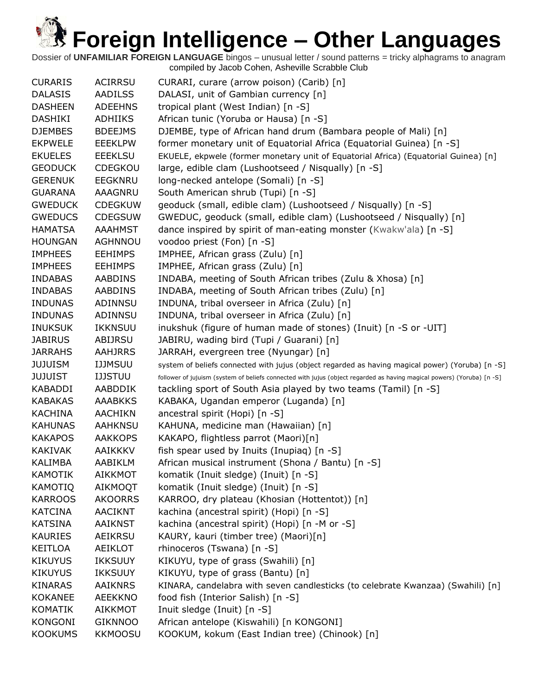| <b>CURARIS</b> | <b>ACIRRSU</b> | CURARI, curare (arrow poison) (Carib) [n]                                                                              |
|----------------|----------------|------------------------------------------------------------------------------------------------------------------------|
| <b>DALASIS</b> | <b>AADILSS</b> | DALASI, unit of Gambian currency [n]                                                                                   |
| <b>DASHEEN</b> | <b>ADEEHNS</b> | tropical plant (West Indian) [n -S]                                                                                    |
| DASHIKI        | ADHIIKS        | African tunic (Yoruba or Hausa) [n -S]                                                                                 |
| <b>DJEMBES</b> | <b>BDEEJMS</b> | DJEMBE, type of African hand drum (Bambara people of Mali) [n]                                                         |
| <b>EKPWELE</b> | <b>EEEKLPW</b> | former monetary unit of Equatorial Africa (Equatorial Guinea) [n -S]                                                   |
| <b>EKUELES</b> | <b>EEEKLSU</b> | EKUELE, ekpwele (former monetary unit of Equatorial Africa) (Equatorial Guinea) [n]                                    |
| <b>GEODUCK</b> | <b>CDEGKOU</b> | large, edible clam (Lushootseed / Nisqually) [n -S]                                                                    |
| <b>GERENUK</b> | <b>EEGKNRU</b> | long-necked antelope (Somali) [n -S]                                                                                   |
| <b>GUARANA</b> | AAAGNRU        | South American shrub (Tupi) [n -S]                                                                                     |
| <b>GWEDUCK</b> | <b>CDEGKUW</b> | geoduck (small, edible clam) (Lushootseed / Nisqually) [n -S]                                                          |
| <b>GWEDUCS</b> | <b>CDEGSUW</b> | GWEDUC, geoduck (small, edible clam) (Lushootseed / Nisqually) [n]                                                     |
| <b>HAMATSA</b> | AAAHMST        | dance inspired by spirit of man-eating monster (Kwakw'ala) [n -S]                                                      |
| <b>HOUNGAN</b> | AGHNNOU        | voodoo priest (Fon) [n -S]                                                                                             |
| <b>IMPHEES</b> | <b>EEHIMPS</b> | IMPHEE, African grass (Zulu) [n]                                                                                       |
| <b>IMPHEES</b> | <b>EEHIMPS</b> | IMPHEE, African grass (Zulu) [n]                                                                                       |
| <b>INDABAS</b> | <b>AABDINS</b> | INDABA, meeting of South African tribes (Zulu & Xhosa) [n]                                                             |
| <b>INDABAS</b> | <b>AABDINS</b> | INDABA, meeting of South African tribes (Zulu) [n]                                                                     |
| <b>INDUNAS</b> | ADINNSU        | INDUNA, tribal overseer in Africa (Zulu) [n]                                                                           |
| <b>INDUNAS</b> | ADINNSU        | INDUNA, tribal overseer in Africa (Zulu) [n]                                                                           |
| <b>INUKSUK</b> | <b>IKKNSUU</b> | inukshuk (figure of human made of stones) (Inuit) [n -S or -UIT]                                                       |
| <b>JABIRUS</b> | ABIJRSU        | JABIRU, wading bird (Tupi / Guarani) [n]                                                                               |
| <b>JARRAHS</b> | <b>AAHJRRS</b> | JARRAH, evergreen tree (Nyungar) [n]                                                                                   |
| JUJUISM        | <b>IJJMSUU</b> | system of beliefs connected with jujus (object regarded as having magical power) (Yoruba) [n -S]                       |
| JUJUIST        | <b>IJJSTUU</b> | follower of jujuism (system of beliefs connected with jujus (object regarded as having magical powers) (Yoruba) [n -S] |
| <b>KABADDI</b> | AABDDIK        | tackling sport of South Asia played by two teams (Tamil) [n -S]                                                        |
| <b>KABAKAS</b> | <b>AAABKKS</b> | KABAKA, Ugandan emperor (Luganda) [n]                                                                                  |
| <b>KACHINA</b> | <b>AACHIKN</b> | ancestral spirit (Hopi) [n -S]                                                                                         |
| <b>KAHUNAS</b> | <b>AAHKNSU</b> | KAHUNA, medicine man (Hawaiian) [n]                                                                                    |
| <b>KAKAPOS</b> | <b>AAKKOPS</b> | KAKAPO, flightless parrot (Maori)[n]                                                                                   |
| <b>KAKIVAK</b> | <b>AAIKKKV</b> |                                                                                                                        |
|                |                | fish spear used by Inuits (Inupiag) [n -S]                                                                             |
| <b>KALIMBA</b> | AABIKLM        | African musical instrument (Shona / Bantu) [n -S]                                                                      |
| <b>KAMOTIK</b> | <b>AIKKMOT</b> | komatik (Inuit sledge) (Inuit) [n -S]                                                                                  |
| <b>KAMOTIQ</b> | AIKMOQT        | komatik (Inuit sledge) (Inuit) [n -S]                                                                                  |
| <b>KARROOS</b> | <b>AKOORRS</b> | KARROO, dry plateau (Khosian (Hottentot)) [n]                                                                          |
| <b>KATCINA</b> | AACIKNT        | kachina (ancestral spirit) (Hopi) [n -S]                                                                               |
| <b>KATSINA</b> | <b>AAIKNST</b> | kachina (ancestral spirit) (Hopi) [n -M or -S]                                                                         |
| <b>KAURIES</b> | AEIKRSU        | KAURY, kauri (timber tree) (Maori)[n]                                                                                  |
| KEITLOA        | <b>AEIKLOT</b> | rhinoceros (Tswana) [n -S]                                                                                             |
| <b>KIKUYUS</b> | <b>IKKSUUY</b> | KIKUYU, type of grass (Swahili) [n]                                                                                    |
| <b>KIKUYUS</b> | <b>IKKSUUY</b> | KIKUYU, type of grass (Bantu) [n]                                                                                      |
| <b>KINARAS</b> | <b>AAIKNRS</b> | KINARA, candelabra with seven candlesticks (to celebrate Kwanzaa) (Swahili) [n]                                        |
| <b>KOKANEE</b> | <b>AEEKKNO</b> | food fish (Interior Salish) [n -S]                                                                                     |
| <b>KOMATIK</b> | <b>AIKKMOT</b> | Inuit sledge (Inuit) [n -S]                                                                                            |
| <b>KONGONI</b> | <b>GIKNNOO</b> | African antelope (Kiswahili) [n KONGONI]                                                                               |
| <b>KOOKUMS</b> | <b>KKMOOSU</b> | KOOKUM, kokum (East Indian tree) (Chinook) [n]                                                                         |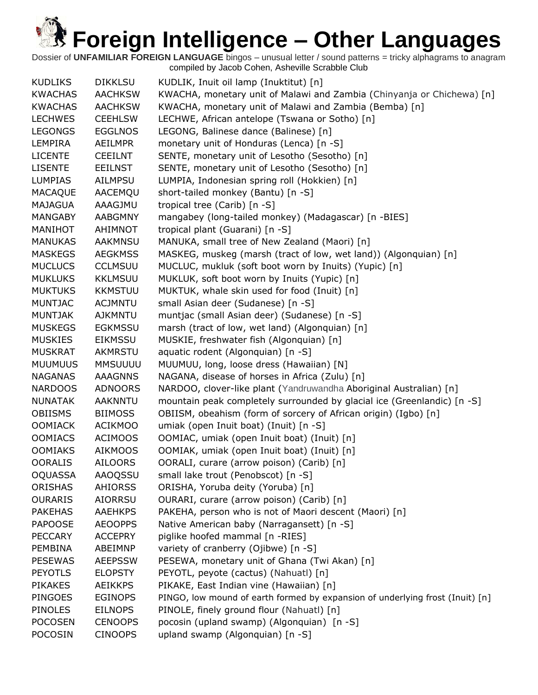| <b>KUDLIKS</b> | <b>DIKKLSU</b> | KUDLIK, Inuit oil lamp (Inuktitut) [n]                                        |
|----------------|----------------|-------------------------------------------------------------------------------|
| <b>KWACHAS</b> | <b>AACHKSW</b> | KWACHA, monetary unit of Malawi and Zambia (Chinyanja or Chichewa) [n]        |
| <b>KWACHAS</b> | <b>AACHKSW</b> | KWACHA, monetary unit of Malawi and Zambia (Bemba) [n]                        |
| <b>LECHWES</b> | <b>CEEHLSW</b> | LECHWE, African antelope (Tswana or Sotho) [n]                                |
| <b>LEGONGS</b> | <b>EGGLNOS</b> | LEGONG, Balinese dance (Balinese) [n]                                         |
| LEMPIRA        | <b>AEILMPR</b> | monetary unit of Honduras (Lenca) [n -S]                                      |
| <b>LICENTE</b> | <b>CEEILNT</b> | SENTE, monetary unit of Lesotho (Sesotho) [n]                                 |
| <b>LISENTE</b> | <b>EEILNST</b> | SENTE, monetary unit of Lesotho (Sesotho) [n]                                 |
| <b>LUMPIAS</b> | AILMPSU        | LUMPIA, Indonesian spring roll (Hokkien) [n]                                  |
| MACAQUE        | AACEMQU        | short-tailed monkey (Bantu) [n -S]                                            |
| <b>MAJAGUA</b> | AAAGJMU        | tropical tree (Carib) [n -S]                                                  |
| <b>MANGABY</b> | <b>AABGMNY</b> | mangabey (long-tailed monkey) (Madagascar) [n -BIES]                          |
| MANIHOT        | AHIMNOT        | tropical plant (Guarani) [n -S]                                               |
| <b>MANUKAS</b> | AAKMNSU        | MANUKA, small tree of New Zealand (Maori) [n]                                 |
| <b>MASKEGS</b> | <b>AEGKMSS</b> | MASKEG, muskeg (marsh (tract of low, wet land)) (Algonquian) [n]              |
| <b>MUCLUCS</b> | <b>CCLMSUU</b> | MUCLUC, mukluk (soft boot worn by Inuits) (Yupic) [n]                         |
| <b>MUKLUKS</b> | <b>KKLMSUU</b> | MUKLUK, soft boot worn by Inuits (Yupic) [n]                                  |
| <b>MUKTUKS</b> | <b>KKMSTUU</b> | MUKTUK, whale skin used for food (Inuit) [n]                                  |
| <b>MUNTJAC</b> | <b>ACJMNTU</b> | small Asian deer (Sudanese) [n -S]                                            |
| <b>MUNTJAK</b> | <b>AJKMNTU</b> | muntjac (small Asian deer) (Sudanese) [n -S]                                  |
| <b>MUSKEGS</b> | <b>EGKMSSU</b> | marsh (tract of low, wet land) (Algonquian) [n]                               |
| <b>MUSKIES</b> | EIKMSSU        | MUSKIE, freshwater fish (Algonquian) [n]                                      |
| <b>MUSKRAT</b> | <b>AKMRSTU</b> | aquatic rodent (Algonquian) [n -S]                                            |
| <b>MUUMUUS</b> | <b>MMSUUUU</b> | MUUMUU, long, loose dress (Hawaiian) [N]                                      |
| <b>NAGANAS</b> | <b>AAAGNNS</b> | NAGANA, disease of horses in Africa (Zulu) [n]                                |
| <b>NARDOOS</b> | <b>ADNOORS</b> | NARDOO, clover-like plant (Yandruwandha Aboriginal Australian) [n]            |
| <b>NUNATAK</b> | <b>AAKNNTU</b> | mountain peak completely surrounded by glacial ice (Greenlandic) [n -S]       |
| <b>OBIISMS</b> | <b>BIIMOSS</b> | OBIISM, obeahism (form of sorcery of African origin) (Igbo) [n]               |
| <b>OOMIACK</b> | <b>ACIKMOO</b> | umiak (open Inuit boat) (Inuit) [n -S]                                        |
| <b>OOMIACS</b> | <b>ACIMOOS</b> | OOMIAC, umiak (open Inuit boat) (Inuit) [n]                                   |
| <b>OOMIAKS</b> | <b>AIKMOOS</b> | OOMIAK, umiak (open Inuit boat) (Inuit) [n]                                   |
| <b>OORALIS</b> | <b>AILOORS</b> | OORALI, curare (arrow poison) (Carib) [n]                                     |
| <b>OQUASSA</b> | <b>AAOQSSU</b> | small lake trout (Penobscot) [n -S]                                           |
| <b>ORISHAS</b> | <b>AHIORSS</b> | ORISHA, Yoruba deity (Yoruba) [n]                                             |
| <b>OURARIS</b> | <b>AIORRSU</b> | OURARI, curare (arrow poison) (Carib) [n]                                     |
| <b>PAKEHAS</b> | <b>AAEHKPS</b> | PAKEHA, person who is not of Maori descent (Maori) [n]                        |
| <b>PAPOOSE</b> | <b>AEOOPPS</b> | Native American baby (Narragansett) [n -S]                                    |
| <b>PECCARY</b> | <b>ACCEPRY</b> | piglike hoofed mammal [n -RIES]                                               |
| <b>PEMBINA</b> | ABEIMNP        | variety of cranberry (Ojibwe) [n -S]                                          |
| <b>PESEWAS</b> | <b>AEEPSSW</b> | PESEWA, monetary unit of Ghana (Twi Akan) [n]                                 |
| <b>PEYOTLS</b> | <b>ELOPSTY</b> | PEYOTL, peyote (cactus) (Nahuatl) [n]                                         |
| <b>PIKAKES</b> | <b>AEIKKPS</b> | PIKAKE, East Indian vine (Hawaiian) [n]                                       |
| <b>PINGOES</b> | <b>EGINOPS</b> | PINGO, low mound of earth formed by expansion of underlying frost (Inuit) [n] |
| PINOLES        | <b>EILNOPS</b> | PINOLE, finely ground flour (Nahuatl) [n]                                     |
| <b>POCOSEN</b> | <b>CENOOPS</b> | pocosin (upland swamp) (Algonquian) [n -S]                                    |
| <b>POCOSIN</b> | <b>CINOOPS</b> | upland swamp (Algonquian) [n -S]                                              |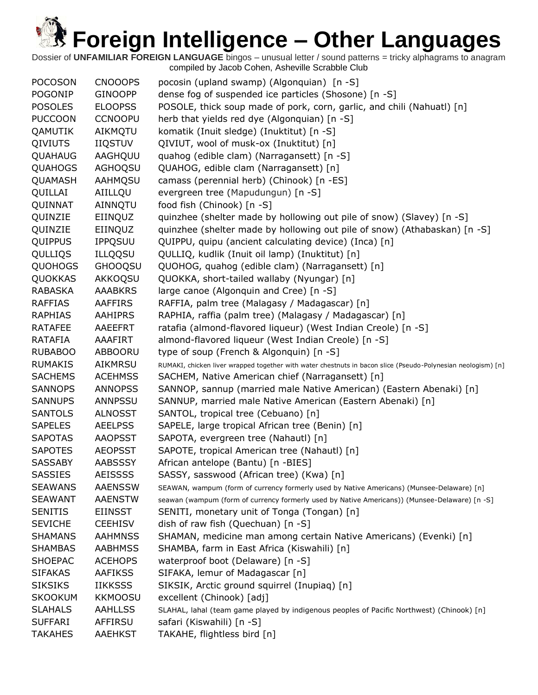| <b>POCOSON</b> | <b>CNOOOPS</b> | pocosin (upland swamp) (Algonquian) [n -S]                                                                   |
|----------------|----------------|--------------------------------------------------------------------------------------------------------------|
| <b>POGONIP</b> | <b>GINOOPP</b> | dense fog of suspended ice particles (Shosone) [n -S]                                                        |
| <b>POSOLES</b> | <b>ELOOPSS</b> | POSOLE, thick soup made of pork, corn, garlic, and chili (Nahuatl) [n]                                       |
| <b>PUCCOON</b> | <b>CCNOOPU</b> | herb that yields red dye (Algonquian) [n -S]                                                                 |
| QAMUTIK        | AIKMQTU        | komatik (Inuit sledge) (Inuktitut) [n -S]                                                                    |
| QIVIUTS        | <b>IIQSTUV</b> | QIVIUT, wool of musk-ox (Inuktitut) [n]                                                                      |
| QUAHAUG        | AAGHQUU        | quahog (edible clam) (Narragansett) [n -S]                                                                   |
| <b>QUAHOGS</b> | <b>AGHOQSU</b> |                                                                                                              |
|                | <b>AAHMOSU</b> | QUAHOG, edible clam (Narragansett) [n]                                                                       |
| QUAMASH        |                | camass (perennial herb) (Chinook) [n -ES]                                                                    |
| QUILLAI        | AIILLQU        | evergreen tree (Mapudungun) [n -S]                                                                           |
| QUINNAT        | AINNQTU        | food fish (Chinook) [n -S]                                                                                   |
| QUINZIE        | EIINQUZ        | quinzhee (shelter made by hollowing out pile of snow) (Slavey) [n -S]                                        |
| QUINZIE        | EIINQUZ        | quinzhee (shelter made by hollowing out pile of snow) (Athabaskan) [n -S]                                    |
| QUIPPUS        | <b>IPPQSUU</b> | QUIPPU, quipu (ancient calculating device) (Inca) [n]                                                        |
| QULLIQS        | <b>ILLQQSU</b> | QULLIQ, kudlik (Inuit oil lamp) (Inuktitut) [n]                                                              |
| <b>QUOHOGS</b> | <b>GHOOQSU</b> | QUOHOG, quahog (edible clam) (Narragansett) [n]                                                              |
| QUOKKAS        | AKKOQSU        | QUOKKA, short-tailed wallaby (Nyungar) [n]                                                                   |
| <b>RABASKA</b> | <b>AAABKRS</b> | large canoe (Algonquin and Cree) [n -S]                                                                      |
| <b>RAFFIAS</b> | <b>AAFFIRS</b> | RAFFIA, palm tree (Malagasy / Madagascar) [n]                                                                |
| <b>RAPHIAS</b> | <b>AAHIPRS</b> | RAPHIA, raffia (palm tree) (Malagasy / Madagascar) [n]                                                       |
| <b>RATAFEE</b> | <b>AAEEFRT</b> | ratafia (almond-flavored liqueur) (West Indian Creole) [n -S]                                                |
| RATAFIA        | AAAFIRT        | almond-flavored liqueur (West Indian Creole) [n -S]                                                          |
| <b>RUBABOO</b> | ABBOORU        | type of soup (French & Algonquin) [n -S]                                                                     |
| <b>RUMAKIS</b> | AIKMRSU        | RUMAKI, chicken liver wrapped together with water chestnuts in bacon slice (Pseudo-Polynesian neologism) [n] |
| <b>SACHEMS</b> | <b>ACEHMSS</b> | SACHEM, Native American chief (Narragansett) [n]                                                             |
| <b>SANNOPS</b> | <b>ANNOPSS</b> | SANNOP, sannup (married male Native American) (Eastern Abenaki) [n]                                          |
| <b>SANNUPS</b> | ANNPSSU        | SANNUP, married male Native American (Eastern Abenaki) [n]                                                   |
| <b>SANTOLS</b> | <b>ALNOSST</b> | SANTOL, tropical tree (Cebuano) [n]                                                                          |
| <b>SAPELES</b> | <b>AEELPSS</b> | SAPELE, large tropical African tree (Benin) [n]                                                              |
| <b>SAPOTAS</b> | <b>AAOPSST</b> | SAPOTA, evergreen tree (Nahautl) [n]                                                                         |
| <b>SAPOTES</b> | <b>AEOPSST</b> | SAPOTE, tropical American tree (Nahautl) [n]                                                                 |
| <b>SASSABY</b> | <b>AABSSSY</b> | African antelope (Bantu) [n -BIES]                                                                           |
| <b>SASSIES</b> | <b>AEISSSS</b> | SASSY, sasswood (African tree) (Kwa) [n]                                                                     |
| <b>SEAWANS</b> | <b>AAENSSW</b> | SEAWAN, wampum (form of currency formerly used by Native Americans) (Munsee-Delaware) [n]                    |
| <b>SEAWANT</b> | <b>AAENSTW</b> | seawan (wampum (form of currency formerly used by Native Americans)) (Munsee-Delaware) [n -S]                |
| <b>SENITIS</b> | <b>EIINSST</b> | SENITI, monetary unit of Tonga (Tongan) [n]                                                                  |
| <b>SEVICHE</b> | <b>CEEHISV</b> | dish of raw fish (Quechuan) [n -S]                                                                           |
| <b>SHAMANS</b> | <b>AAHMNSS</b> | SHAMAN, medicine man among certain Native Americans) (Evenki) [n]                                            |
| <b>SHAMBAS</b> | <b>AABHMSS</b> | SHAMBA, farm in East Africa (Kiswahili) [n]                                                                  |
| <b>SHOEPAC</b> | <b>ACEHOPS</b> | waterproof boot (Delaware) [n -S]                                                                            |
| <b>SIFAKAS</b> | <b>AAFIKSS</b> | SIFAKA, lemur of Madagascar [n]                                                                              |
| <b>SIKSIKS</b> | <b>IIKKSSS</b> | SIKSIK, Arctic ground squirrel (Inupiaq) [n]                                                                 |
| SKOOKUM        | <b>KKMOOSU</b> | excellent (Chinook) [adj]                                                                                    |
| <b>SLAHALS</b> | <b>AAHLLSS</b> | SLAHAL, lahal (team game played by indigenous peoples of Pacific Northwest) (Chinook) [n]                    |
| <b>SUFFARI</b> | AFFIRSU        | safari (Kiswahili) [n -S]                                                                                    |
| <b>TAKAHES</b> | <b>AAEHKST</b> | TAKAHE, flightless bird [n]                                                                                  |
|                |                |                                                                                                              |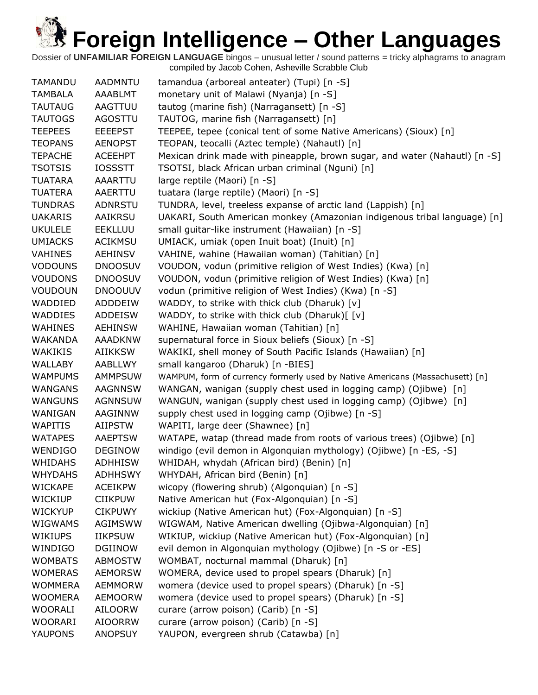| <b>TAMANDU</b> | <b>AADMNTU</b> | tamandua (arboreal anteater) (Tupi) [n -S]                                    |
|----------------|----------------|-------------------------------------------------------------------------------|
| TAMBALA        | AAABLMT        | monetary unit of Malawi (Nyanja) [n -S]                                       |
| <b>TAUTAUG</b> | AAGTTUU        | tautog (marine fish) (Narragansett) [n -S]                                    |
| <b>TAUTOGS</b> | <b>AGOSTTU</b> | TAUTOG, marine fish (Narragansett) [n]                                        |
| <b>TEEPEES</b> | <b>EEEEPST</b> | TEEPEE, tepee (conical tent of some Native Americans) (Sioux) [n]             |
| <b>TEOPANS</b> | <b>AENOPST</b> | TEOPAN, teocalli (Aztec temple) (Nahautl) [n]                                 |
| <b>TEPACHE</b> | <b>ACEEHPT</b> | Mexican drink made with pineapple, brown sugar, and water (Nahautl) [n -S]    |
| <b>TSOTSIS</b> | <b>IOSSSTT</b> | TSOTSI, black African urban criminal (Nguni) [n]                              |
| <b>TUATARA</b> | AAARTTU        | large reptile (Maori) [n -S]                                                  |
| <b>TUATERA</b> | AAERTTU        | tuatara (large reptile) (Maori) [n -S]                                        |
| <b>TUNDRAS</b> | <b>ADNRSTU</b> | TUNDRA, level, treeless expanse of arctic land (Lappish) [n]                  |
| <b>UAKARIS</b> | AAIKRSU        | UAKARI, South American monkey (Amazonian indigenous tribal language) [n]      |
| <b>UKULELE</b> | <b>EEKLLUU</b> | small guitar-like instrument (Hawaiian) [n -S]                                |
| <b>UMIACKS</b> | <b>ACIKMSU</b> | UMIACK, umiak (open Inuit boat) (Inuit) [n]                                   |
| <b>VAHINES</b> | <b>AEHINSV</b> | VAHINE, wahine (Hawaiian woman) (Tahitian) [n]                                |
| <b>VODOUNS</b> | <b>DNOOSUV</b> | VOUDON, vodun (primitive religion of West Indies) (Kwa) [n]                   |
| <b>VOUDONS</b> | <b>DNOOSUV</b> | VOUDON, vodun (primitive religion of West Indies) (Kwa) [n]                   |
| <b>VOUDOUN</b> | <b>DNOOUUV</b> | vodun (primitive religion of West Indies) (Kwa) [n -S]                        |
| WADDIED        | ADDDEIW        | WADDY, to strike with thick club (Dharuk) [v]                                 |
| <b>WADDIES</b> | <b>ADDEISW</b> | WADDY, to strike with thick club (Dharuk)[[v]                                 |
| <b>WAHINES</b> | <b>AEHINSW</b> | WAHINE, Hawaiian woman (Tahitian) [n]                                         |
| WAKANDA        | <b>AAADKNW</b> | supernatural force in Sioux beliefs (Sioux) [n -S]                            |
| <b>WAKIKIS</b> | <b>AIIKKSW</b> | WAKIKI, shell money of South Pacific Islands (Hawaiian) [n]                   |
| WALLABY        | AABLLWY        | small kangaroo (Dharuk) [n -BIES]                                             |
| <b>WAMPUMS</b> | <b>AMMPSUW</b> | WAMPUM, form of currency formerly used by Native Americans (Massachusett) [n] |
| <b>WANGANS</b> | <b>AAGNNSW</b> | WANGAN, wanigan (supply chest used in logging camp) (Ojibwe) [n]              |
| <b>WANGUNS</b> | <b>AGNNSUW</b> | WANGUN, wanigan (supply chest used in logging camp) (Ojibwe) [n]              |
| WANIGAN        | AAGINNW        | supply chest used in logging camp (Ojibwe) [n -S]                             |
| <b>WAPITIS</b> | AIIPSTW        | WAPITI, large deer (Shawnee) [n]                                              |
| <b>WATAPES</b> | <b>AAEPTSW</b> | WATAPE, watap (thread made from roots of various trees) (Ojibwe) [n]          |
| <b>WENDIGO</b> | <b>DEGINOW</b> | windigo (evil demon in Algonquian mythology) (Ojibwe) [n -ES, -S]             |
| <b>WHIDAHS</b> | <b>ADHHISW</b> | WHIDAH, whydah (African bird) (Benin) [n]                                     |
| <b>WHYDAHS</b> | <b>ADHHSWY</b> | WHYDAH, African bird (Benin) [n]                                              |
| <b>WICKAPE</b> | <b>ACEIKPW</b> | wicopy (flowering shrub) (Algonquian) [n -S]                                  |
| <b>WICKIUP</b> | <b>CIIKPUW</b> | Native American hut (Fox-Algonquian) [n -S]                                   |
| <b>WICKYUP</b> |                |                                                                               |
|                | <b>CIKPUWY</b> | wickiup (Native American hut) (Fox-Algonquian) [n -S]                         |
| <b>WIGWAMS</b> | AGIMSWW        | WIGWAM, Native American dwelling (Ojibwa-Algonquian) [n]                      |
| <b>WIKIUPS</b> | <b>IIKPSUW</b> | WIKIUP, wickiup (Native American hut) (Fox-Algonquian) [n]                    |
| WINDIGO        | <b>DGIINOW</b> | evil demon in Algonquian mythology (Ojibwe) [n -S or -ES]                     |
| <b>WOMBATS</b> | <b>ABMOSTW</b> | WOMBAT, nocturnal mammal (Dharuk) [n]                                         |
| <b>WOMERAS</b> | <b>AEMORSW</b> | WOMERA, device used to propel spears (Dharuk) [n]                             |
| <b>WOMMERA</b> | <b>AEMMORW</b> | womera (device used to propel spears) (Dharuk) [n -S]                         |
| <b>WOOMERA</b> | <b>AEMOORW</b> | womera (device used to propel spears) (Dharuk) [n -S]                         |
| <b>WOORALI</b> | <b>AILOORW</b> | curare (arrow poison) (Carib) [n -S]                                          |
| <b>WOORARI</b> | <b>AIOORRW</b> | curare (arrow poison) (Carib) [n -S]                                          |
| YAUPONS        | <b>ANOPSUY</b> | YAUPON, evergreen shrub (Catawba) [n]                                         |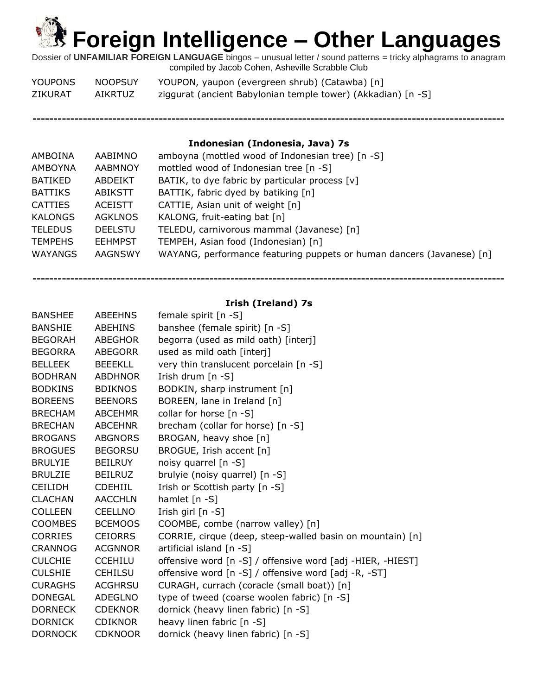Dossier of **UNFAMILIAR FOREIGN LANGUAGE** bingos – unusual letter / sound patterns = tricky alphagrams to anagram compiled by Jacob Cohen, Asheville Scrabble Club

| <b>YOUPONS</b> | <b>NOOPSUY</b> | YOUPON, yaupon (evergreen shrub) (Catawba) [n]               |
|----------------|----------------|--------------------------------------------------------------|
| ZIKURAT        | AIKRTUZ        | ziggurat (ancient Babylonian temple tower) (Akkadian) [n -S] |

**----------------------------------------------------------------------------------------------------------------**

### **Indonesian (Indonesia, Java) 7s**

| AMBOINA        | AABIMNO        | amboyna (mottled wood of Indonesian tree) [n -S]                      |
|----------------|----------------|-----------------------------------------------------------------------|
| AMBOYNA        | <b>AABMNOY</b> | mottled wood of Indonesian tree [n -S]                                |
| BATIKED        | ABDEIKT        | BATIK, to dye fabric by particular process [v]                        |
| <b>BATTIKS</b> | ABIKSTT        | BATTIK, fabric dyed by batiking [n]                                   |
| <b>CATTIES</b> | ACEISTT        | CATTIE, Asian unit of weight [n]                                      |
| <b>KALONGS</b> | <b>AGKLNOS</b> | KALONG, fruit-eating bat [n]                                          |
| <b>TELEDUS</b> | <b>DEELSTU</b> | TELEDU, carnivorous mammal (Javanese) [n]                             |
| <b>TEMPEHS</b> | <b>EEHMPST</b> | TEMPEH, Asian food (Indonesian) [n]                                   |
| WAYANGS        | AAGNSWY        | WAYANG, performance featuring puppets or human dancers (Javanese) [n] |
|                |                |                                                                       |

**Irish (Ireland) 7s**

|                | female spirit [n -S]                                       |
|----------------|------------------------------------------------------------|
| <b>ABEHINS</b> | banshee (female spirit) [n -S]                             |
| <b>ABEGHOR</b> | begorra (used as mild oath) [interj]                       |
| <b>ABEGORR</b> | used as mild oath [interj]                                 |
| <b>BEEEKLL</b> | very thin translucent porcelain [n -S]                     |
| <b>ABDHNOR</b> | Irish drum [n -S]                                          |
| <b>BDIKNOS</b> | BODKIN, sharp instrument [n]                               |
| <b>BEENORS</b> | BOREEN, lane in Ireland [n]                                |
| <b>ABCEHMR</b> | collar for horse [n -S]                                    |
| ABCEHNR        | brecham (collar for horse) [n -S]                          |
| <b>ABGNORS</b> | BROGAN, heavy shoe [n]                                     |
| <b>BEGORSU</b> | BROGUE, Irish accent [n]                                   |
| <b>BEILRUY</b> | noisy quarrel [n -S]                                       |
| <b>BEILRUZ</b> | brulyie (noisy quarrel) [n -S]                             |
| <b>CDEHIIL</b> | Irish or Scottish party [n -S]                             |
| <b>AACCHLN</b> | hamlet $[n - S]$                                           |
| <b>CEELLNO</b> | Irish girl [n -S]                                          |
| <b>BCEMOOS</b> | COOMBE, combe (narrow valley) [n]                          |
| <b>CEIORRS</b> | CORRIE, cirque (deep, steep-walled basin on mountain) [n]  |
| <b>ACGNNOR</b> | artificial island [n -S]                                   |
| <b>CCEHILU</b> | offensive word [n -S] / offensive word [adj -HIER, -HIEST] |
| <b>CEHILSU</b> | offensive word [n -S] / offensive word [adj -R, -ST]       |
| <b>ACGHRSU</b> | CURAGH, currach (coracle (small boat)) [n]                 |
| ADEGLNO        | type of tweed (coarse woolen fabric) [n -S]                |
| <b>CDEKNOR</b> | dornick (heavy linen fabric) [n -S]                        |
| <b>CDIKNOR</b> | heavy linen fabric [n -S]                                  |
| <b>CDKNOOR</b> | dornick (heavy linen fabric) [n -S]                        |
|                | <b>ABEEHNS</b>                                             |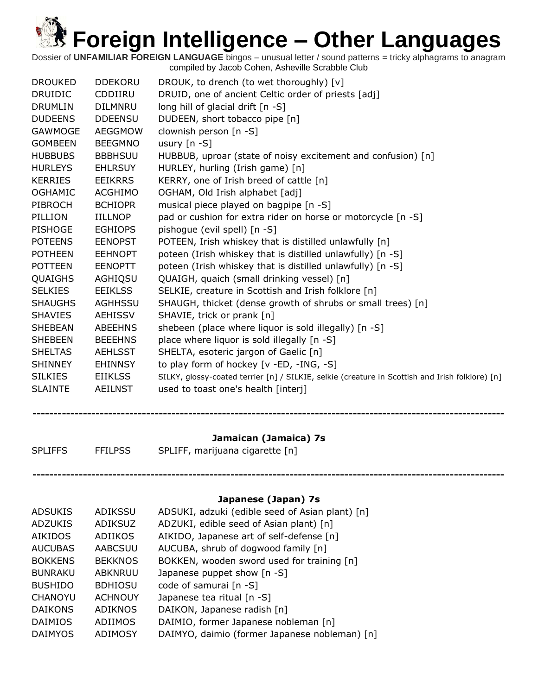Dossier of **UNFAMILIAR FOREIGN LANGUAGE** bingos – unusual letter / sound patterns = tricky alphagrams to anagram compiled by Jacob Cohen, Asheville Scrabble Club

| <b>DROUKED</b> | <b>DDEKORU</b> | DROUK, to drench (to wet thoroughly) [v]                                                        |
|----------------|----------------|-------------------------------------------------------------------------------------------------|
| <b>DRUIDIC</b> | CDDIIRU        | DRUID, one of ancient Celtic order of priests [adj]                                             |
| <b>DRUMLIN</b> | <b>DILMNRU</b> | long hill of glacial drift $[n -S]$                                                             |
| <b>DUDEENS</b> | <b>DDEENSU</b> | DUDEEN, short tobacco pipe [n]                                                                  |
| <b>GAWMOGE</b> | <b>AEGGMOW</b> | clownish person [n -S]                                                                          |
| <b>GOMBEEN</b> | <b>BEEGMNO</b> | usury $[n - S]$                                                                                 |
| <b>HUBBUBS</b> | <b>BBBHSUU</b> | HUBBUB, uproar (state of noisy excitement and confusion) [n]                                    |
| <b>HURLEYS</b> | <b>EHLRSUY</b> | HURLEY, hurling (Irish game) [n]                                                                |
| <b>KERRIES</b> | <b>EEIKRRS</b> | KERRY, one of Irish breed of cattle [n]                                                         |
| <b>OGHAMIC</b> | <b>ACGHIMO</b> | OGHAM, Old Irish alphabet [adj]                                                                 |
| <b>PIBROCH</b> | <b>BCHIOPR</b> | musical piece played on bagpipe [n -S]                                                          |
| PILLION        | <b>IILLNOP</b> | pad or cushion for extra rider on horse or motorcycle [n -S]                                    |
| <b>PISHOGE</b> | <b>EGHIOPS</b> | pishogue (evil spell) [n -S]                                                                    |
| <b>POTEENS</b> | <b>EENOPST</b> | POTEEN, Irish whiskey that is distilled unlawfully [n]                                          |
| <b>POTHEEN</b> | <b>EEHNOPT</b> | poteen (Irish whiskey that is distilled unlawfully) [n -S]                                      |
| <b>POTTEEN</b> | <b>EENOPTT</b> | poteen (Irish whiskey that is distilled unlawfully) [n -S]                                      |
| QUAIGHS        | AGHIQSU        | QUAIGH, quaich (small drinking vessel) [n]                                                      |
| <b>SELKIES</b> | <b>EEIKLSS</b> | SELKIE, creature in Scottish and Irish folklore [n]                                             |
| <b>SHAUGHS</b> | <b>AGHHSSU</b> | SHAUGH, thicket (dense growth of shrubs or small trees) [n]                                     |
| <b>SHAVIES</b> | <b>AEHISSV</b> | SHAVIE, trick or prank [n]                                                                      |
| <b>SHEBEAN</b> | <b>ABEEHNS</b> | shebeen (place where liquor is sold illegally) [n -S]                                           |
| <b>SHEBEEN</b> | <b>BEEEHNS</b> | place where liquor is sold illegally [n -S]                                                     |
| <b>SHELTAS</b> | <b>AEHLSST</b> | SHELTA, esoteric jargon of Gaelic [n]                                                           |
| <b>SHINNEY</b> | <b>EHINNSY</b> | to play form of hockey [v -ED, -ING, -S]                                                        |
| <b>SILKIES</b> | <b>EIIKLSS</b> | SILKY, glossy-coated terrier [n] / SILKIE, selkie (creature in Scottish and Irish folklore) [n] |
| <b>SLAINTE</b> | <b>AEILNST</b> | used to toast one's health [interj]                                                             |
|                |                |                                                                                                 |
|                |                |                                                                                                 |

### **Jamaican (Jamaica) 7s**

- 
- SPLIFFS FFILPSS SPLIFF, marijuana cigarette [n]

## **Japanese (Japan) 7s**

| <b>ADSUKIS</b> | <b>ADIKSSU</b> | ADSUKI, adzuki (edible seed of Asian plant) [n] |
|----------------|----------------|-------------------------------------------------|
| <b>ADZUKIS</b> | <b>ADIKSUZ</b> | ADZUKI, edible seed of Asian plant) [n]         |
| <b>AIKIDOS</b> | <b>ADIIKOS</b> | AIKIDO, Japanese art of self-defense [n]        |
| <b>AUCUBAS</b> | <b>AABCSUU</b> | AUCUBA, shrub of dogwood family [n]             |
| <b>BOKKENS</b> | <b>BEKKNOS</b> | BOKKEN, wooden sword used for training [n]      |
| <b>BUNRAKU</b> | <b>ABKNRUU</b> | Japanese puppet show [n -S]                     |
| <b>BUSHIDO</b> | <b>BDHIOSU</b> | code of samurai [n -S]                          |
| CHANOYU        | <b>ACHNOUY</b> | Japanese tea ritual [n -S]                      |
| <b>DAIKONS</b> | <b>ADIKNOS</b> | DAIKON, Japanese radish [n]                     |
| <b>DAIMIOS</b> | <b>ADIIMOS</b> | DAIMIO, former Japanese nobleman [n]            |
| <b>DAIMYOS</b> | <b>ADIMOSY</b> | DAIMYO, daimio (former Japanese nobleman) [n]   |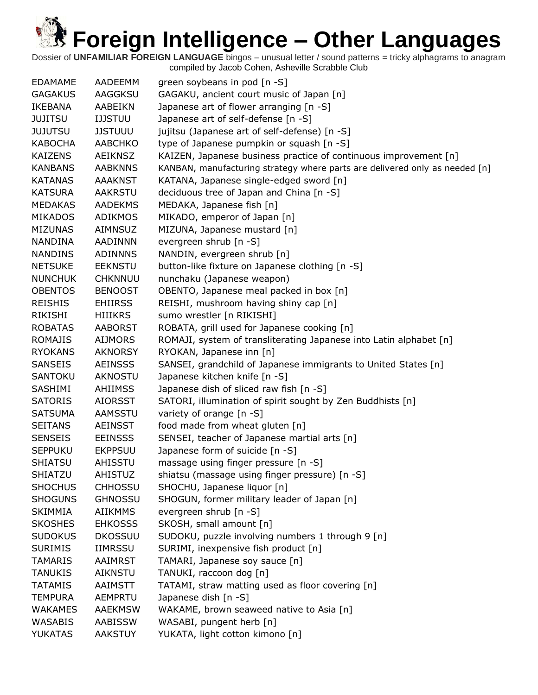| <b>EDAMAME</b> | AADEEMM        | green soybeans in pod [n -S]                                                |
|----------------|----------------|-----------------------------------------------------------------------------|
| <b>GAGAKUS</b> | AAGGKSU        | GAGAKU, ancient court music of Japan [n]                                    |
| IKEBANA        | AABEIKN        | Japanese art of flower arranging [n -S]                                     |
| JUJITSU        | <b>IJJSTUU</b> | Japanese art of self-defense [n -S]                                         |
| <b>JUJUTSU</b> | <b>JJSTUUU</b> | jujitsu (Japanese art of self-defense) [n -S]                               |
| <b>KABOCHA</b> | <b>AABCHKO</b> | type of Japanese pumpkin or squash [n -S]                                   |
| <b>KAIZENS</b> | <b>AEIKNSZ</b> | KAIZEN, Japanese business practice of continuous improvement [n]            |
| <b>KANBANS</b> | <b>AABKNNS</b> | KANBAN, manufacturing strategy where parts are delivered only as needed [n] |
| <b>KATANAS</b> | <b>AAAKNST</b> | KATANA, Japanese single-edged sword [n]                                     |
| <b>KATSURA</b> | <b>AAKRSTU</b> | deciduous tree of Japan and China [n -S]                                    |
| <b>MEDAKAS</b> | AADEKMS        | MEDAKA, Japanese fish [n]                                                   |
| <b>MIKADOS</b> | <b>ADIKMOS</b> | MIKADO, emperor of Japan [n]                                                |
| <b>MIZUNAS</b> | AIMNSUZ        | MIZUNA, Japanese mustard [n]                                                |
| <b>NANDINA</b> | AADINNN        | evergreen shrub [n -S]                                                      |
| <b>NANDINS</b> | <b>ADINNNS</b> | NANDIN, evergreen shrub [n]                                                 |
| <b>NETSUKE</b> | <b>EEKNSTU</b> | button-like fixture on Japanese clothing [n -S]                             |
| <b>NUNCHUK</b> | <b>CHKNNUU</b> | nunchaku (Japanese weapon)                                                  |
| <b>OBENTOS</b> | <b>BENOOST</b> | OBENTO, Japanese meal packed in box [n]                                     |
| <b>REISHIS</b> | <b>EHIIRSS</b> | REISHI, mushroom having shiny cap [n]                                       |
| RIKISHI        | <b>HIIIKRS</b> | sumo wrestler [n RIKISHI]                                                   |
| <b>ROBATAS</b> | <b>AABORST</b> | ROBATA, grill used for Japanese cooking [n]                                 |
| <b>ROMAJIS</b> | <b>AIJMORS</b> | ROMAJI, system of transliterating Japanese into Latin alphabet [n]          |
| <b>RYOKANS</b> | <b>AKNORSY</b> | RYOKAN, Japanese inn [n]                                                    |
| <b>SANSEIS</b> | <b>AEINSSS</b> | SANSEI, grandchild of Japanese immigrants to United States [n]              |
| SANTOKU        | AKNOSTU        | Japanese kitchen knife [n -S]                                               |
| SASHIMI        | <b>AHIIMSS</b> | Japanese dish of sliced raw fish [n -S]                                     |
| <b>SATORIS</b> | <b>AIORSST</b> | SATORI, illumination of spirit sought by Zen Buddhists [n]                  |
| <b>SATSUMA</b> | <b>AAMSSTU</b> | variety of orange [n -S]                                                    |
| <b>SEITANS</b> | <b>AEINSST</b> | food made from wheat gluten [n]                                             |
| <b>SENSEIS</b> | <b>EEINSSS</b> | SENSEI, teacher of Japanese martial arts [n]                                |
| <b>SEPPUKU</b> | <b>EKPPSUU</b> | Japanese form of suicide [n -S]                                             |
| <b>SHIATSU</b> | AHISSTU        | massage using finger pressure [n -S]                                        |
| SHIATZU        | <b>AHISTUZ</b> | shiatsu (massage using finger pressure) [n -S]                              |
| <b>SHOCHUS</b> | <b>CHHOSSU</b> | SHOCHU, Japanese liquor [n]                                                 |
| <b>SHOGUNS</b> | <b>GHNOSSU</b> | SHOGUN, former military leader of Japan [n]                                 |
| <b>SKIMMIA</b> | <b>AIIKMMS</b> | evergreen shrub [n -S]                                                      |
| <b>SKOSHES</b> | <b>EHKOSSS</b> | SKOSH, small amount [n]                                                     |
| <b>SUDOKUS</b> | <b>DKOSSUU</b> | SUDOKU, puzzle involving numbers 1 through 9 [n]                            |
| <b>SURIMIS</b> | <b>IIMRSSU</b> | SURIMI, inexpensive fish product [n]                                        |
| <b>TAMARIS</b> | <b>AAIMRST</b> | TAMARI, Japanese soy sauce [n]                                              |
| TANUKIS        | <b>AIKNSTU</b> | TANUKI, raccoon dog [n]                                                     |
| <b>TATAMIS</b> | <b>AAIMSTT</b> | TATAMI, straw matting used as floor covering [n]                            |
| <b>TEMPURA</b> | AEMPRTU        | Japanese dish [n -S]                                                        |
| <b>WAKAMES</b> | <b>AAEKMSW</b> | WAKAME, brown seaweed native to Asia [n]                                    |
| <b>WASABIS</b> | AABISSW        | WASABI, pungent herb [n]                                                    |
| <b>YUKATAS</b> | <b>AAKSTUY</b> | YUKATA, light cotton kimono [n]                                             |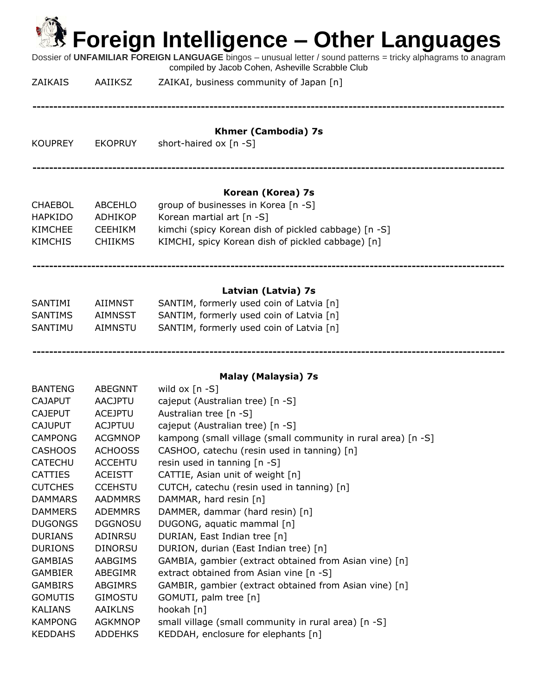| <b>然 Foreign Intelligence – Other Languages</b><br>Dossier of UNFAMILIAR FOREIGN LANGUAGE bingos - unusual letter / sound patterns = tricky alphagrams to anagram<br>compiled by Jacob Cohen, Asheville Scrabble Club |                                                               |                                                                                                                                                                                                    |  |  |
|-----------------------------------------------------------------------------------------------------------------------------------------------------------------------------------------------------------------------|---------------------------------------------------------------|----------------------------------------------------------------------------------------------------------------------------------------------------------------------------------------------------|--|--|
| <b>ZAIKAIS</b>                                                                                                                                                                                                        | AAIIKSZ                                                       | ZAIKAI, business community of Japan [n]                                                                                                                                                            |  |  |
| <b>KOUPREY</b>                                                                                                                                                                                                        | <b>EKOPRUY</b>                                                | <b>Khmer (Cambodia) 7s</b><br>short-haired ox [n -S]                                                                                                                                               |  |  |
| <b>CHAEBOL</b><br><b>HAPKIDO</b><br><b>KIMCHEE</b><br><b>KIMCHIS</b>                                                                                                                                                  | <b>ABCEHLO</b><br>ADHIKOP<br><b>CEEHIKM</b><br><b>CHIIKMS</b> | Korean (Korea) 7s<br>group of businesses in Korea [n -S]<br>Korean martial art [n -S]<br>kimchi (spicy Korean dish of pickled cabbage) [n -S]<br>KIMCHI, spicy Korean dish of pickled cabbage) [n] |  |  |
| <b>SANTIMI</b><br><b>SANTIMS</b><br>SANTIMU                                                                                                                                                                           | AIIMNST<br><b>AIMNSST</b><br><b>AIMNSTU</b>                   | Latvian (Latvia) 7s<br>SANTIM, formerly used coin of Latvia [n]<br>SANTIM, formerly used coin of Latvia [n]<br>SANTIM, formerly used coin of Latvia [n]                                            |  |  |

**Malay (Malaysia) 7s**

| <b>BANTENG</b> | ABEGNNT        | wild ox $[n - S]$                                             |
|----------------|----------------|---------------------------------------------------------------|
| <b>CAJAPUT</b> | <b>AACJPTU</b> | cajeput (Australian tree) [n -S]                              |
| <b>CAJEPUT</b> | <b>ACEJPTU</b> | Australian tree [n -S]                                        |
| <b>CAJUPUT</b> | <b>ACJPTUU</b> | cajeput (Australian tree) [n -S]                              |
| <b>CAMPONG</b> | <b>ACGMNOP</b> | kampong (small village (small community in rural area) [n -S] |
| <b>CASHOOS</b> | ACHOOSS        | CASHOO, catechu (resin used in tanning) [n]                   |
| <b>CATECHU</b> | <b>ACCEHTU</b> | resin used in tanning $[n -S]$                                |
| <b>CATTIES</b> | <b>ACEISTT</b> | CATTIE, Asian unit of weight [n]                              |
| <b>CUTCHES</b> | <b>CCEHSTU</b> | CUTCH, catechu (resin used in tanning) [n]                    |
| <b>DAMMARS</b> | <b>AADMMRS</b> | DAMMAR, hard resin [n]                                        |
| <b>DAMMERS</b> | <b>ADEMMRS</b> | DAMMER, dammar (hard resin) [n]                               |
| <b>DUGONGS</b> | <b>DGGNOSU</b> | DUGONG, aquatic mammal [n]                                    |
| <b>DURIANS</b> | ADINRSU        | DURIAN, East Indian tree [n]                                  |
| <b>DURIONS</b> | <b>DINORSU</b> | DURION, durian (East Indian tree) [n]                         |
| <b>GAMBIAS</b> | <b>AABGIMS</b> | GAMBIA, gambier (extract obtained from Asian vine) [n]        |
| GAMBIER        | ABEGIMR        | extract obtained from Asian vine [n -S]                       |
| GAMBIRS        | ABGIMRS        | GAMBIR, gambier (extract obtained from Asian vine) [n]        |
| <b>GOMUTIS</b> | <b>GIMOSTU</b> | GOMUTI, palm tree [n]                                         |
| <b>KALIANS</b> | <b>AAIKLNS</b> | hookah [n]                                                    |
| <b>KAMPONG</b> | AGKMNOP        | small village (small community in rural area) [n -S]          |
| <b>KEDDAHS</b> | <b>ADDEHKS</b> | KEDDAH, enclosure for elephants [n]                           |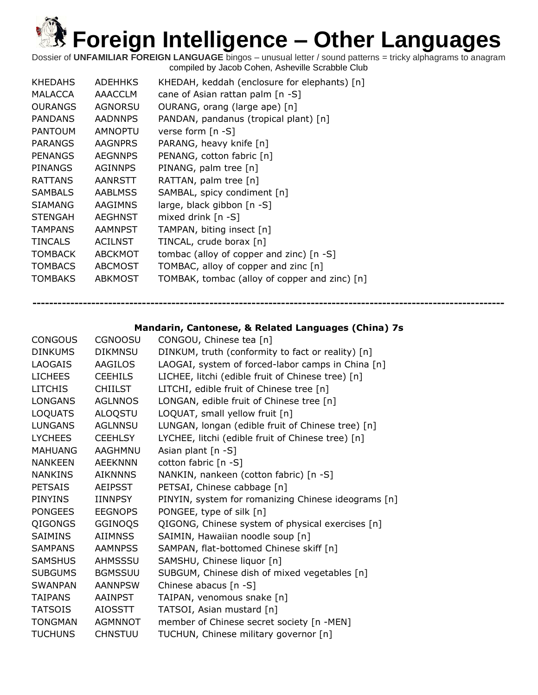Dossier of **UNFAMILIAR FOREIGN LANGUAGE** bingos – unusual letter / sound patterns = tricky alphagrams to anagram compiled by Jacob Cohen, Asheville Scrabble Club

| <b>KHEDAHS</b> | <b>ADEHHKS</b> | KHEDAH, keddah (enclosure for elephants) [n]  |
|----------------|----------------|-----------------------------------------------|
| MALACCA        | <b>AAACCLM</b> | cane of Asian rattan palm $[n -S]$            |
| <b>OURANGS</b> | AGNORSU        | OURANG, orang (large ape) [n]                 |
| <b>PANDANS</b> | <b>AADNNPS</b> | PANDAN, pandanus (tropical plant) [n]         |
| <b>PANTOUM</b> | <b>AMNOPTU</b> | verse form [n -S]                             |
| <b>PARANGS</b> | <b>AAGNPRS</b> | PARANG, heavy knife [n]                       |
| <b>PENANGS</b> | <b>AEGNNPS</b> | PENANG, cotton fabric [n]                     |
| PINANGS        | <b>AGINNPS</b> | PINANG, palm tree [n]                         |
| <b>RATTANS</b> | AANRSTT        | RATTAN, palm tree $[n]$                       |
| <b>SAMBALS</b> | <b>AABLMSS</b> | SAMBAL, spicy condiment [n]                   |
| SIAMANG        | AAGIMNS        | large, black gibbon $[n - S]$                 |
| <b>STENGAH</b> | <b>AEGHNST</b> | mixed drink $[n - S]$                         |
| <b>TAMPANS</b> | <b>AAMNPST</b> | TAMPAN, biting insect [n]                     |
| <b>TINCALS</b> | <b>ACILNST</b> | TINCAL, crude borax [n]                       |
| <b>TOMBACK</b> | <b>ABCKMOT</b> | tombac (alloy of copper and zinc) $[n -S]$    |
| <b>TOMBACS</b> | <b>ABCMOST</b> | TOMBAC, alloy of copper and zinc [n]          |
| <b>TOMBAKS</b> | <b>ABKMOST</b> | TOMBAK, tombac (alloy of copper and zinc) [n] |

**Mandarin, Cantonese, & Related Languages (China) 7s**

| <b>CONGOUS</b> | <b>CGNOOSU</b> | CONGOU, Chinese tea [n]                             |
|----------------|----------------|-----------------------------------------------------|
| <b>DINKUMS</b> | <b>DIKMNSU</b> | DINKUM, truth (conformity to fact or reality) [n]   |
| <b>LAOGAIS</b> | <b>AAGILOS</b> | LAOGAI, system of forced-labor camps in China [n]   |
| <b>LICHEES</b> | <b>CEEHILS</b> | LICHEE, litchi (edible fruit of Chinese tree) [n]   |
| <b>LITCHIS</b> | <b>CHIILST</b> | LITCHI, edible fruit of Chinese tree [n]            |
| <b>LONGANS</b> | <b>AGLNNOS</b> | LONGAN, edible fruit of Chinese tree [n]            |
| LOQUATS        | ALOQSTU        | LOQUAT, small yellow fruit [n]                      |
| <b>LUNGANS</b> | <b>AGLNNSU</b> | LUNGAN, longan (edible fruit of Chinese tree) [n]   |
| <b>LYCHEES</b> | <b>CEEHLSY</b> | LYCHEE, litchi (edible fruit of Chinese tree) [n]   |
| <b>MAHUANG</b> | AAGHMNU        | Asian plant $[n - S]$                               |
| <b>NANKEEN</b> | <b>AEEKNNN</b> | cotton fabric [n -S]                                |
| <b>NANKINS</b> | <b>AIKNNNS</b> | NANKIN, nankeen (cotton fabric) [n -S]              |
| PETSAIS        | <b>AEIPSST</b> | PETSAI, Chinese cabbage [n]                         |
| <b>PINYINS</b> | IINNPSY        | PINYIN, system for romanizing Chinese ideograms [n] |
| PONGEES        | <b>EEGNOPS</b> | PONGEE, type of silk [n]                            |
| QIGONGS        | GGINOQS        | QIGONG, Chinese system of physical exercises [n]    |
| SAIMINS        | AIIMNSS        | SAIMIN, Hawaiian noodle soup [n]                    |
| <b>SAMPANS</b> | <b>AAMNPSS</b> | SAMPAN, flat-bottomed Chinese skiff [n]             |
| <b>SAMSHUS</b> | AHMSSSU        | SAMSHU, Chinese liquor [n]                          |
| <b>SUBGUMS</b> | <b>BGMSSUU</b> | SUBGUM, Chinese dish of mixed vegetables [n]        |
| <b>SWANPAN</b> | <b>AANNPSW</b> | Chinese abacus [n -S]                               |
| TAIPANS        | AAINPST        | TAIPAN, venomous snake [n]                          |
| <b>TATSOIS</b> | <b>AIOSSTT</b> | TATSOI, Asian mustard [n]                           |
| <b>TONGMAN</b> | AGMNNOT        | member of Chinese secret society [n -MEN]           |
| <b>TUCHUNS</b> | <b>CHNSTUU</b> | TUCHUN, Chinese military governor [n]               |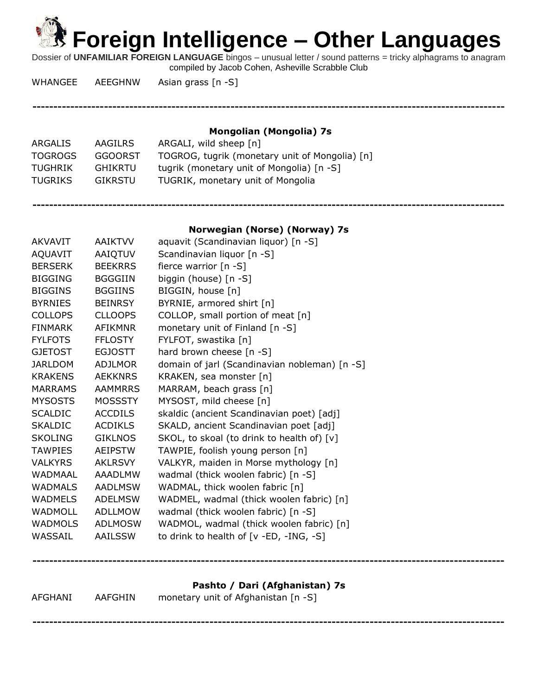Dossier of **UNFAMILIAR FOREIGN LANGUAGE** bingos – unusual letter / sound patterns = tricky alphagrams to anagram compiled by Jacob Cohen, Asheville Scrabble Club

WHANGEE AEEGHNW Asian grass [n -S]

**----------------------------------------------------------------------------------------------------------------**

**Mongolian (Mongolia) 7s**

| ARGALIS        | AAGILRS | ARGALI, wild sheep [n]                         |
|----------------|---------|------------------------------------------------|
| <b>TOGROGS</b> | GGOORST | TOGROG, tugrik (monetary unit of Mongolia) [n] |
| TUGHRIK        | GHIKRTU | tugrik (monetary unit of Mongolia) [n -S]      |
| TUGRIKS        | GIKRSTU | TUGRIK, monetary unit of Mongolia              |
|                |         |                                                |

### **Norwegian (Norse) (Norway) 7s**

**----------------------------------------------------------------------------------------------------------------**

| <b>AKVAVIT</b> | <b>AAIKTVV</b> | aquavit (Scandinavian liquor) [n -S]          |
|----------------|----------------|-----------------------------------------------|
| AQUAVIT        | AAIQTUV        | Scandinavian liquor [n -S]                    |
| <b>BERSERK</b> | <b>BEEKRRS</b> | fierce warrior [n -S]                         |
| <b>BIGGING</b> | <b>BGGGIIN</b> | biggin (house) [n -S]                         |
| <b>BIGGINS</b> | <b>BGGIINS</b> | BIGGIN, house [n]                             |
| <b>BYRNIES</b> | <b>BEINRSY</b> | BYRNIE, armored shirt [n]                     |
| <b>COLLOPS</b> | <b>CLLOOPS</b> | COLLOP, small portion of meat [n]             |
| <b>FINMARK</b> | <b>AFIKMNR</b> | monetary unit of Finland [n -S]               |
| <b>FYLFOTS</b> | <b>FFLOSTY</b> | FYLFOT, swastika [n]                          |
| <b>GJETOST</b> | <b>EGJOSTT</b> | hard brown cheese [n -S]                      |
| <b>JARLDOM</b> | <b>ADJLMOR</b> | domain of jarl (Scandinavian nobleman) [n -S] |
| <b>KRAKENS</b> | <b>AEKKNRS</b> | KRAKEN, sea monster [n]                       |
| <b>MARRAMS</b> | <b>AAMMRRS</b> | MARRAM, beach grass [n]                       |
| <b>MYSOSTS</b> | <b>MOSSSTY</b> | MYSOST, mild cheese [n]                       |
| <b>SCALDIC</b> | <b>ACCDILS</b> | skaldic (ancient Scandinavian poet) [adj]     |
| <b>SKALDIC</b> | <b>ACDIKLS</b> | SKALD, ancient Scandinavian poet [adj]        |
| <b>SKOLING</b> | <b>GIKLNOS</b> | SKOL, to skoal (to drink to health of) [v]    |
| <b>TAWPIES</b> | <b>AEIPSTW</b> | TAWPIE, foolish young person [n]              |
| <b>VALKYRS</b> | <b>AKLRSVY</b> | VALKYR, maiden in Morse mythology [n]         |
| <b>WADMAAL</b> | <b>AAADLMW</b> | wadmal (thick woolen fabric) [n -S]           |
| <b>WADMALS</b> | <b>AADLMSW</b> | WADMAL, thick woolen fabric [n]               |
| <b>WADMELS</b> | <b>ADELMSW</b> | WADMEL, wadmal (thick woolen fabric) [n]      |
| <b>WADMOLL</b> | <b>ADLLMOW</b> | wadmal (thick woolen fabric) [n -S]           |
| <b>WADMOLS</b> | <b>ADLMOSW</b> | WADMOL, wadmal (thick woolen fabric) [n]      |
| WASSAIL        | <b>AAILSSW</b> | to drink to health of $[v - ED, -ING, -S]$    |
|                |                |                                               |

**Pashto / Dari (Afghanistan) 7s**

| AFGHANI | AAFGHIN | monetary unit of Afghanistan [n -S] |
|---------|---------|-------------------------------------|
|         |         |                                     |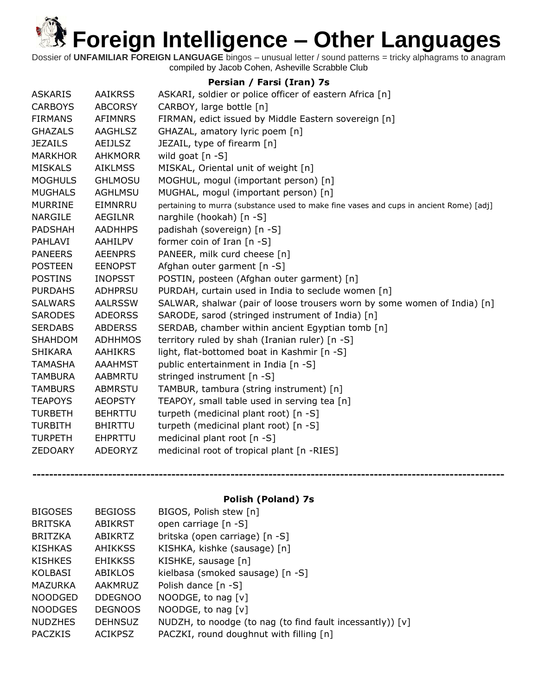Dossier of **UNFAMILIAR FOREIGN LANGUAGE** bingos – unusual letter / sound patterns = tricky alphagrams to anagram compiled by Jacob Cohen, Asheville Scrabble Club

### **Persian / Farsi (Iran) 7s**

| <b>ASKARIS</b> | <b>AAIKRSS</b> | ASKARI, soldier or police officer of eastern Africa [n]                                |
|----------------|----------------|----------------------------------------------------------------------------------------|
| <b>CARBOYS</b> | <b>ABCORSY</b> | CARBOY, large bottle [n]                                                               |
| <b>FIRMANS</b> | <b>AFIMNRS</b> | FIRMAN, edict issued by Middle Eastern sovereign [n]                                   |
| <b>GHAZALS</b> | AAGHLSZ        | GHAZAL, amatory lyric poem [n]                                                         |
| <b>JEZAILS</b> | <b>AEIJLSZ</b> | JEZAIL, type of firearm [n]                                                            |
| <b>MARKHOR</b> | <b>AHKMORR</b> | wild goat $[n -S]$                                                                     |
| <b>MISKALS</b> | <b>AIKLMSS</b> | MISKAL, Oriental unit of weight [n]                                                    |
| <b>MOGHULS</b> | <b>GHLMOSU</b> | MOGHUL, mogul (important person) [n]                                                   |
| <b>MUGHALS</b> | <b>AGHLMSU</b> | MUGHAL, mogul (important person) [n]                                                   |
| <b>MURRINE</b> | EIMNRRU        | pertaining to murra (substance used to make fine vases and cups in ancient Rome) [adj] |
| <b>NARGILE</b> | AEGILNR        | narghile (hookah) [n -S]                                                               |
| PADSHAH        | <b>AADHHPS</b> | padishah (sovereign) [n -S]                                                            |
| PAHLAVI        | AAHILPV        | former coin of Iran $[n - S]$                                                          |
| <b>PANEERS</b> | <b>AEENPRS</b> | PANEER, milk curd cheese [n]                                                           |
| <b>POSTEEN</b> | <b>EENOPST</b> | Afghan outer garment [n -S]                                                            |
| <b>POSTINS</b> | <b>INOPSST</b> | POSTIN, posteen (Afghan outer garment) [n]                                             |
| <b>PURDAHS</b> | <b>ADHPRSU</b> | PURDAH, curtain used in India to seclude women [n]                                     |
| <b>SALWARS</b> | <b>AALRSSW</b> | SALWAR, shalwar (pair of loose trousers worn by some women of India) [n]               |
| <b>SARODES</b> | <b>ADEORSS</b> | SARODE, sarod (stringed instrument of India) [n]                                       |
| <b>SERDABS</b> | <b>ABDERSS</b> | SERDAB, chamber within ancient Egyptian tomb [n]                                       |
| <b>SHAHDOM</b> | <b>ADHHMOS</b> | territory ruled by shah (Iranian ruler) [n -S]                                         |
| <b>SHIKARA</b> | <b>AAHIKRS</b> | light, flat-bottomed boat in Kashmir [n -S]                                            |
| <b>TAMASHA</b> | <b>AAAHMST</b> | public entertainment in India [n -S]                                                   |
| <b>TAMBURA</b> | <b>AABMRTU</b> | stringed instrument [n -S]                                                             |
| <b>TAMBURS</b> | <b>ABMRSTU</b> | TAMBUR, tambura (string instrument) [n]                                                |
| <b>TEAPOYS</b> | <b>AEOPSTY</b> | TEAPOY, small table used in serving tea [n]                                            |
| <b>TURBETH</b> | <b>BEHRTTU</b> | turpeth (medicinal plant root) [n -S]                                                  |
| <b>TURBITH</b> | <b>BHIRTTU</b> | turpeth (medicinal plant root) [n -S]                                                  |
| <b>TURPETH</b> | EHPRTTU        | medicinal plant root $[n - S]$                                                         |
| <b>ZEDOARY</b> | ADEORYZ        | medicinal root of tropical plant [n -RIES]                                             |
|                |                |                                                                                        |

### **Polish (Poland) 7s**

| <b>BIGOSES</b> | <b>BEGIOSS</b> | BIGOS, Polish stew [n]                                      |
|----------------|----------------|-------------------------------------------------------------|
| <b>BRITSKA</b> | <b>ABIKRST</b> | open carriage [n -S]                                        |
| <b>BRITZKA</b> | ABIKRTZ        | britska (open carriage) [n -S]                              |
| <b>KISHKAS</b> | <b>AHIKKSS</b> | KISHKA, kishke (sausage) [n]                                |
| <b>KISHKES</b> | <b>EHIKKSS</b> | KISHKE, sausage [n]                                         |
| <b>KOLBASI</b> | ABIKLOS        | kielbasa (smoked sausage) [n -S]                            |
| MAZURKA        | AAKMRUZ        | Polish dance [n -S]                                         |
| <b>NOODGED</b> | <b>DDEGNOO</b> | NOODGE, to nag [v]                                          |
| <b>NOODGES</b> | <b>DEGNOOS</b> | NOODGE, to nag [v]                                          |
| <b>NUDZHES</b> | <b>DEHNSUZ</b> | NUDZH, to noodge (to nag (to find fault incessantly)) $[v]$ |
| <b>PACZKIS</b> | <b>ACIKPSZ</b> | PACZKI, round doughnut with filling [n]                     |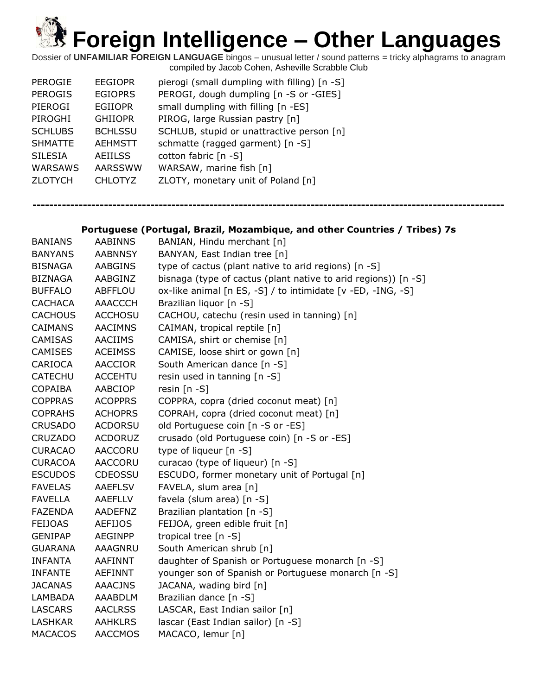Dossier of **UNFAMILIAR FOREIGN LANGUAGE** bingos – unusual letter / sound patterns = tricky alphagrams to anagram compiled by Jacob Cohen, Asheville Scrabble Club

| <b>PEROGIE</b> | <b>EEGIOPR</b> | pierogi (small dumpling with filling) [n -S] |
|----------------|----------------|----------------------------------------------|
| <b>PEROGIS</b> | <b>EGIOPRS</b> | PEROGI, dough dumpling [n -S or -GIES]       |
| PIEROGI        | <b>EGIIOPR</b> | small dumpling with filling [n -ES]          |
| PIROGHI        | <b>GHIIOPR</b> | PIROG, large Russian pastry [n]              |
| <b>SCHLUBS</b> | <b>BCHLSSU</b> | SCHLUB, stupid or unattractive person [n]    |
| <b>SHMATTE</b> | <b>AEHMSTT</b> | schmatte (ragged garment) [n -S]             |
| <b>SILESIA</b> | <b>AEIILSS</b> | cotton fabric [n -S]                         |
| <b>WARSAWS</b> | <b>AARSSWW</b> | WARSAW, marine fish [n]                      |
| <b>ZLOTYCH</b> | CHLOTYZ        | ZLOTY, monetary unit of Poland [n]           |
|                |                |                                              |

**----------------------------------------------------------------------------------------------------------------**

### **Portuguese (Portugal, Brazil, Mozambique, and other Countries / Tribes) 7s**

| <b>BANIANS</b> | <b>AABINNS</b> | BANIAN, Hindu merchant [n]                                     |
|----------------|----------------|----------------------------------------------------------------|
| <b>BANYANS</b> | <b>AABNNSY</b> | BANYAN, East Indian tree [n]                                   |
| BISNAGA        | <b>AABGINS</b> | type of cactus (plant native to arid regions) [n -S]           |
| BIZNAGA        | AABGINZ        | bisnaga (type of cactus (plant native to arid regions)) [n -S] |
| <b>BUFFALO</b> | ABFFLOU        | ox-like animal [n ES, -S] / to intimidate [v -ED, -ING, -S]    |
| <b>CACHACA</b> | AAACCCH        | Brazilian liquor [n -S]                                        |
| <b>CACHOUS</b> | <b>ACCHOSU</b> | CACHOU, catechu (resin used in tanning) [n]                    |
| <b>CAIMANS</b> | <b>AACIMNS</b> | CAIMAN, tropical reptile [n]                                   |
| <b>CAMISAS</b> | <b>AACIIMS</b> | CAMISA, shirt or chemise [n]                                   |
| <b>CAMISES</b> | <b>ACEIMSS</b> | CAMISE, loose shirt or gown [n]                                |
| CARIOCA        | AACCIOR        | South American dance [n -S]                                    |
| <b>CATECHU</b> | <b>ACCEHTU</b> | resin used in tanning [n -S]                                   |
| <b>COPAIBA</b> | AABCIOP        | resin $[n - S]$                                                |
| <b>COPPRAS</b> | <b>ACOPPRS</b> | COPPRA, copra (dried coconut meat) [n]                         |
| <b>COPRAHS</b> | <b>ACHOPRS</b> | COPRAH, copra (dried coconut meat) [n]                         |
| <b>CRUSADO</b> | <b>ACDORSU</b> | old Portuguese coin [n -S or -ES]                              |
| <b>CRUZADO</b> | <b>ACDORUZ</b> | crusado (old Portuguese coin) [n -S or -ES]                    |
| <b>CURACAO</b> | AACCORU        | type of liqueur [n -S]                                         |
| <b>CURACOA</b> | <b>AACCORU</b> | curacao (type of liqueur) [n -S]                               |
| <b>ESCUDOS</b> | <b>CDEOSSU</b> | ESCUDO, former monetary unit of Portugal [n]                   |
| <b>FAVELAS</b> | <b>AAEFLSV</b> | FAVELA, slum area [n]                                          |
| <b>FAVELLA</b> | <b>AAEFLLV</b> | favela (slum area) [n -S]                                      |
| <b>FAZENDA</b> | AADEFNZ        | Brazilian plantation [n -S]                                    |
| <b>FEIJOAS</b> | <b>AEFIJOS</b> | FEIJOA, green edible fruit [n]                                 |
| <b>GENIPAP</b> | <b>AEGINPP</b> | tropical tree [n -S]                                           |
| <b>GUARANA</b> | <b>AAAGNRU</b> | South American shrub [n]                                       |
| <b>INFANTA</b> | <b>AAFINNT</b> | daughter of Spanish or Portuguese monarch [n -S]               |
| <b>INFANTE</b> | <b>AEFINNT</b> | younger son of Spanish or Portuguese monarch [n -S]            |
| <b>JACANAS</b> | <b>AAACJNS</b> | JACANA, wading bird [n]                                        |
| LAMBADA        | AAABDLM        | Brazilian dance [n -S]                                         |
| <b>LASCARS</b> | <b>AACLRSS</b> | LASCAR, East Indian sailor [n]                                 |
| <b>LASHKAR</b> | <b>AAHKLRS</b> | lascar (East Indian sailor) [n -S]                             |
| <b>MACACOS</b> | <b>AACCMOS</b> | MACACO, lemur [n]                                              |
|                |                |                                                                |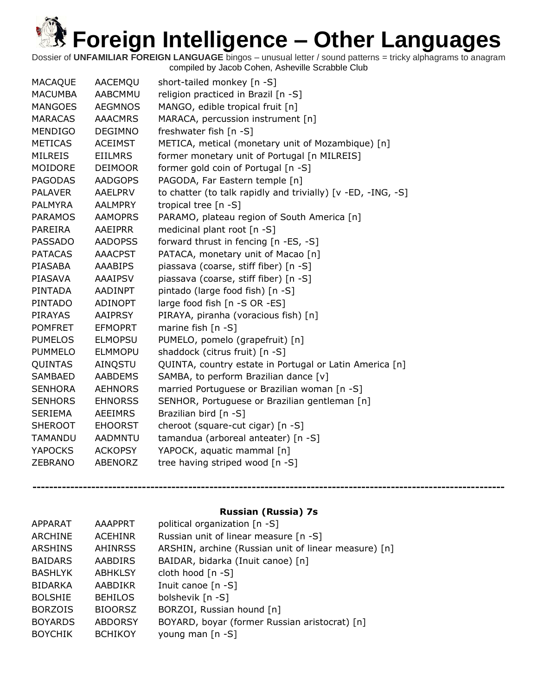Dossier of **UNFAMILIAR FOREIGN LANGUAGE** bingos – unusual letter / sound patterns = tricky alphagrams to anagram compiled by Jacob Cohen, Asheville Scrabble Club

### **Russian (Russia) 7s**

| <b>APPARAT</b> | <b>AAAPPRT</b> | political organization [n -S]                        |
|----------------|----------------|------------------------------------------------------|
| ARCHINE        | <b>ACEHINR</b> | Russian unit of linear measure [n -S]                |
| <b>ARSHINS</b> | <b>AHINRSS</b> | ARSHIN, archine (Russian unit of linear measure) [n] |
| <b>BAIDARS</b> | AABDIRS        | BAIDAR, bidarka (Inuit canoe) [n]                    |
| <b>BASHLYK</b> | <b>ABHKLSY</b> | cloth hood [n -S]                                    |
| <b>BIDARKA</b> | AABDIKR        | Inuit canoe $[n - S]$                                |
| <b>BOLSHIE</b> | <b>BEHILOS</b> | bolshevik [n -S]                                     |
| <b>BORZOIS</b> | <b>BIOORSZ</b> | BORZOI, Russian hound [n]                            |
| <b>BOYARDS</b> | <b>ABDORSY</b> | BOYARD, boyar (former Russian aristocrat) [n]        |
| <b>BOYCHIK</b> | <b>BCHIKOY</b> | young man $[n - S]$                                  |
|                |                |                                                      |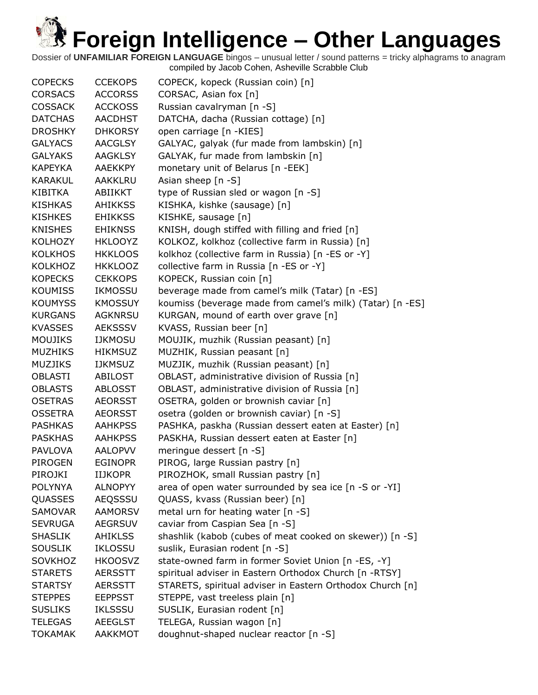| <b>COPECKS</b> | <b>CCEKOPS</b> | COPECK, kopeck (Russian coin) [n]                         |
|----------------|----------------|-----------------------------------------------------------|
| <b>CORSACS</b> | <b>ACCORSS</b> | CORSAC, Asian fox [n]                                     |
| <b>COSSACK</b> | <b>ACCKOSS</b> | Russian cavalryman [n -S]                                 |
| <b>DATCHAS</b> | <b>AACDHST</b> | DATCHA, dacha (Russian cottage) [n]                       |
| <b>DROSHKY</b> | <b>DHKORSY</b> | open carriage [n -KIES]                                   |
| <b>GALYACS</b> | <b>AACGLSY</b> | GALYAC, galyak (fur made from lambskin) [n]               |
| <b>GALYAKS</b> | <b>AAGKLSY</b> | GALYAK, fur made from lambskin [n]                        |
| <b>KAPEYKA</b> | <b>AAEKKPY</b> | monetary unit of Belarus [n -EEK]                         |
| <b>KARAKUL</b> | AAKKLRU        | Asian sheep $[n -S]$                                      |
| KIBITKA        | ABIIKKT        | type of Russian sled or wagon [n -S]                      |
| <b>KISHKAS</b> | <b>AHIKKSS</b> | KISHKA, kishke (sausage) [n]                              |
| <b>KISHKES</b> | <b>EHIKKSS</b> | KISHKE, sausage [n]                                       |
| <b>KNISHES</b> | <b>EHIKNSS</b> | KNISH, dough stiffed with filling and fried [n]           |
| <b>KOLHOZY</b> | <b>HKLOOYZ</b> | KOLKOZ, kolkhoz (collective farm in Russia) [n]           |
| <b>KOLKHOS</b> | <b>HKKLOOS</b> | kolkhoz (collective farm in Russia) [n -ES or -Y]         |
| <b>KOLKHOZ</b> | <b>HKKLOOZ</b> | collective farm in Russia [n -ES or -Y]                   |
| <b>KOPECKS</b> | <b>CEKKOPS</b> | KOPECK, Russian coin [n]                                  |
| <b>KOUMISS</b> | IKMOSSU        | beverage made from camel's milk (Tatar) [n -ES]           |
| <b>KOUMYSS</b> | <b>KMOSSUY</b> | koumiss (beverage made from camel's milk) (Tatar) [n -ES] |
| <b>KURGANS</b> | <b>AGKNRSU</b> | KURGAN, mound of earth over grave [n]                     |
| <b>KVASSES</b> | <b>AEKSSSV</b> | KVASS, Russian beer [n]                                   |
| <b>MOUJIKS</b> | <b>IJKMOSU</b> | MOUJIK, muzhik (Russian peasant) [n]                      |
| <b>MUZHIKS</b> | <b>HIKMSUZ</b> | MUZHIK, Russian peasant [n]                               |
| <b>MUZJIKS</b> | <b>IJKMSUZ</b> | MUZJIK, muzhik (Russian peasant) [n]                      |
| <b>OBLASTI</b> | ABILOST        | OBLAST, administrative division of Russia [n]             |
| <b>OBLASTS</b> | <b>ABLOSST</b> | OBLAST, administrative division of Russia [n]             |
| <b>OSETRAS</b> | <b>AEORSST</b> | OSETRA, golden or brownish caviar [n]                     |
| <b>OSSETRA</b> | <b>AEORSST</b> | osetra (golden or brownish caviar) [n -S]                 |
| <b>PASHKAS</b> | <b>AAHKPSS</b> | PASHKA, paskha (Russian dessert eaten at Easter) [n]      |
| <b>PASKHAS</b> | <b>AAHKPSS</b> | PASKHA, Russian dessert eaten at Easter [n]               |
| <b>PAVLOVA</b> | <b>AALOPVV</b> | meringue dessert [n -S]                                   |
| PIROGEN        | <b>EGINOPR</b> | PIROG, large Russian pastry [n]                           |
| PIROJKI        | <b>IIJKOPR</b> | PIROZHOK, small Russian pastry [n]                        |
| <b>POLYNYA</b> | <b>ALNOPYY</b> | area of open water surrounded by sea ice [n -S or -YI]    |
| QUASSES        | <b>AEQSSSU</b> | QUASS, kvass (Russian beer) [n]                           |
| SAMOVAR        | <b>AAMORSV</b> | metal urn for heating water [n -S]                        |
| <b>SEVRUGA</b> | <b>AEGRSUV</b> | caviar from Caspian Sea [n -S]                            |
| <b>SHASLIK</b> | AHIKLSS        | shashlik (kabob (cubes of meat cooked on skewer)) [n -S]  |
| <b>SOUSLIK</b> | <b>IKLOSSU</b> | suslik, Eurasian rodent [n -S]                            |
| <b>SOVKHOZ</b> | <b>HKOOSVZ</b> | state-owned farm in former Soviet Union [n -ES, -Y]       |
| <b>STARETS</b> | <b>AERSSTT</b> | spiritual adviser in Eastern Orthodox Church [n -RTSY]    |
| <b>STARTSY</b> | <b>AERSSTT</b> | STARETS, spiritual adviser in Eastern Orthodox Church [n] |
| <b>STEPPES</b> | <b>EEPPSST</b> | STEPPE, vast treeless plain [n]                           |
| <b>SUSLIKS</b> | <b>IKLSSSU</b> | SUSLIK, Eurasian rodent [n]                               |
| <b>TELEGAS</b> | <b>AEEGLST</b> | TELEGA, Russian wagon [n]                                 |
| <b>TOKAMAK</b> | AAKKMOT        | doughnut-shaped nuclear reactor [n -S]                    |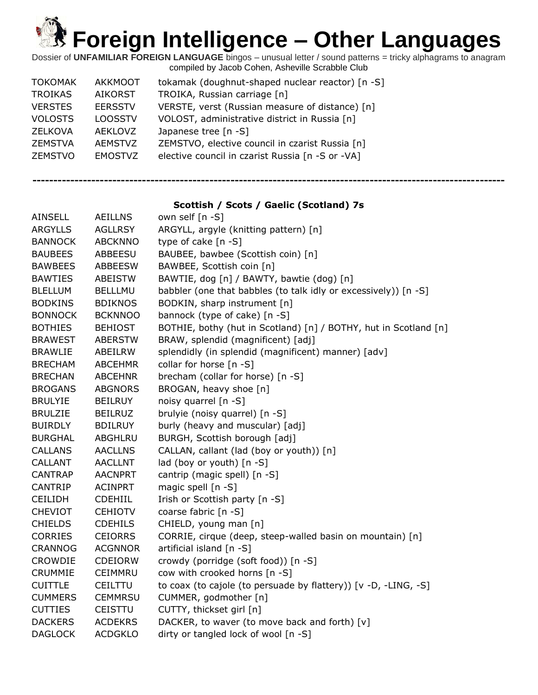Dossier of **UNFAMILIAR FOREIGN LANGUAGE** bingos – unusual letter / sound patterns = tricky alphagrams to anagram compiled by Jacob Cohen, Asheville Scrabble Club

| <b>TOKOMAK</b> | AKKMOOT        | tokamak (doughnut-shaped nuclear reactor) [n -S] |
|----------------|----------------|--------------------------------------------------|
| <b>TROIKAS</b> | <b>AIKORST</b> | TROIKA, Russian carriage [n]                     |
| <b>VERSTES</b> | <b>EERSSTV</b> | VERSTE, verst (Russian measure of distance) [n]  |
| <b>VOLOSTS</b> | <b>LOOSSTV</b> | VOLOST, administrative district in Russia [n]    |
| ZELKOVA        | AFKI OVZ       | Japanese tree $[n - S]$                          |
| ZEMSTVA        | <b>AEMSTVZ</b> | ZEMSTVO, elective council in czarist Russia [n]  |
| <b>ZEMSTVO</b> | <b>EMOSTVZ</b> | elective council in czarist Russia [n -S or -VA] |

**----------------------------------------------------------------------------------------------------------------**

### **Scottish / Scots / Gaelic (Scotland) 7s**

| <b>AINSELL</b> | <b>AEILLNS</b> | own self [n -S]                                                  |
|----------------|----------------|------------------------------------------------------------------|
| <b>ARGYLLS</b> | <b>AGLLRSY</b> | ARGYLL, argyle (knitting pattern) [n]                            |
| <b>BANNOCK</b> | <b>ABCKNNO</b> | type of cake [n -S]                                              |
| <b>BAUBEES</b> | ABBEESU        | BAUBEE, bawbee (Scottish coin) [n]                               |
| <b>BAWBEES</b> | <b>ABBEESW</b> | BAWBEE, Scottish coin [n]                                        |
| <b>BAWTIES</b> | ABEISTW        | BAWTIE, dog [n] / BAWTY, bawtie (dog) [n]                        |
| <b>BLELLUM</b> | <b>BELLLMU</b> | babbler (one that babbles (to talk idly or excessively)) [n -S]  |
| <b>BODKINS</b> | <b>BDIKNOS</b> | BODKIN, sharp instrument [n]                                     |
| <b>BONNOCK</b> | <b>BCKNNOO</b> | bannock (type of cake) [n -S]                                    |
| <b>BOTHIES</b> | <b>BEHIOST</b> | BOTHIE, bothy (hut in Scotland) [n] / BOTHY, hut in Scotland [n] |
| <b>BRAWEST</b> | <b>ABERSTW</b> | BRAW, splendid (magnificent) [adj]                               |
| <b>BRAWLIE</b> | ABEILRW        | splendidly (in splendid (magnificent) manner) [adv]              |
| <b>BRECHAM</b> | <b>ABCEHMR</b> | collar for horse [n -S]                                          |
| <b>BRECHAN</b> | <b>ABCEHNR</b> | brecham (collar for horse) [n -S]                                |
| <b>BROGANS</b> | <b>ABGNORS</b> | BROGAN, heavy shoe [n]                                           |
| <b>BRULYIE</b> | <b>BEILRUY</b> | noisy quarrel [n -S]                                             |
| <b>BRULZIE</b> | <b>BEILRUZ</b> | brulyie (noisy quarrel) [n -S]                                   |
| <b>BUIRDLY</b> | <b>BDILRUY</b> | burly (heavy and muscular) [adj]                                 |
| <b>BURGHAL</b> | ABGHLRU        | BURGH, Scottish borough [adj]                                    |
| <b>CALLANS</b> | <b>AACLLNS</b> | CALLAN, callant (lad (boy or youth)) [n]                         |
| <b>CALLANT</b> | <b>AACLLNT</b> | lad (boy or youth) [n -S]                                        |
| <b>CANTRAP</b> | <b>AACNPRT</b> | cantrip (magic spell) [n -S]                                     |
| <b>CANTRIP</b> | <b>ACINPRT</b> | magic spell [n -S]                                               |
| <b>CEILIDH</b> | <b>CDEHIIL</b> | Irish or Scottish party [n -S]                                   |
| <b>CHEVIOT</b> | <b>CEHIOTV</b> | coarse fabric [n -S]                                             |
| <b>CHIELDS</b> | <b>CDEHILS</b> | CHIELD, young man [n]                                            |
| <b>CORRIES</b> | <b>CEIORRS</b> | CORRIE, cirque (deep, steep-walled basin on mountain) [n]        |
| <b>CRANNOG</b> | <b>ACGNNOR</b> | artificial island [n -S]                                         |
| CROWDIE        | <b>CDEIORW</b> | crowdy (porridge (soft food)) [n -S]                             |
| CRUMMIE        | CEIMMRU        | cow with crooked horns [n -S]                                    |
| <b>CUITTLE</b> | CEILTTU        | to coax (to cajole (to persuade by flattery)) [v -D, -LING, -S]  |
| <b>CUMMERS</b> | <b>CEMMRSU</b> | CUMMER, godmother [n]                                            |
| <b>CUTTIES</b> | <b>CEISTTU</b> | CUTTY, thickset girl [n]                                         |
| <b>DACKERS</b> | <b>ACDEKRS</b> | DACKER, to waver (to move back and forth) [v]                    |
| <b>DAGLOCK</b> | <b>ACDGKLO</b> | dirty or tangled lock of wool [n -S]                             |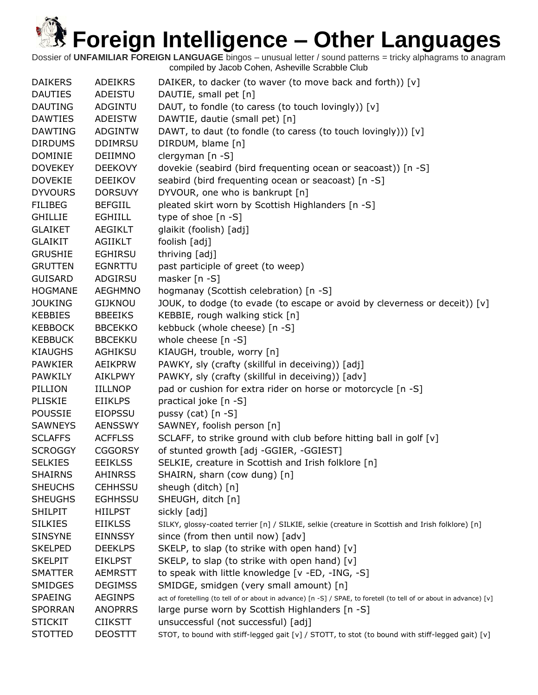| <b>DAIKERS</b> | <b>ADEIKRS</b> | DAIKER, to dacker (to waver (to move back and forth)) [v]                                                           |
|----------------|----------------|---------------------------------------------------------------------------------------------------------------------|
| <b>DAUTIES</b> | ADEISTU        | DAUTIE, small pet [n]                                                                                               |
| <b>DAUTING</b> | ADGINTU        | DAUT, to fondle (to caress (to touch lovingly)) [v]                                                                 |
| <b>DAWTIES</b> | ADEISTW        | DAWTIE, dautie (small pet) [n]                                                                                      |
| <b>DAWTING</b> | <b>ADGINTW</b> | DAWT, to daut (to fondle (to caress (to touch lovingly))) [v]                                                       |
| <b>DIRDUMS</b> | <b>DDIMRSU</b> | DIRDUM, blame [n]                                                                                                   |
| <b>DOMINIE</b> | DEIIMNO        | clergyman [n -S]                                                                                                    |
| <b>DOVEKEY</b> | <b>DEEKOVY</b> | dovekie (seabird (bird frequenting ocean or seacoast)) [n -S]                                                       |
| <b>DOVEKIE</b> | <b>DEEIKOV</b> | seabird (bird frequenting ocean or seacoast) [n -S]                                                                 |
| <b>DYVOURS</b> | <b>DORSUVY</b> | DYVOUR, one who is bankrupt [n]                                                                                     |
| <b>FILIBEG</b> | <b>BEFGIIL</b> | pleated skirt worn by Scottish Highlanders [n -S]                                                                   |
| <b>GHILLIE</b> | <b>EGHIILL</b> | type of shoe [n -S]                                                                                                 |
| <b>GLAIKET</b> | AEGIKLT        | glaikit (foolish) [adj]                                                                                             |
| <b>GLAIKIT</b> | AGIIKLT        | foolish [adj]                                                                                                       |
| <b>GRUSHIE</b> | <b>EGHIRSU</b> | thriving [adj]                                                                                                      |
| <b>GRUTTEN</b> | <b>EGNRTTU</b> | past participle of greet (to weep)                                                                                  |
| <b>GUISARD</b> | ADGIRSU        | masker [n -S]                                                                                                       |
| <b>HOGMANE</b> | <b>AEGHMNO</b> | hogmanay (Scottish celebration) [n -S]                                                                              |
| <b>JOUKING</b> | <b>GIJKNOU</b> | JOUK, to dodge (to evade (to escape or avoid by cleverness or deceit)) [v]                                          |
| <b>KEBBIES</b> | <b>BBEEIKS</b> | KEBBIE, rough walking stick [n]                                                                                     |
| <b>KEBBOCK</b> | <b>BBCEKKO</b> | kebbuck (whole cheese) [n -S]                                                                                       |
| <b>KEBBUCK</b> | <b>BBCEKKU</b> | whole cheese [n -S]                                                                                                 |
| <b>KIAUGHS</b> | <b>AGHIKSU</b> | KIAUGH, trouble, worry [n]                                                                                          |
| <b>PAWKIER</b> | AEIKPRW        | PAWKY, sly (crafty (skillful in deceiving)) [adj]                                                                   |
| <b>PAWKILY</b> | AIKLPWY        | PAWKY, sly (crafty (skillful in deceiving)) [adv]                                                                   |
| PILLION        | <b>IILLNOP</b> | pad or cushion for extra rider on horse or motorcycle [n -S]                                                        |
| <b>PLISKIE</b> | <b>EIIKLPS</b> | practical joke [n -S]                                                                                               |
| <b>POUSSIE</b> | <b>EIOPSSU</b> | pussy (cat) $[n - S]$                                                                                               |
| <b>SAWNEYS</b> | <b>AENSSWY</b> | SAWNEY, foolish person [n]                                                                                          |
| <b>SCLAFFS</b> | <b>ACFFLSS</b> | SCLAFF, to strike ground with club before hitting ball in golf [v]                                                  |
| <b>SCROGGY</b> | <b>CGGORSY</b> | of stunted growth [adj -GGIER, -GGIEST]                                                                             |
| <b>SELKIES</b> | <b>EEIKLSS</b> | SELKIE, creature in Scottish and Irish folklore [n]                                                                 |
| <b>SHAIRNS</b> | <b>AHINRSS</b> | SHAIRN, sharn (cow dung) [n]                                                                                        |
| <b>SHEUCHS</b> | <b>CEHHSSU</b> | sheugh (ditch) [n]                                                                                                  |
| <b>SHEUGHS</b> | <b>EGHHSSU</b> | SHEUGH, ditch [n]                                                                                                   |
| <b>SHILPIT</b> | <b>HIILPST</b> | sickly [adj]                                                                                                        |
| <b>SILKIES</b> | <b>EIIKLSS</b> | SILKY, glossy-coated terrier [n] / SILKIE, selkie (creature in Scottish and Irish folklore) [n]                     |
| <b>SINSYNE</b> | <b>EINNSSY</b> | since (from then until now) [adv]                                                                                   |
| <b>SKELPED</b> | <b>DEEKLPS</b> | SKELP, to slap (to strike with open hand) [v]                                                                       |
| <b>SKELPIT</b> | <b>EIKLPST</b> | SKELP, to slap (to strike with open hand) [v]                                                                       |
| <b>SMATTER</b> | <b>AEMRSTT</b> | to speak with little knowledge [v -ED, -ING, -S]                                                                    |
| <b>SMIDGES</b> | <b>DEGIMSS</b> | SMIDGE, smidgen (very small amount) [n]                                                                             |
| <b>SPAEING</b> | <b>AEGINPS</b> | act of foretelling (to tell of or about in advance) [n -S] / SPAE, to foretell (to tell of or about in advance) [v] |
| <b>SPORRAN</b> | <b>ANOPRRS</b> | large purse worn by Scottish Highlanders [n -S]                                                                     |
| <b>STICKIT</b> | <b>CIIKSTT</b> | unsuccessful (not successful) [adj]                                                                                 |
| <b>STOTTED</b> | <b>DEOSTTT</b> | STOT, to bound with stiff-legged gait [v] / STOTT, to stot (to bound with stiff-legged gait) [v]                    |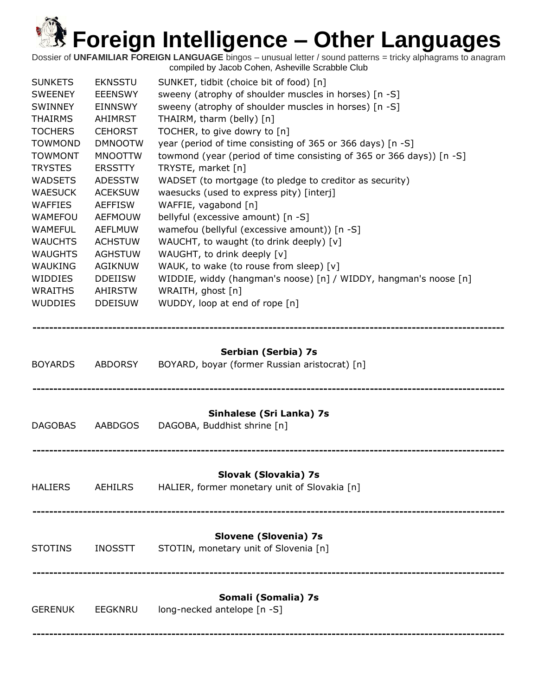| <b>SUNKETS</b><br><b>SWEENEY</b><br><b>SWINNEY</b><br><b>THAIRMS</b><br><b>TOCHERS</b><br><b>TOWMOND</b><br><b>TOWMONT</b><br><b>TRYSTES</b><br><b>WADSETS</b><br><b>WAESUCK</b><br><b>WAFFIES</b><br>WAMEFOU<br><b>WAMEFUL</b><br><b>WAUCHTS</b><br><b>WAUGHTS</b><br>WAUKING<br>WIDDIES<br><b>WRAITHS</b><br><b>WUDDIES</b> | <b>EKNSSTU</b><br><b>EEENSWY</b><br><b>EINNSWY</b><br>AHIMRST<br><b>CEHORST</b><br><b>DMNOOTW</b><br><b>MNOOTTW</b><br><b>ERSSTTY</b><br><b>ADESSTW</b><br><b>ACEKSUW</b><br><b>AEFFISW</b><br><b>AEFMOUW</b><br><b>AEFLMUW</b><br><b>ACHSTUW</b><br><b>AGHSTUW</b><br><b>AGIKNUW</b><br><b>DDEIISW</b><br><b>AHIRSTW</b><br><b>DDEISUW</b> | SUNKET, tidbit (choice bit of food) [n]<br>sweeny (atrophy of shoulder muscles in horses) [n -S]<br>sweeny (atrophy of shoulder muscles in horses) [n -S]<br>THAIRM, tharm (belly) [n]<br>TOCHER, to give dowry to [n]<br>year (period of time consisting of 365 or 366 days) [n -S]<br>towmond (year (period of time consisting of 365 or 366 days)) [n -S]<br>TRYSTE, market [n]<br>WADSET (to mortgage (to pledge to creditor as security)<br>waesucks (used to express pity) [interj]<br>WAFFIE, vagabond [n]<br>bellyful (excessive amount) [n -S]<br>wamefou (bellyful (excessive amount)) [n -S]<br>WAUCHT, to waught (to drink deeply) [v]<br>WAUGHT, to drink deeply [v]<br>WAUK, to wake (to rouse from sleep) [v]<br>WIDDIE, widdy (hangman's noose) [n] / WIDDY, hangman's noose [n]<br>WRAITH, ghost [n]<br>WUDDY, loop at end of rope [n] |
|-------------------------------------------------------------------------------------------------------------------------------------------------------------------------------------------------------------------------------------------------------------------------------------------------------------------------------|---------------------------------------------------------------------------------------------------------------------------------------------------------------------------------------------------------------------------------------------------------------------------------------------------------------------------------------------|---------------------------------------------------------------------------------------------------------------------------------------------------------------------------------------------------------------------------------------------------------------------------------------------------------------------------------------------------------------------------------------------------------------------------------------------------------------------------------------------------------------------------------------------------------------------------------------------------------------------------------------------------------------------------------------------------------------------------------------------------------------------------------------------------------------------------------------------------------|
| <b>BOYARDS</b>                                                                                                                                                                                                                                                                                                                | ABDORSY                                                                                                                                                                                                                                                                                                                                     | Serbian (Serbia) 7s<br>BOYARD, boyar (former Russian aristocrat) [n]                                                                                                                                                                                                                                                                                                                                                                                                                                                                                                                                                                                                                                                                                                                                                                                    |
| <b>DAGOBAS</b>                                                                                                                                                                                                                                                                                                                | <b>AABDGOS</b>                                                                                                                                                                                                                                                                                                                              | Sinhalese (Sri Lanka) 7s<br>DAGOBA, Buddhist shrine [n]                                                                                                                                                                                                                                                                                                                                                                                                                                                                                                                                                                                                                                                                                                                                                                                                 |
| <b>HALIERS</b>                                                                                                                                                                                                                                                                                                                | <b>AEHILRS</b>                                                                                                                                                                                                                                                                                                                              | Slovak (Slovakia) 7s<br>HALIER, former monetary unit of Slovakia [n]                                                                                                                                                                                                                                                                                                                                                                                                                                                                                                                                                                                                                                                                                                                                                                                    |
| <b>STOTINS</b>                                                                                                                                                                                                                                                                                                                | <b>INOSSTT</b>                                                                                                                                                                                                                                                                                                                              | Slovene (Slovenia) 7s<br>STOTIN, monetary unit of Slovenia [n]                                                                                                                                                                                                                                                                                                                                                                                                                                                                                                                                                                                                                                                                                                                                                                                          |
| <b>GERENUK</b>                                                                                                                                                                                                                                                                                                                | <b>EEGKNRU</b>                                                                                                                                                                                                                                                                                                                              | Somali (Somalia) 7s<br>long-necked antelope [n -S]                                                                                                                                                                                                                                                                                                                                                                                                                                                                                                                                                                                                                                                                                                                                                                                                      |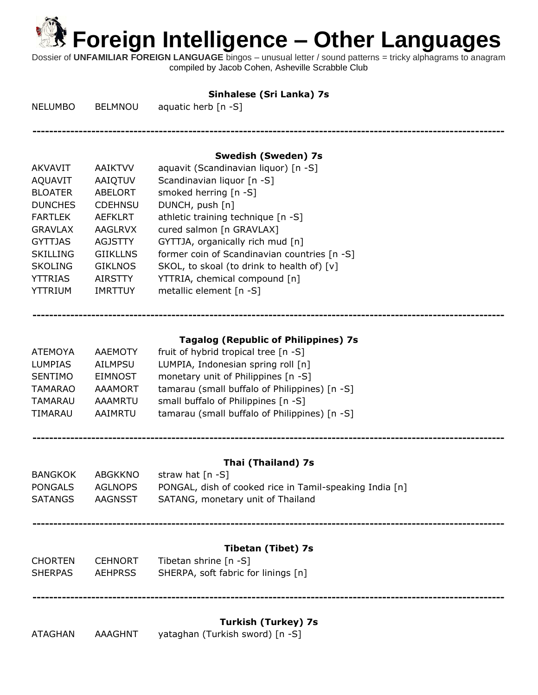**----------------------------------------------------------------------------------------------------------------**

**----------------------------------------------------------------------------------------------------------------**

Dossier of **UNFAMILIAR FOREIGN LANGUAGE** bingos – unusual letter / sound patterns = tricky alphagrams to anagram compiled by Jacob Cohen, Asheville Scrabble Club

### **Sinhalese (Sri Lanka) 7s**

NELUMBO BELMNOU aquatic herb [n -S]

### **Swedish (Sweden) 7s**

| <b>AKVAVIT</b>  | <b>AAIKTVV</b>  | aquavit (Scandinavian liquor) [n -S]         |
|-----------------|-----------------|----------------------------------------------|
| <b>AQUAVIT</b>  | AAIQTUV         | Scandinavian liquor [n -S]                   |
| <b>BLOATER</b>  | <b>ABELORT</b>  | smoked herring [n -S]                        |
| <b>DUNCHES</b>  | <b>CDEHNSU</b>  | DUNCH, push [n]                              |
| <b>FARTLEK</b>  | <b>AEFKLRT</b>  | athletic training technique [n -S]           |
| <b>GRAVLAX</b>  | <b>AAGLRVX</b>  | cured salmon [n GRAVLAX]                     |
| <b>GYTTJAS</b>  | <b>AGJSTTY</b>  | GYTTJA, organically rich mud [n]             |
| <b>SKILLING</b> | <b>GIIKLLNS</b> | former coin of Scandinavian countries [n -S] |
| <b>SKOLING</b>  | <b>GIKLNOS</b>  | SKOL, to skoal (to drink to health of) [v]   |
| <b>YTTRIAS</b>  | <b>AIRSTTY</b>  | YTTRIA, chemical compound [n]                |
| <b>YTTRIUM</b>  | <b>IMRTTUY</b>  | metallic element [n -S]                      |
|                 |                 |                                              |

## **Tagalog (Republic of Philippines) 7s**

**----------------------------------------------------------------------------------------------------------------**

| <b>ATEMOYA</b> | <b>AAEMOTY</b> | fruit of hybrid tropical tree [n -S]          |
|----------------|----------------|-----------------------------------------------|
| <b>LUMPIAS</b> | <b>AILMPSU</b> | LUMPIA, Indonesian spring roll [n]            |
| <b>SENTIMO</b> | <b>EIMNOST</b> | monetary unit of Philippines [n -S]           |
| <b>TAMARAO</b> | <b>AAAMORT</b> | tamarau (small buffalo of Philippines) [n -S] |
| <b>TAMARAU</b> | <b>AAAMRTU</b> | small buffalo of Philippines [n -S]           |
| TIMARAU        | AAIMRTU        | tamarau (small buffalo of Philippines) [n -S] |
|                |                |                                               |

### **Thai (Thailand) 7s**

| BANGKOK | ABGKKNO | straw hat [n -S]                                        |
|---------|---------|---------------------------------------------------------|
| PONGALS | AGLNOPS | PONGAL, dish of cooked rice in Tamil-speaking India [n] |
| SATANGS | AAGNSST | SATANG, monetary unit of Thailand                       |

**----------------------------------------------------------------------------------------------------------------**

### **Tibetan (Tibet) 7s**

| CHORTEN | <b>CEHNORT</b> | Tibetan shrine [n -S]               |
|---------|----------------|-------------------------------------|
| SHERPAS | <b>AEHPRSS</b> | SHERPA, soft fabric for linings [n] |

**----------------------------------------------------------------------------------------------------------------**

### **Turkish (Turkey) 7s**

ATAGHAN AAAGHNT yataghan (Turkish sword) [n -S]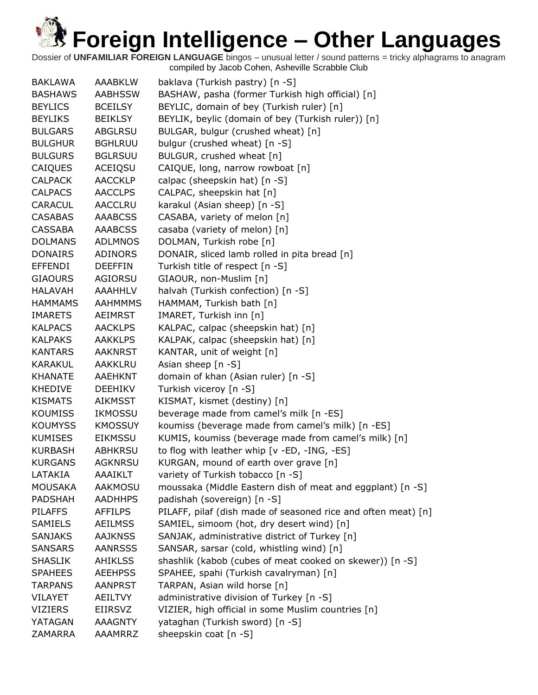| <b>BAKLAWA</b> | <b>AAABKLW</b> | baklava (Turkish pastry) [n -S]                               |
|----------------|----------------|---------------------------------------------------------------|
| <b>BASHAWS</b> | <b>AABHSSW</b> | BASHAW, pasha (former Turkish high official) [n]              |
| <b>BEYLICS</b> | <b>BCEILSY</b> | BEYLIC, domain of bey (Turkish ruler) [n]                     |
| <b>BEYLIKS</b> | <b>BEIKLSY</b> | BEYLIK, beylic (domain of bey (Turkish ruler)) [n]            |
| <b>BULGARS</b> | <b>ABGLRSU</b> | BULGAR, bulgur (crushed wheat) [n]                            |
| <b>BULGHUR</b> | <b>BGHLRUU</b> | bulgur (crushed wheat) [n -S]                                 |
| <b>BULGURS</b> | <b>BGLRSUU</b> | BULGUR, crushed wheat [n]                                     |
| CAIQUES        | ACEIQSU        | CAIQUE, long, narrow rowboat [n]                              |
| <b>CALPACK</b> | <b>AACCKLP</b> | calpac (sheepskin hat) [n -S]                                 |
| <b>CALPACS</b> | <b>AACCLPS</b> | CALPAC, sheepskin hat [n]                                     |
| CARACUL        | <b>AACCLRU</b> | karakul (Asian sheep) [n -S]                                  |
| <b>CASABAS</b> | <b>AAABCSS</b> | CASABA, variety of melon [n]                                  |
| <b>CASSABA</b> | <b>AAABCSS</b> | casaba (variety of melon) [n]                                 |
| <b>DOLMANS</b> | <b>ADLMNOS</b> | DOLMAN, Turkish robe [n]                                      |
| <b>DONAIRS</b> | <b>ADINORS</b> | DONAIR, sliced lamb rolled in pita bread [n]                  |
| <b>EFFENDI</b> | <b>DEEFFIN</b> | Turkish title of respect [n -S]                               |
| <b>GIAOURS</b> | AGIORSU        | GIAOUR, non-Muslim [n]                                        |
| <b>HALAVAH</b> | <b>AAAHHLV</b> | halvah (Turkish confection) [n -S]                            |
| <b>HAMMAMS</b> | <b>AAHMMMS</b> | HAMMAM, Turkish bath [n]                                      |
| <b>IMARETS</b> | AEIMRST        | IMARET, Turkish inn [n]                                       |
| <b>KALPACS</b> | <b>AACKLPS</b> | KALPAC, calpac (sheepskin hat) [n]                            |
| <b>KALPAKS</b> | <b>AAKKLPS</b> | KALPAK, calpac (sheepskin hat) [n]                            |
| <b>KANTARS</b> | <b>AAKNRST</b> | KANTAR, unit of weight [n]                                    |
| <b>KARAKUL</b> | AAKKLRU        | Asian sheep [n -S]                                            |
| <b>KHANATE</b> | <b>AAEHKNT</b> | domain of khan (Asian ruler) [n -S]                           |
| <b>KHEDIVE</b> | <b>DEEHIKV</b> |                                                               |
| <b>KISMATS</b> |                | Turkish viceroy [n -S]                                        |
| <b>KOUMISS</b> | <b>AIKMSST</b> | KISMAT, kismet (destiny) [n]                                  |
| <b>KOUMYSS</b> | <b>IKMOSSU</b> | beverage made from camel's milk [n -ES]                       |
| <b>KUMISES</b> | <b>KMOSSUY</b> | koumiss (beverage made from camel's milk) [n -ES]             |
|                | <b>EIKMSSU</b> | KUMIS, koumiss (beverage made from camel's milk) [n]          |
| <b>KURBASH</b> | <b>ABHKRSU</b> | to flog with leather whip [v -ED, -ING, -ES]                  |
| <b>KURGANS</b> | <b>AGKNRSU</b> | KURGAN, mound of earth over grave [n]                         |
| LATAKIA        | AAAIKLT        | variety of Turkish tobacco [n -S]                             |
| <b>MOUSAKA</b> | <b>AAKMOSU</b> | moussaka (Middle Eastern dish of meat and eggplant) [n -S]    |
| <b>PADSHAH</b> | <b>AADHHPS</b> | padishah (sovereign) [n -S]                                   |
| <b>PILAFFS</b> | <b>AFFILPS</b> | PILAFF, pilaf (dish made of seasoned rice and often meat) [n] |
| <b>SAMIELS</b> | <b>AEILMSS</b> | SAMIEL, simoom (hot, dry desert wind) [n]                     |
| <b>SANJAKS</b> | <b>AAJKNSS</b> | SANJAK, administrative district of Turkey [n]                 |
| <b>SANSARS</b> | <b>AANRSSS</b> | SANSAR, sarsar (cold, whistling wind) [n]                     |
| <b>SHASLIK</b> | AHIKLSS        | shashlik (kabob (cubes of meat cooked on skewer)) [n -S]      |
| <b>SPAHEES</b> | <b>AEEHPSS</b> | SPAHEE, spahi (Turkish cavalryman) [n]                        |
| <b>TARPANS</b> | <b>AANPRST</b> | TARPAN, Asian wild horse [n]                                  |
| <b>VILAYET</b> | AEILTVY        | administrative division of Turkey [n -S]                      |
| <b>VIZIERS</b> | <b>EIIRSVZ</b> | VIZIER, high official in some Muslim countries [n]            |
| YATAGAN        | <b>AAAGNTY</b> | yataghan (Turkish sword) [n -S]                               |
| <b>ZAMARRA</b> | <b>AAAMRRZ</b> | sheepskin coat [n -S]                                         |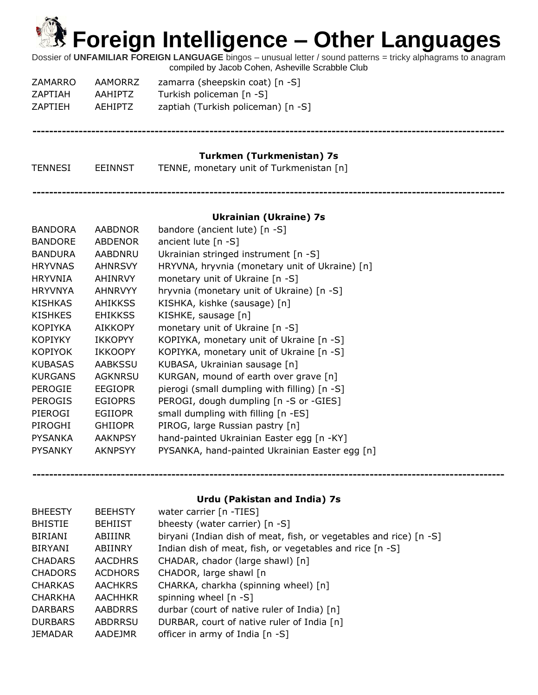Dossier of **UNFAMILIAR FOREIGN LANGUAGE** bingos – unusual letter / sound patterns = tricky alphagrams to anagram compiled by Jacob Cohen, Asheville Scrabble Club

| ZAMARRO        | AAMORRZ        | zamarra (sheepskin coat) [n -S]    |
|----------------|----------------|------------------------------------|
| ZAPTIAH        | AAHIPTZ        | Turkish policeman [n -S]           |
| <b>ZAPTIEH</b> | <b>AEHIPTZ</b> | zaptiah (Turkish policeman) [n -S] |

#### **----------------------------------------------------------------------------------------------------------------**

### **Turkmen (Turkmenistan) 7s**

| TENNESI | <b>EEINNST</b> | TENNE, monetary unit of Turkmenistan [n] |
|---------|----------------|------------------------------------------|
|---------|----------------|------------------------------------------|

**----------------------------------------------------------------------------------------------------------------**

### **Ukrainian (Ukraine) 7s**

| <b>BANDORA</b> | <b>AABDNOR</b> | bandore (ancient lute) [n -S]                  |
|----------------|----------------|------------------------------------------------|
| <b>BANDORE</b> | <b>ABDENOR</b> | ancient lute $[n - S]$                         |
| <b>BANDURA</b> | AABDNRU        | Ukrainian stringed instrument [n -S]           |
| <b>HRYVNAS</b> | <b>AHNRSVY</b> | HRYVNA, hryvnia (monetary unit of Ukraine) [n] |
| <b>HRYVNIA</b> | AHINRVY        | monetary unit of Ukraine [n -S]                |
| <b>HRYVNYA</b> | <b>AHNRVYY</b> | hryvnia (monetary unit of Ukraine) [n -S]      |
| <b>KISHKAS</b> | <b>AHIKKSS</b> | KISHKA, kishke (sausage) [n]                   |
| <b>KISHKES</b> | <b>EHIKKSS</b> | KISHKE, sausage [n]                            |
| <b>KOPIYKA</b> | <b>AIKKOPY</b> | monetary unit of Ukraine [n -S]                |
| <b>KOPIYKY</b> | <b>IKKOPYY</b> | KOPIYKA, monetary unit of Ukraine [n -S]       |
| <b>KOPIYOK</b> | <b>IKKOOPY</b> | KOPIYKA, monetary unit of Ukraine [n -S]       |
| <b>KUBASAS</b> | <b>AABKSSU</b> | KUBASA, Ukrainian sausage [n]                  |
| <b>KURGANS</b> | <b>AGKNRSU</b> | KURGAN, mound of earth over grave [n]          |
| <b>PEROGIE</b> | <b>EEGIOPR</b> | pierogi (small dumpling with filling) [n -S]   |
| <b>PEROGIS</b> | <b>EGIOPRS</b> | PEROGI, dough dumpling [n -S or -GIES]         |
| PIEROGI        | <b>EGIIOPR</b> | small dumpling with filling [n -ES]            |
| PIROGHI        | <b>GHIIOPR</b> | PIROG, large Russian pastry [n]                |
| <b>PYSANKA</b> | <b>AAKNPSY</b> | hand-painted Ukrainian Easter egg [n -KY]      |
| <b>PYSANKY</b> | <b>AKNPSYY</b> | PYSANKA, hand-painted Ukrainian Easter egg [n] |
|                |                |                                                |

### **Urdu (Pakistan and India) 7s**

| <b>BHEESTY</b> | <b>BEEHSTY</b> | water carrier [n -TIES]                                            |
|----------------|----------------|--------------------------------------------------------------------|
| <b>BHISTIE</b> | <b>BEHIIST</b> | bheesty (water carrier) $[n -S]$                                   |
| <b>BIRIANI</b> | ABIIINR        | biryani (Indian dish of meat, fish, or vegetables and rice) [n -S] |
| <b>BIRYANI</b> | ABIINRY        | Indian dish of meat, fish, or vegetables and rice [n -S]           |
| <b>CHADARS</b> | <b>AACDHRS</b> | CHADAR, chador (large shawl) [n]                                   |
| <b>CHADORS</b> | <b>ACDHORS</b> | CHADOR, large shawl [n]                                            |
| <b>CHARKAS</b> | <b>AACHKRS</b> | CHARKA, charkha (spinning wheel) [n]                               |
| <b>CHARKHA</b> | <b>AACHHKR</b> | spinning wheel $[n -S]$                                            |
| <b>DARBARS</b> | <b>AABDRRS</b> | durbar (court of native ruler of India) [n]                        |
| <b>DURBARS</b> | ABDRRSU        | DURBAR, court of native ruler of India [n]                         |
| <b>JEMADAR</b> | AADEJMR        | officer in army of India [n -S]                                    |